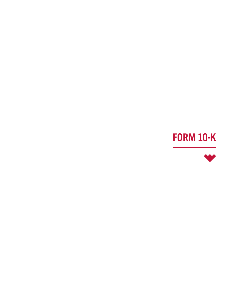# **FORM 10-K**

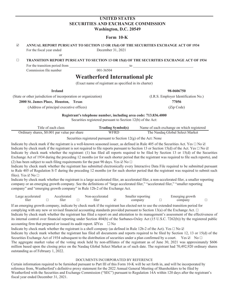# **UNITED STATES SECURITIES AND EXCHANGE COMMISSION Washington, D.C. 20549**

# **Form 10-K**

# ☑ **ANNUAL REPORT PURSUANT TO SECTION 13 OR 15(d) OF THE SECURITIES EXCHANGE ACT OF 1934** For the fiscal year ended December 31, 2021

# ☐ **TRANSITION REPORT PURSUANT TO SECTION 13 OR 15(d) OF THE SECURITIES EXCHANGE ACT OF 1934**

For the transition period from  $\frac{1}{2}$  commission file number  $\frac{001-36504}{2}$  to  $\frac{1}{2}$ Commission file number

# **Weatherford International plc**

(Exact name of registrant as specified in its charter)

or

(State or other jurisdiction of incorporation or organization) (I.R.S. Employer Identification No.)

**2000 St. James Place, Houston, Texas 77056**

(Address of principal executive offices) (Zip Code)

**Registrant's telephone number, including area code: 713.836.4000**

Securities registered pursuant to Section 12(b) of the Act:

| Title of each class                          | <b>Trading Symbol(s)</b> | Name of each exchange on which registered |
|----------------------------------------------|--------------------------|-------------------------------------------|
| Ordinary shares, \$0.001 par value per share | WFRD                     | The Nasdag Global Select Market           |

Securities registered pursuant to Section 12(g) of the Act: None

Indicate by check mark if the registrant is a well-known seasoned issuer, as defined in Rule 405 of the Securities Act. Yes  $\Box$  No  $\Box$ Indicate by check mark if the registrant is not required to file reports pursuant to Section 13 or Section 15(d) of the Act. Yes  $\Box$  No  $\Box$ Indicate by check mark whether the registrant: (1) has filed all reports required to be filed by Section 13 or 15(d) of the Securities Exchange Act of 1934 during the preceding 12 months (or for such shorter period that the registrant was required to file such reports), and (2) has been subject to such filing requirements for the past 90 days. Yes  $\boxtimes$  No  $\Box$ 

Indicate by check mark whether the registrant has submitted electronically every Interactive Data File required to be submitted pursuant to Rule 405 of Regulation S-T during the preceding 12 months (or for such shorter period that the registrant was required to submit such files). Yes  $\boxtimes$  No  $\square$ 

Indicate by check mark whether the registrant is a large accelerated filer, an accelerated filer, a non-accelerated filer, a smaller reporting company or an emerging growth company. See the definitions of "large accelerated filer," "accelerated filer," "smaller reporting company" and "emerging growth company" in Rule 12b-2 of the Exchange Act.

| Large accelerated         |       | Non-accelerated | šтаl<br>.ller renorting | -meroino orowth |  |
|---------------------------|-------|-----------------|-------------------------|-----------------|--|
| $\sim$<br>filer<br>$\sim$ | 11ler | 1ler<br>_____   | npar                    | . omnar :       |  |

If an emerging growth company, indicate by check mark if the registrant has elected not to use the extended transition period for complying with any new or revised financial accounting standards provided pursuant to Section 13(a) of the Exchange Act.  $\Box$ Indicate by check mark whether the registrant has filed a report on and attestation to its management's assessment of the effectiveness of its internal control over financial reporting under Section 404(b) of the Sarbanes-Oxley Act (15 U.S.C. 7262(b)) by the registered public accounting firm that prepared or issued its audit report.  $\Box$  Yes  $\Box$  No

Indicate by check mark whether the registrant is a shell company (as defined in Rule 12b-2 of the Act). Yes  $\Box$  No  $\Box$ 

Indicate by check mark whether the registrant has filed all documents and reports required to be filed by Section 12, 13 or 15(d) of the Securities Exchange Act of 1934 subsequent to the distribution of securities under a plan confirmed by a court. Yes  $\Box$  No  $\Box$ The aggregate market value of the voting stock held by non-affiliates of the registrant as of June 30, 2021 was approximately \$606 million based upon the closing price on the Nasdaq Global Select Market as of such date. The registrant had 70,492,920 ordinary shares outstanding as of February 1, 2022.

# DOCUMENTS INCORPORATED BY REFERENCE

Certain information required to be furnished pursuant to Part III of this Form 10-K will be set forth in, and will be incorporated by reference from, Weatherford's definitive proxy statement for the 2022 Annual General Meeting of Shareholders to be filed by Weatherford with the Securities and Exchange Commission ("SEC") pursuant to Regulation 14A within 120 days after the registrant's fiscal year ended December 31, 2021.

**Ireland 98-0606750**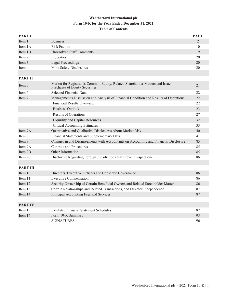# **Weatherford International plc Form 10-K for the Year Ended December 31, 2021 Table of Contents**

| <b>PART I</b>   |                                                                                                                 | <b>PAGE</b>    |
|-----------------|-----------------------------------------------------------------------------------------------------------------|----------------|
| Item 1          | <b>Business</b>                                                                                                 | $\mathfrak{D}$ |
| Item 1A         | <b>Risk Factors</b>                                                                                             | 10             |
| Item 1B         | <b>Unresolved Staff Comments</b>                                                                                | 19             |
| Item 2          | Properties                                                                                                      | 20             |
| Item 3          | <b>Legal Proceedings</b>                                                                                        | 20             |
| Item 4          | Mine Safety Disclosures                                                                                         | 20             |
|                 |                                                                                                                 |                |
| <b>PART II</b>  |                                                                                                                 |                |
| Item 5          | Market for Registrant's Common Equity, Related Shareholder Matters and Issuer<br>Purchases of Equity Securities | 21             |
| Item 6          | <b>Selected Financial Data</b>                                                                                  | 22             |
| Item 7          | Management's Discussion and Analysis of Financial Condition and Results of Operations                           | 22             |
|                 | <b>Financial Results Overview</b>                                                                               | 22             |
|                 | <b>Business Outlook</b>                                                                                         | 23             |
|                 | Results of Operations                                                                                           | 27             |
|                 | <b>Liquidity and Capital Resources</b>                                                                          | 32             |
|                 | <b>Critical Accounting Estimates</b>                                                                            | 35             |
| Item 7A         | Quantitative and Qualitative Disclosures About Market Risk                                                      | 40             |
| Item 8          | Financial Statements and Supplementary Data                                                                     | 41             |
| Item 9          | Changes in and Disagreements with Accountants on Accounting and Financial Disclosure                            | 85             |
| Item 9A         | <b>Controls and Procedures</b>                                                                                  | 85             |
| Item 9B         | Other Information                                                                                               | 85             |
| Item 9C         | Disclosure Regarding Foreign Jurisdictions that Prevent Inspections                                             | 86             |
|                 |                                                                                                                 |                |
| <b>PART III</b> |                                                                                                                 |                |
| Item 10         | Directors, Executive Officers and Corporate Governance                                                          | 86             |
| Item 11         | <b>Executive Compensation</b>                                                                                   | 86             |
| Item 12         | Security Ownership of Certain Beneficial Owners and Related Stockholder Matters                                 | 86             |
| Item 13         | Certain Relationships and Related Transactions, and Director Independence                                       | 87             |
| Item 14         | Principal Accounting Fees and Services                                                                          | 87             |
|                 |                                                                                                                 |                |
| <b>PART IV</b>  |                                                                                                                 |                |
| Item 15         | Exhibits, Financial Statement Schedules                                                                         | 87             |
| Item 16         | Form 10-K Summary                                                                                               | 95             |
|                 | <b>SIGNATURES</b>                                                                                               | 96             |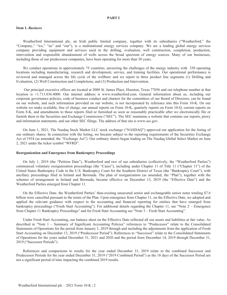# **PART I**

#### **Item 1.** *Business*

Weatherford International plc, an Irish public limited company, together with its subsidiaries ("Weatherford," the "Company," "we," "us" and "our"), is a multinational energy services company. We are a leading global energy services company providing equipment and services used in the drilling, evaluation, well construction, completion, production, intervention and responsible abandonment of wells across the broad spectrum of energy sources. Many of our businesses, including those of our predecessor companies, have been operating for more than 50 years.

We conduct operations in approximately 75 countries, answering the challenges of the energy industry with 350 operating locations including manufacturing, research and development, service, and training facilities. Our operational performance is reviewed and managed across the life cycle of the wellbore and we report in three product line segments (1) Drilling and Evaluation, (2) Well Construction and Completions, and (3) Production and Intervention.

 Our principal executive offices are located at 2000 St. James Place, Houston, Texas 77056 and our telephone number at that location is +1.713.836.4000. Our internet address is www.weatherford.com. General information about us, including our corporate governance policies, code of business conduct and charters for the committees of our Board of Directors, can be found on our website, and such information provided on our website, is not incorporated by reference into this Form 10-K. On our website we make available, free of charge, our annual reports on Form 10-K, quarterly reports on Form 10-Q, current reports on Form 8-K, and amendments to those reports filed or furnished as soon as reasonably practicable after we electronically file or furnish them to the Securities and Exchange Commission ("SEC"). The SEC maintains a website that contains our reports, proxy and information statements, and our other SEC filings. The address of that site is www.sec.gov.

On June 1, 2021, The Nasdaq Stock Market LLC stock exchange ("NASDAQ") approved our application for the listing of our ordinary shares. In connection with the listing, we became subject to the reporting requirements of the Securities Exchange Act of 1934 (as amended, the "Exchange Act"). Our ordinary shares began trading on The Nasdaq Global Select Market on June 2, 2021 under the ticker symbol "WFRD".

#### **Reorganization and Emergence from Bankruptcy Proceedings**

On July 1, 2019 (the "Petition Date"), Weatherford and two of our subsidiaries (collectively, the "Weatherford Parties") commenced voluntary reorganization proceedings (the "Cases"), including under Chapter 11 of Title 11 ("Chapter 11") of the United States Bankruptcy Code in the U.S. Bankruptcy Court for the Southern District of Texas (the "Bankruptcy Court"), with ancillary proceedings filed in Ireland and Bermuda. The plan of reorganization (as amended, the "Plan"), together with the schemes of arrangement in Ireland and Bermuda, became effective on December 13, 2019 (the "Effective Date") and the Weatherford Parties emerged from Chapter 11.

On the Effective Date, the Weatherford Parties' then-existing unsecured senior and exchangeable senior notes totaling \$7.6 billion were cancelled pursuant to the terms of the Plan. Upon emergence from Chapter 11, on the Effective Date, we adopted and applied the relevant guidance with respect to the accounting and financial reporting for entities that have emerged from bankruptcy proceedings ("Fresh Start Accounting"). For additional details regarding the Chapter 11, see "Note 2 – Emergence from Chapter 11 Bankruptcy Proceedings" and for Fresh Start Accounting see "Note 3 – Fresh Start Accounting".

Under Fresh Start Accounting, our balance sheet on the Effective Date reflected all our assets and liabilities at fair value. As described in "Note 1 – Summary of Significant Accounting Policies" references to "Predecessor" relate to the Consolidated Statements of Operations for the period from January 1, 2019 through and including the adjustments from the application of Fresh Start Accounting on December 13, 2019 ("Predecessor Period"). References to "Successor" relate to the Consolidated Statements of Operations for the years ended December 31, 2021 and 2020 and the period from December 14, 2019 through December 31, 2019 ("Successor Periods").

References and comparisons to results for the year ended December 31, 2019 relate to the combined Successor and Predecessor Periods for the year ended December 31, 2019 ("2019 Combined Period") as the 18 days of the Successor Period are not a significant period of time impacting the combined 2019 results.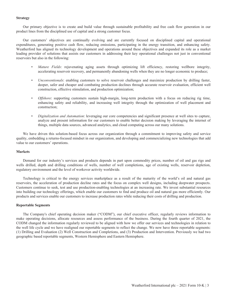# **Strategy**

Our primary objective is to create and build value through sustainable profitability and free cash flow generation in our product lines from the disciplined use of capital and a strong customer focus.

Our customers' objectives are continually evolving and are currently focused on disciplined capital and operational expenditures, generating positive cash flow, reducing emissions, participating in the energy transition, and enhancing safety. Weatherford has aligned its technology development and operations around these objectives and expanded its role as a market leading provider of solutions that assists our customers in addressing their key operational challenges not just in conventional reservoirs but also in the following:

- *Mature Fields*: rejuvenating aging assets through optimizing lift efficiency, restoring wellbore integrity, accelerating reservoir recovery, and permanently abandoning wells when they are no longer economic to produce;
- *Unconventionals*: enabling customers to solve reservoir challenges and maximize production by drilling faster, deeper, safer and cheaper and combating production declines through accurate reservoir evaluation, efficient well construction, effective stimulation, and production optimization;
- *Offshore*: supporting customers sustain high-margin, long-term production with a focus on reducing rig time, enhancing safety and reliability, and increasing well integrity through the optimization of well placement and construction;
- *Digitalization and Automation*: leveraging our core competencies and significant presence at well sites to capture, analyze and present information for our customers to enable better decision making by leveraging the internet of things, multiple data sources, advanced analytics, and cloud computing across our many solutions.

We have driven this solution-based focus across our organization through a commitment to improving safety and service quality, embedding a returns-focused mindset in our organization, and developing and commercializing new technologies that add value to our customers' operations.

# **Markets**

Demand for our industry's services and products depends in part upon commodity prices, number of oil and gas rigs and wells drilled, depth and drilling conditions of wells, number of well completions, age of existing wells, reservoir depletion, regulatory environment and the level of workover activity worldwide.

Technology is critical to the energy services marketplace as a result of the maturity of the world's oil and natural gas reservoirs, the acceleration of production decline rates and the focus on complex well designs, including deepwater prospects. Customers continue to seek, test and use production-enabling technologies at an increasing rate. We invest substantial resources into building our technology offerings, which enable our customers to find and produce oil and natural gas more efficiently. Our products and services enable our customers to increase production rates while reducing their costs of drilling and production.

# **Reportable Segments**

The Company's chief operating decision maker ("CODM"), our chief executive officer, regularly reviews information to make operating decisions, allocate resources and assess performance of the business. During the fourth quarter of 2021, the CODM changed the information regularly reviewed to be aligned with how we offer our services and technologies in relation to the well life cycle and we have realigned our reportable segments to reflect the change. We now have three reportable segments: (1) Drilling and Evaluation (2) Well Construction and Completions, and (3) Production and Intervention. Previously we had two geographic based reportable segments, Western Hemisphere and Eastern Hemisphere.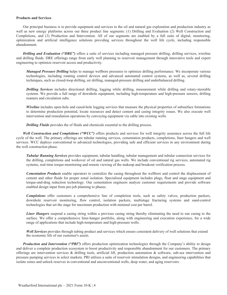# **Products and Services**

Our principal business is to provide equipment and services to the oil and natural gas exploration and production industry as well as new energy platforms across our three product line segments: (1) Drilling and Evaluation (2) Well Construction and Completions, and (3) Production and Intervention. All of our segments are enabled by a full suite of digital, monitoring, optimization and artificial intelligence solutions providing services throughout the well life cycle, including responsible abandonment.

*Drilling and Evaluation ("DRE")* offers a suite of services including managed pressure drilling, drilling services, wireline and drilling fluids. DRE offerings range from early well planning to reservoir management through innovative tools and expert engineering to optimize reservoir access and productivity.

*Managed Pressure Drilling* helps to manage wellbore pressures to optimize drilling performance. We incorporate various technologies, including rotating control devices and advanced automated control systems, as well as, several drilling techniques, such as closed-loop drilling, air drilling, managed-pressure drilling and underbalanced drilling.

*Drilling Services* includes directional drilling, logging while drilling, measurement while drilling and rotary-steerable systems. We provide a full range of downhole equipment, including high-temperature and high-pressure sensors, drilling reamers and circulation subs.

*Wireline* includes open-hole and cased-hole logging services that measure the physical properties of subsurface formations to determine production potential, locate resources and detect cement and casing integrity issues. We also execute well intervention and remediation operations by conveying equipment via cable into existing wells.

*Drilling Fluids* provides the of fluids and chemicals essential to the drilling process.

*Well Construction and Completions ("WCC")* offers products and services for well integrity assurance across the full life cycle of the well. The primary offerings are tubular running services, cementation products, completions, liner hangers and well services. WCC deploys conventional to advanced technologies, providing safe and efficient services in any environment during the well construction phase.

*Tubular Running Services* provides equipment, tubular handling, tubular management and tubular connection services for the drilling, completions and workover of oil and natural gas wells. We include conventional rig services, automated rig systems, real-time torque-monitoring and remote viewing of the makeup and breakout verification process.

*Cementation Products* enable operators to centralize the casing throughout the wellbore and control the displacement of cement and other fluids for proper zonal isolation. Specialized equipment includes plugs, float and stage equipment and torque-and-drag reduction technology. Our cementation engineers analyze customer requirements and provide software enabled design input from pre-job planning to phases.

*Completions* offer customers a comprehensive line of completion tools, such as safety valves, production packers, downhole reservoir monitoring, flow control, isolation packers, multistage fracturing systems and sand-control technologies that set the stage for maximum production with minimal cost per barrel.

*Liner Hangers* suspend a casing string within a previous casing string thereby eliminating the need to run casing to the surface. We offer a comprehensive liner-hanger portfolio, along with engineering and execution experience, for a wide range of applications that include high-temperature and high-pressure wells.

*Well Services* provides through tubing product and services which ensure consistent delivery of well solutions that extend the economic life of our customer's assets.

**Production and Intervention ("PRI")** offers production optimization technologies through the Company's ability to design and deliver a complete production ecosystem to boost productivity and responsible abandonment for our customers. The primary offerings are intervention services & drilling tools, artificial lift, production automation & software, sub-sea intervention and pressure pumping services in select markets. PRI utilizes a suite of reservoir stimulation designs, and engineering capabilities that isolate zones and unlock reserves in conventional and unconventional wells, deep water, and aging reservoirs.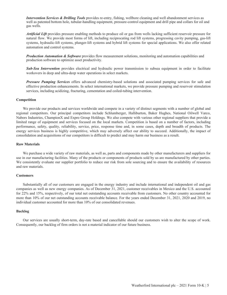*Intervention Services & Drilling Tools* provides re-entry, fishing, wellbore cleaning and well abandonment services as well as patented bottom hole, tubular-handling equipment, pressure-control equipment and drill pipe and collars for oil and gas wells.

*Artificial Lift* provides pressure enabling methods to produce oil or gas from wells lacking sufficient reservoir pressure for natural flow. We provide most forms of lift, including reciprocating rod lift systems, progressing cavity pumping, gas-lift systems, hydraulic-lift systems, plunger-lift systems and hybrid lift systems for special applications. We also offer related automation and control systems.

*Production Automation & Software* provides flow measurement solutions, monitoring and automation capabilities and production software to optimize asset productivity.

*Sub-Sea Intervention* provides electrical and hydraulic power transmission to subsea equipment in order to facilitate workovers in deep and ultra-deep water operations in select markets.

*Pressure Pumping Services* offers advanced chemistry-based solutions and associated pumping services for safe and effective production enhancements. In select international markets, we provide pressure pumping and reservoir stimulation services, including acidizing, fracturing, cementation and coiled-tubing intervention.

# **Competition**

We provide our products and services worldwide and compete in a variety of distinct segments with a number of global and regional competitors. Our principal competitors include Schlumberger, Halliburton, Baker Hughes, National Oilwell Varco, Nabors Industries, ChampionX and Expro Group Holdings. We also compete with various other regional suppliers that provide a limited range of equipment and services focused on the local markets. Competition is based on a number of factors, including performance, safety, quality, reliability, service, price, response time and, in some cases, depth and breadth of products. The energy services business is highly competitive, which may adversely affect our ability to succeed. Additionally, the impact of consolidation and acquisitions of our competitors is difficult to predict and may harm our business as a result.

#### **Raw Materials**

We purchase a wide variety of raw materials, as well as, parts and components made by other manufacturers and suppliers for use in our manufacturing facilities. Many of the products or components of products sold by us are manufactured by other parties. We consistently evaluate our supplier portfolio to reduce our risk from sole sourcing and to ensure the availability of resources and raw materials.

#### **Customers**

Substantially all of our customers are engaged in the energy industry and include international and independent oil and gas companies as well as new energy companies. As of December 31, 2021, customer receivables in Mexico and the U.S. accounted for 22% and 15%, respectively, of our total net outstanding accounts receivable from customers. No other country accounted for more than 10% of our net outstanding accounts receivable balance. For the years ended December 31, 2021, 2020 and 2019, no individual customer accounted for more than 10% of our consolidated revenues.

#### **Backlog**

Our services are usually short-term, day-rate based and cancellable should our customers wish to alter the scope of work. Consequently, our backlog of firm orders is not a material indicator of our future business.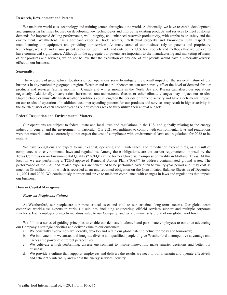#### **Research, Development and Patents**

We maintain world-class technology and training centers throughout the world. Additionally, we have research, development and engineering facilities focused on developing new technologies and improving existing products and services to meet customer demands for improved drilling performance, well integrity, and enhanced reservoir productivity, with emphasis on safety and the environment. Weatherford has significant expertise, trade secrets, intellectual property and know-how with respect to manufacturing our equipment and providing our services. As many areas of our business rely on patents and proprietary technology, we seek and ensure patent protection both inside and outside the U.S. for products and methods that we believe to have commercial significance. Although in the aggregate our patents are important to the manufacturing and marketing of many of our products and services, we do not believe that the expiration of any one of our patents would have a materially adverse effect on our business.

#### **Seasonality**

The widespread geographical locations of our operations serve to mitigate the overall impact of the seasonal nature of our business in any particular geographic region. Weather and natural phenomena can temporarily affect the level of demand for our products and services. Spring months in Canada and winter months in the North Sea and Russia can affect our operations negatively. Additionally, heavy rains, hurricanes, unusual extreme freezes or other climate changes may impact our results. Unpredictable or unusually harsh weather conditions could lengthen the periods of reduced activity and have a detrimental impact on our results of operations. In addition, customer spending patterns for our products and services may result in higher activity in the fourth quarter of each calendar year as our customers seek to fully utilize their annual budgets.

#### **Federal Regulation and Environmental Matters**

Our operations are subject to federal, state and local laws and regulations in the U.S. and globally relating to the energy industry in general and the environment in particular. Our 2021 expenditures to comply with environmental laws and regulations were not material, and we currently do not expect the cost of compliance with environmental laws and regulations for 2022 to be material.

We have obligations and expect to incur capital, operating and maintenance, and remediation expenditures, as a result of compliance with environmental laws and regulations. Among those obligations, are the current requirements imposed by the Texas Commission on Environmental Quality ("TCEQ") at the former Universal Compression facility in Midland, Texas. At this location we are performing a TCEQ-approved Remedial Action Plan ("RAP") to address contaminated ground water. The performance of the RAP and related expenses are scheduled to be performed over a ten to twenty-year period and, may cost as much as \$6 million, all of which is recorded as an undiscounted obligation on the Consolidated Balance Sheets as of December 31, 2021 and 2020. We continuously monitor and strive to maintain compliance with changes in laws and regulations that impact our business.

#### **Human Capital Management**

#### *Focus on People and Culture*

At Weatherford, our people are our most critical asset and vital to our sustained long-term success. Our global team comprises world-class experts in various disciplines, including engineering, oilfield services support and multiple corporate functions. Each employee brings tremendous value to our Company, and we are immensely proud of our global workforce.

We follow a series of guiding principles to enable our dedicated, talented and passionate employees to continue advancing our Company's strategic priorities and deliver value to our customers:

- a. We constantly evolve how we identify, develop and retain our global talent pipeline for today and tomorrow;
- b. We innovate how we attract and integrate diverse and qualified people to give Weatherford a competitive advantage and harness the power of different perspectives;
- c. We cultivate a high-performing, diverse environment to inspire innovation, make smarter decisions and better our business;
- d. We provide a culture that supports employees and delivers the results we need to build, sustain and operate effectively and efficiently internally and within the energy services industry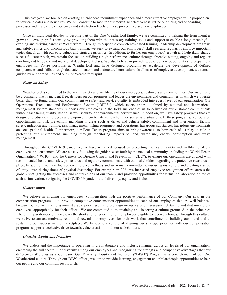This past year, we focused on creating an enhanced recruitment experience and a more attractive employee value proposition for our candidates and new hires. We will continue to monitor our recruiting effectiveness, refine our hiring and onboarding processes and review the experiences and satisfaction levels of these prospective and new employees.

Once an individual decides to become part of the One Weatherford family, we are committed to helping the team member grow and develop professionally by providing them with the necessary training, tools and support to enable a long, meaningful, exciting and thriving career at Weatherford. Through role-specific competency-based training, leadership development programs and safety, ethics and unconscious bias training, we seek to expand our employees' skill sets and regularly reinforce important topics that align with our core values and strategic priorities. In addition, to further our employees' growth and help them chart a successful career path, we remain focused on building a high-performance culture through objective setting, ongoing and regular coaching and feedback and individual development plans. We also believe in providing development opportunities to prepare our employees for future positions at Weatherford and have designed programs to accelerate the development of defined competencies and skills through dedicated mentors and a structured curriculum. In all cases of employee development, we remain guided by our core values and our One Weatherford spirit.

# *Focus on Safety*

Weatherford is committed to the health, safety and well-being of our employees, customers and communities. Our vision is to be a company that is incident free, delivers on our promises and leaves the environments and communities in which we operate better than we found them. Our commitment to safety and service quality is embedded into every level of our organization. Our Operational Excellence and Performance System ("OEPS"), which meets criteria outlined by national and international management system standards, supports our employees in the field and enables us to deliver on our customer commitments without sacrificing quality, health, safety, security or environmental performance. In addition, we have safety programs that are designed to educate employees and empower them to intervene when they see unsafe situations. In these programs, we focus on opportunities for risk prevention, including in areas such as driver and vehicle safety, commitment and intervention, facility safety, induction and training, risk management, lifting equipment and operations, hazardous substances, hazardous environments and occupational health. Furthermore, our Four Tenets program aims to bring awareness to how each of us plays a role in protecting our environment, including through monitoring impacts to land, water use, energy consumption and waste management.

Throughout the COVID-19 pandemic, we have remained focused on protecting the health, safety and well-being of our employees and customers. We are closely following the guidance set forth by the medical community, including the World Health Organization ("WHO") and the Centers for Disease Control and Prevention ("CDC"), to ensure our operations are aligned with recommended health and safety procedures and regularly communicate with our stakeholders regarding the protective measures in place. In addition, we have focused on employee wellness and we remain committed to nurturing our culture and creating a sense of unity, even during times of physical distancing. For example, in 2021 we increased employee recognition efforts across the globe - spotlighting the successes and contributions of our team - and provided opportunities for virtual collaboration on topics such as innovation, navigating the COVID-19 pandemic and diversity, equity and inclusion.

#### *Compensation*

We believe in aligning our employees' compensation with the positive performance of our Company. Our goal in our compensation programs is to provide competitive compensation opportunities to each of our employees that are well-balanced between our current and long-term strategic priorities, that discourage excessive or unnecessary risk taking and that reward our employees appropriately for their efforts. We are committed to maintaining and fostering a culture grounded in the principles inherent in pay-for-performance over the short and long-term for our employees eligible to receive a bonus. Through this culture, we strive to attract, motivate, retain and reward our employees for their work that contributes to building our brand and to sustaining our success in the marketplace. We believe our culture of aligning our strategic priorities with our compensation programs supports a cohesive drive towards value creation for all our stakeholders.

#### *Diversity, Equity and Inclusion*

We understand the importance of operating in a collaborative and inclusive manner across all levels of our organization, embracing the full spectrum of diversity among our employees and recognizing the strength and competitive advantages that our differences afford us as a Company. Our Diversity, Equity and Inclusion ("DE&I") Program is a core element of our One Weatherford culture. Through our DE&I efforts, we aim to provide learning, engagement and philanthropic opportunities to help our people and our communities flourish.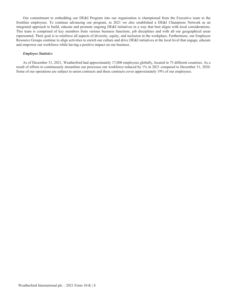Our commitment to embedding our DE&I Program into our organization is championed from the Executive team to the frontline employees. To continue advancing our program, in 2021 we also established a DE&I Champions Network as an integrated approach to build, educate and promote ongoing DE&I initiatives in a way that best aligns with local considerations. This team is comprised of key members from various business functions, job disciplines and with all our geographical areas represented. Their goal is to reinforce all aspects of diversity, equity, and inclusion in the workplace. Furthermore, our Employee Resource Groups continue to align activities to enrich our culture and drive DE&I initiatives at the local level that engage, educate and empower our workforce while having a positive impact on our business.

# *Employee Statistics*

As of December 31, 2021, Weatherford had approximately 17,000 employees globally, located in 75 different countries. As a result of efforts to continuously streamline our processes our workforce reduced by 1% in 2021 compared to December 31, 2020. Some of our operations are subject to union contracts and these contracts cover approximately 19% of our employees.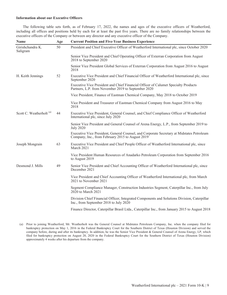# **Information about our Executive Officers**

The following table sets forth, as of February 17, 2022, the names and ages of the executive officers of Weatherford, including all offices and positions held by each for at least the past five years. There are no family relationships between the executive officers of the Company or between any director and any executive officer of the Company.

| <b>Name</b>                         | Age | <b>Current Position and Five-Year Business Experience</b>                                                                                     |
|-------------------------------------|-----|-----------------------------------------------------------------------------------------------------------------------------------------------|
| Girishchandra K.<br>Saligram        | 50  | President and Chief Executive Officer of Weatherford International plc, since October 2020                                                    |
|                                     |     | Senior Vice President and Chief Operating Officer of Externan Corporation from August<br>2018 to September 2020                               |
|                                     |     | Senior Vice President Global Services of Exterran Corporation from August 2016 to August<br>2018                                              |
| H. Keith Jennings                   | 52  | Executive Vice President and Chief Financial Officer of Weatherford International plc, since<br>September 2020                                |
|                                     |     | Executive Vice President and Chief Financial Officer of Calumet Specialty Products<br>Partners, L.P. from November 2019 to September 2020     |
|                                     |     | Vice President, Finance of Eastman Chemical Company, May 2018 to October 2019                                                                 |
|                                     |     | Vice President and Treasurer of Eastman Chemical Company from August 2016 to May<br>2018                                                      |
| Scott C. Weatherholt <sup>(a)</sup> | 44  | Executive Vice President, General Counsel, and Chief Compliance Officer of Weatherford<br>International plc, since July 2020                  |
|                                     |     | Senior Vice President and General Counsel of Arena Energy, L.P., from September 2019 to<br><b>July 2020</b>                                   |
|                                     |     | Executive Vice President, General Counsel, and Corporate Secretary at Midstates Petroleum<br>Company, Inc., from February 2015 to August 2019 |
| Joseph Mongrain                     | 63  | Executive Vice President and Chief People Officer of Weatherford International plc, since<br>March 2021                                       |
|                                     |     | Vice President Human Resources of Anadarko Petroleum Corporation from September 2016<br>to August 2019                                        |
| Desmond J. Mills                    | 49  | Senior Vice President and Chief Accounting Officer of Weatherford International plc, since<br>December 2021                                   |
|                                     |     | Vice President and Chief Accounting Officer of Weatherford International plc, from March<br>2021 to November 2021                             |
|                                     |     | Segment Compliance Manager, Construction Industries Segment, Caterpillar Inc., from July<br>2020 to March 2021                                |
|                                     |     | Division Chief Financial Officer, Integrated Components and Solutions Division, Caterpillar<br>Inc., from September 2018 to July 2020         |
|                                     |     | Finance Director, Caterpillar Brasil Ltda., Caterpillar Inc., from January 2015 to August 2018                                                |

(a) Prior to joining Weatherford, Mr. Weatherholt was the General Counsel at Midstates Petroleum Company, Inc. when the company filed for bankruptcy protection on May 1, 2016 in the Federal Bankruptcy Court for the Southern District of Texas (Houston Division) and served the company before, during and after its bankruptcy. In addition, he was the Senior Vice President & General Counsel of Arena Energy, LP, which filed for bankruptcy protection on August 20, 2020 in the Federal Bankruptcy Court for the Southern District of Texas (Houston Division) approximately 4 weeks after his departure from the company.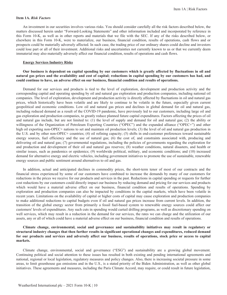#### **Item 1A.** *Risk Factors*

An investment in our securities involves various risks. You should consider carefully all the risk factors described below, the matters discussed herein under "Forward-Looking Statements" and other information included and incorporated by reference in this Form 10-K, as well as in other reports and materials that we file with the SEC. If any of the risks described below, or elsewhere in this Form 10-K, were to materialize, our business, financial condition, results of operations, cash flows and or prospects could be materially adversely affected. In such case, the trading price of our ordinary shares could decline and investors could lose part or all of their investment. Additional risks and uncertainties not currently known to us or that we currently deem immaterial may also materially adversely affect our financial condition, results of operations and cash flows.

#### **Energy Services Industry Risks**

# **Our business is dependent on capital spending by our customers which is greatly affected by fluctuations in oil and natural gas prices and the availability and cost of capital; reductions in capital spending by our customers has had, and could continue to have, an adverse effect on our business, financial condition and results of operations.**

Demand for our services and products is tied to the level of exploration, development and production activity and the corresponding capital and operating spending by oil and natural gas exploration and production companies, including national oil companies. The level of exploration, development and production activity is directly affected by fluctuations in oil and natural gas prices, which historically have been volatile and are likely to continue to be volatile in the future, especially given current geopolitical and economic conditions. Low oil and natural gas prices and declines in global demand for oil and natural gas, including reduced demand as a result of the COVID-19 pandemic, have previously led to our customers, including large oil and gas exploration and production companies, to greatly reduce planned future capital expenditures. Factors affecting the prices of oil and natural gas include, but are not limited to: (1) the level of supply and demand for oil and natural gas; (2) the ability or willingness of the Organization of Petroleum Exporting Countries ("OPEC") and the expanded alliance ("OPEC+") and other high oil exporting non-OPEC+ nations to set and maintain oil production levels; (3) the level of oil and natural gas production in the U.S. and by other non-OPEC+ countries; (4) oil refining capacity; (5) shifts in end-customer preferences toward sustainable energy sources, fuel efficiency and the use of natural gas; (6) the cost of, and constraints associated with, producing and delivering oil and natural gas; (7) governmental regulations, including the policies of governments regarding the exploration for and production and development of their oil and natural gas reserves; (8) weather conditions, natural disasters, and health or similar issues, such as pandemics or epidemics; (9) worldwide political, military, and economic conditions; and (10) increased demand for alternative energy and electric vehicles, including government initiatives to promote the use of sustainable, renewable energy sources and public sentiment around alternatives to oil and gas.

In addition, actual and anticipated declines in commodity prices, the short-term tenor of most of our contracts and the financial stress experienced by some of our customers have combined to increase the demands by many of our customers for reductions in the prices we receive for our products and services in the past. Reductions in capital spending or requests for further cost reductions by our customers could directly impact our business by reducing demand and pricing for our services and products which would have a material adverse effect on our business, financial condition and results of operations. Spending by exploration and production companies can also be impacted by conditions in the capital markets, which have been volatile in recent years. Limitations on the availability of capital or higher costs of capital may cause exploration and production companies to make additional reductions to capital budgets even if oil and natural gas prices increase from current levels. In addition, the transition of the global energy sector from primarily a fossil fuel-based system to renewable energy sources could affect our customers' levels of expenditures. Any such cuts in spending would curtail drilling programs, as well as discretionary spending on well services, which may result in a reduction in the demand for our services, the rates we can charge and the utilization of our assets, any or all of which could have a material adverse effect on our business, financial condition and results of operations.

# **Climate change, environmental, social and governance and sustainability initiatives may result in regulatory or structural industry changes that then further results in significant operational changes and expenditures, reduced demand for our products and services and adversely affect our business, results of operations, stock price or access to capital markets.**

Climate change, environmental, social and governance ("ESG") and sustainability are a growing global movement. Continuing political and social attention to these issues has resulted in both existing and pending international agreements and national, regional or local legislation, regulatory measures and policy changes. Also, there is increasing societal pressure in some areas, to limit greenhouse gas emissions and in the U.S., is a stated priority of the Biden Administration, as well as other global initiatives. These agreements and measures, including the Paris Climate Accord, may require, or could result in future legislation,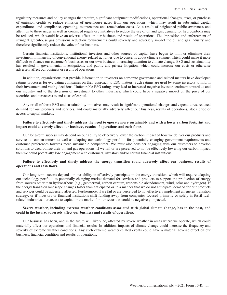regulatory measures and policy changes that require, significant equipment modifications, operational changes, taxes, or purchase of emission credits to reduce emission of greenhouse gases from our operations, which may result in substantial capital expenditures and compliance, operating, maintenance and remediation costs. As a result of heightened public awareness and attention to these issues as well as continued regulatory initiatives to reduce the use of oil and gas, demand for hydrocarbons may be reduced, which would have an adverse effect on our business and results of operations. The imposition and enforcement of stringent greenhouse gas emissions reduction requirements could severely and adversely impact the oil and gas industry and therefore significantly reduce the value of our business.

Certain financial institutions, institutional investors and other sources of capital have begun to limit or eliminate their investment in financing of conventional energy-related activities due to concerns about climate change, which could make it more difficult to finance our customer's businesses or our own business. Increasing attention to climate change, ESG and sustainability has resulted in governmental investigations, and public and private litigation, which could increase our costs or otherwise adversely affect our business or results of operations.

In addition, organizations that provide information to investors on corporate governance and related matters have developed ratings processes for evaluating companies on their approach to ESG matters. Such ratings are used by some investors to inform their investment and voting decisions. Unfavorable ESG ratings may lead to increased negative investor sentiment toward us and our industry and to the diversion of investment to other industries, which could have a negative impact on the price of our securities and our access to and costs of capital.

Any or all of these ESG and sustainability initiatives may result in significant operational changes and expenditures, reduced demand for our products and services, and could materially adversely affect our business, results of operations, stock price or access to capital markets.

## **Failure to effectively and timely address the need to operate more sustainably and with a lower carbon footprint and impact could adversely affect our business, results of operations and cash flows.**

Our long-term success may depend on our ability to effectively lower the carbon impact of how we deliver our products and services to our customers as well as adapting our technology portfolio for potentially changing government requirements and customer preferences towards more sustainable competitors. We must also consider engaging with our customers to develop solutions to decarbonize their oil and gas operations. If we fail or are perceived to not be effectively lowering our carbon impact, then we could potentially lose engagement with customers, investors and/or certain financial institutions.

# **Failure to effectively and timely address the energy transition could adversely affect our business, results of operations and cash flows.**

Our long-term success depends on our ability to effectively participate in the energy transition, which will require adapting our technology portfolio to potentially changing market demand for services and products to support the production of energy from sources other than hydrocarbons (e.g., geothermal, carbon capture, responsible abandonment, wind, solar and hydrogen). If the energy transition landscape changes faster than anticipated or in a manner that we do not anticipate, demand for our products and services could be adversely affected. Furthermore, if we fail or are perceived to not effectively implement an energy transition strategy, or if investors or financial institutions shift funding away from companies focused primarily or solely in fossil fuelrelated industries, our access to capital or the market for our securities could be negatively impacted.

# **Severe weather, including extreme weather conditions associated with global climate change, has in the past, and could in the future, adversely affect our business and results of operations.**

Our business has been, and in the future will likely be, affected by severe weather in areas where we operate, which could materially affect our operations and financial results. In addition, impacts of climate change could increase the frequency and severity of extreme weather conditions. Any such extreme weather-related events could have a material adverse effect on our business, financial condition and results of operations.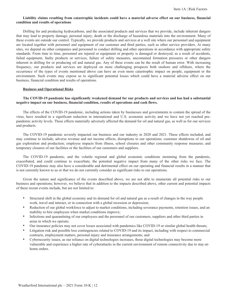# **Liability claims resulting from catastrophic incidents could have a material adverse effect on our business, financial condition and results of operations**

Drilling for and producing hydrocarbons, and the associated products and services that we provide, include inherent dangers that may lead to property damage, personal injury, death or the discharge of hazardous materials into the environment. Many of these events are outside our control. Typically, we provide products and services at a well site where our personnel and equipment are located together with personnel and equipment of our customer and third parties, such as other service providers. At many sites, we depend on other companies and personnel to conduct drilling and other operations in accordance with appropriate safety standards. From time to time, personnel are injured or equipment or property is damaged or destroyed, as a result of accidents, failed equipment, faulty products or services, failure of safety measures, uncontained formation pressures or other dangers inherent in drilling for or producing oil and natural gas. Any of these events can be the result of human error. With increasing frequency, our products and services are deployed on more challenging prospects both onshore and offshore, where the occurrence of the types of events mentioned above can have an even more catastrophic impact on people, equipment or the environment. Such events may expose us to significant potential losses which could have a material adverse effect on our business, financial condition and results of operations.

# **Business and Operational Risks**

# **The COVID-19 pandemic has significantly weakened demand for our products and services and has had a substantial negative impact on our business, financial condition, results of operations and cash flows.**

The effects of the COVID-19 pandemic, including actions taken by businesses and governments to contain the spread of the virus, have resulted in a significant reduction in international and U.S. economic activity and we have not yet reached prepandemic activity levels. These effects materially adversely affected the demand for oil and natural gas, as well as for our services and products.

The COVID-19 pandemic severely impacted our business and our industry in 2020 and 2021. These effects included, and may continue to include, adverse revenue and net income effects; disruptions to our operations; customer shutdowns of oil and gas exploration and production; employee impacts from illness, school closures and other community response measures; and temporary closures of our facilities or the facilities of our customers and suppliers.

The COVID-19 pandemic, and the volatile regional and global economic conditions stemming from the pandemic, exacerbated, and could continue to exacerbate, the potential negative impact from many of the other risks we face. The COVID-19 pandemic may also have a considerable and detrimental effect on our operating and financial results in a manner that is not currently known to us or that we do not currently consider as significant risks to our operations.

Given the nature and significance of the events described above, we are not able to enumerate all potential risks to our business and operations; however, we believe that in addition to the impacts described above, other current and potential impacts of these recent events include, but are not limited to:

- Structural shift in the global economy and its demand for oil and natural gas as a result of changes in the way people work, travel and interact, or in connection with a global recession or depression;
- Reduction of our global workforce to adjust to market conditions, including severance payments, retention issues, and an inability to hire employees when market conditions improve;
- Infections and quarantining of our employees and the personnel of our customers, suppliers and other third parties in areas in which we operate;
- Our insurance policies may not cover losses associated with pandemics like COVID-19 or similar global health threats;
- Litigation risk and possible loss contingencies related to COVID-19 and its impact, including with respect to commercial contracts, employment matters, personal injury and insurance arrangements; and
- Cybersecurity issues, as our reliance on digital technologies increases, those digital technologies may become more vulnerable and experience a higher rate of cyberattacks in the current environment of remote connectivity due to stay-athome orders.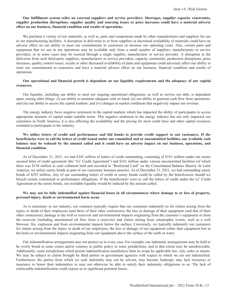# **Our fulfillment system relies on external suppliers and service providers. Shortages, supplier capacity constraints, supplier production disruptions, supplier quality and sourcing issues or price increases could have a material adverse effect on our business, financial condition and results of operations.**

We purchase a variety of raw materials, as well as, parts and components made by other manufacturers and suppliers for use in our manufacturing facilities. A disruption in deliveries to or from suppliers or decreased availability of materials could have an adverse effect on our ability to meet our commitments to customers or increase our operating costs. Also, certain parts and equipment that we use in our operations may be available only from a small number of suppliers, manufacturers or service providers, or in some cases may be sourced through a single supplier, manufacturer or service provider. A disruption in the deliveries from such third-party suppliers, manufacturers or service providers, capacity constraints, production disruptions, price increases, quality control issues, recalls or other decreased availability of parts and equipment could adversely affect our ability to meet our commitments to customers and have a material adverse effect on our business, financial condition and results of operations.

# **Our operational and financial growth is dependent on our liquidity requirements and the adequacy of our capital resources.**

Our liquidity, including our ability to meet our ongoing operational obligations, as well as service our debt, is dependent upon, among other things: (i) our ability to maintain adequate cash on hand; (ii) our ability to generate cash flow from operations; and (iii) our ability to access the capital markets; and (iv) changes in market conditions that negatively impact our revenue.

The energy industry faces negative sentiment in the capital markets which has impacted the ability of participants to access appropriate amounts of capital under suitable terms. This negative sentiment in the energy industry has not only impacted our customers in North America, it is also affecting the availability and the pricing for most credit lines and other capital resources extended to participants in the industry.

# **We utilize letters of credit and performance and bid bonds to provide credit support to our customers. If the beneficiaries were to call the letters of credit issued under our committed and or uncommitted facilities, our available cash balance may be reduced by the amount called and it could have an adverse impact on our business, operations, and financial condition.**

As of December 31, 2021, we had \$342 million of letters of credit outstanding, consisting of \$181 million under our senior secured letter of credit agreement (the "LC Credit Agreement") and \$161 million under various uncommitted facilities (of which there was \$158 million in cash collateral held and recorded in "Restricted Cash" on the Consolidated Balance Sheets). In Latin America, we utilize surety bonds as part of our customary business practice. As of December 31, 2021, we had outstanding surety bonds of \$293 million. Any of our outstanding letters of credit or surety bonds could be called by the beneficiaries should we breach certain contractual or performance obligations. If the beneficiaries were to call the letters of credit under the LC Credit Agreement or the surety bonds, our available liquidity would be reduced by the amount called.

# **We may not be fully indemnified against financial losses in all circumstances where damage to or loss of property, personal injury, death or environmental harm occur.**

As is customary in our industry, our contracts typically require that our customers indemnify us for claims arising from the injury or death of their employees (and those of their other contractors), the loss or damage of their equipment (and that of their other contractors), damage to the well or reservoir and environmental impacts originating from the customer's equipment or from the reservoir (including uncontained oil flow from a reservoir) and claims arising from catastrophic events, such as a well blowout, fire, explosion and from environmental impacts below the surface. Conversely, we typically indemnify our customers for claims arising from the injury or death of our employees, the loss or damage of our equipment (other than equipment lost in the hole) or environmental impacts originating from our equipment above the surface of the earth or water.

Our indemnification arrangements may not protect us in every case. For example, our indemnity arrangements may be held to be overly broad in some courts and/or contrary to public policy in some jurisdictions, and to that extent may be unenforceable. Additionally, some jurisdictions which permit indemnification nonetheless limit its scope by applicable law, rule, order or statute. We may be subject to claims brought by third parties or government agencies with respect to which we are not indemnified. Furthermore, the parties from which we seek indemnity may not be solvent, may become bankrupt, may lack resources or insurance to honor their indemnities or may not otherwise be able to satisfy their indemnity obligations to us. The lack of enforceable indemnification could expose us to significant potential losses.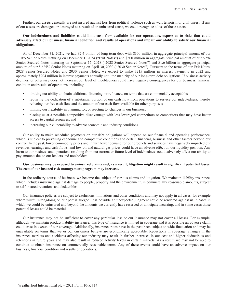Further, our assets generally are not insured against loss from political violence such as war, terrorism or civil unrest. If any of our assets are damaged or destroyed as a result of an uninsured cause, we could recognize a loss of those assets.

# **Our indebtedness and liabilities could limit cash flow available for our operations, expose us to risks that could adversely affect our business, financial condition and results of operations and impair our ability to satisfy our financial obligations.**

As of December 31, 2021, we had \$2.4 billion of long-term debt with \$300 million in aggregate principal amount of our 11.0% Senior Notes maturing on December 1, 2024 ("Exit Notes") and \$500 million in aggregate principal amount of our 6.5% Senior Secured Notes maturing on September 15, 2028 ("2028 Senior Secured Notes") and \$1.6 billion in aggregate principal amount of our 8.625% Senior Notes maturing on April 30, 2030 ("2030 Senior Notes"). Pursuant to the terms of our Exit Notes, 2028 Senior Secured Notes and 2030 Senior Notes, we expect to make \$215 million in interest payments in 2022 and approximately \$204 million in interest payments annually until the maturity of our long-term debt obligations. If business activity declines, or otherwise does not increase, our level of indebtedness could have negative consequences for our business, financial condition and results of operations, including:

- limiting our ability to obtain additional financing, or refinance, on terms that are commercially acceptable;
- requiring the dedication of a substantial portion of our cash flow from operations to service our indebtedness, thereby reducing our free cash flow and the amount of our cash flow available for other purposes;
- limiting our flexibility in planning for, or reacting to, changes in our business;
- placing us at a possible competitive disadvantage with less leveraged competitors or competitors that may have better access to capital resources; and
- increasing our vulnerability to adverse economic and industry conditions.

Our ability to make scheduled payments on our debt obligations will depend on our financial and operating performance, which is subject to prevailing economic and competitive conditions and certain financial, business and other factors beyond our control. In the past, lower commodity prices and in turn lower demand for our products and services have negatively impacted our revenues, earnings and cash flows, and low oil and natural gas prices could have an adverse effect on our liquidity position. Any harm to our business and operations resulting from our current or future level of indebtedness could adversely affect our ability to pay amounts due to our lenders and noteholders.

# **Our business may be exposed to uninsured claims and, as a result, litigation might result in significant potential losses. The cost of our insured risk management program may increase.**

In the ordinary course of business, we become the subject of various claims and litigation. We maintain liability insurance, which includes insurance against damage to people, property and the environment, in commercially reasonable amounts, subject to self-insured retentions and deductibles.

Our insurance policies are subject to exclusions, limitations and other conditions and may not apply in all cases, for example where willful wrongdoing on our part is alleged. It is possible an unexpected judgment could be rendered against us in cases in which we could be uninsured and beyond the amounts we currently have reserved or anticipate incurring, and in some cases those potential losses could be material.

Our insurance may not be sufficient to cover any particular loss or our insurance may not cover all losses. For example, although we maintain product liability insurance, this type of insurance is limited in coverage and it is possible an adverse claim could arise in excess of our coverage. Additionally, insurance rates have in the past been subject to wide fluctuation and may be unavailable on terms that we or our customers believe are economically acceptable. Reductions in coverage, changes in the insurance markets and accidents affecting our industry may result in further increases in our cost and higher deductibles and retentions in future years and may also result in reduced activity levels in certain markets. As a result, we may not be able to continue to obtain insurance on commercially reasonable terms. Any of these events could have an adverse impact on our business, financial condition and results of operations.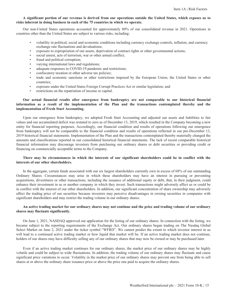# **A significant portion of our revenue is derived from our operations outside the United States, which exposes us to risks inherent in doing business in each of the 75 countries in which we operate.**

Our non-United States operations accounted for approximately 80% of our consolidated revenue in 2021. Operations in countries other than the United States are subject to various risks, including:

- volatility in political, social and economic conditions including currency exchange controls, inflation, and currency exchange rate fluctuations and devaluations;
- exposure to expropriation of our assets, deprivation of contract rights or other governmental actions;
- social unrest, acts of terrorism, war or other armed conflict;
- fraud and political corruption;
- varying international laws and regulations;
- adequate responses to COVID-19 pandemic and restrictions;
- confiscatory taxation or other adverse tax policies;
- trade and economic sanctions or other restrictions imposed by the European Union, the United States or other countries;
- exposure under the United States Foreign Corrupt Practices Act or similar legislation; and
- restrictions on the repatriation of income or capital.

# **Our actual financial results after emergence from bankruptcy are not comparable to our historical financial information as a result of the implementation of the Plan and the transactions contemplated thereby and the implementation of Fresh Start Accounting.**

Upon our emergence from bankruptcy, we adopted Fresh Start Accounting and adjusted our assets and liabilities to fair values and our accumulated deficit was restated to zero as of December 13, 2019, which resulted in the Company becoming a new entity for financial reporting purposes. Accordingly, our financial condition and results of operations following our emergence from bankruptcy will not be comparable to the financial condition and results of operations reflected in our pre-December 13, 2019 historical financial statements. Implementation of the Plan and the transactions contemplated thereby materially changed the amounts and classifications reported in our consolidated historical financial statements. The lack of recent comparable historical financial information may discourage investors from purchasing our ordinary shares or debt securities or providing credit or financing on commercially acceptable terms to the Company.

# **There may be circumstances in which the interests of our significant shareholders could be in conflict with the interests of our other shareholders.**

In the aggregate, certain funds associated with our six largest shareholders currently own in excess of 68% of our outstanding Ordinary Shares. Circumstances may arise in which these shareholders may have an interest in pursuing or preventing acquisitions, divestitures or other transactions, including the issuance of additional equity or debt, that, in their judgment, could enhance their investment in us or another company in which they invest. Such transactions might adversely affect us or could be in conflict with the interest of our other shareholders. In addition, our significant concentration of share ownership may adversely affect the trading price of our securities because investors may perceive disadvantages in owning securities in companies with significant shareholders and may restrict the trading volume in our ordinary shares.

# **An active trading market for our ordinary shares may not continue and the price and trading volume of our ordinary shares may fluctuate significantly.**

On June 1, 2021, NASDAQ approved our application for the listing of our ordinary shares. In connection with the listing, we became subject to the reporting requirements of the Exchange Act. Our ordinary shares began trading on The Nasdaq Global Select Market on June 2, 2021 under the ticker symbol "WFRD". We cannot predict the extent to which investor interest in us will lead to a continued active trading market or how liquid that market will be. If an active trading market does not continue, holders of our shares may have difficulty selling any of our ordinary shares that may now be owned or may be purchased later.

Even if an active trading market continues for our ordinary shares, the market price of our ordinary shares may be highly volatile and could be subject to wide fluctuations. In addition, the trading volume of our ordinary shares may fluctuate and cause significant price variations to occur. Volatility in the market price of our ordinary shares may prevent one from being able to sell shares at or above the ordinary share issuance price or above the price one paid to acquire the ordinary shares.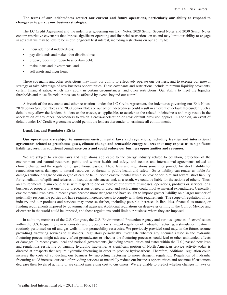# **The terms of our indebtedness restrict our current and future operations, particularly our ability to respond to changes or to pursue our business strategies.**

The LC Credit Agreement and the indentures governing our Exit Notes, 2028 Senior Secured Notes and 2030 Senior Notes contain restrictive covenants that impose significant operating and financial restrictions on us and may limit our ability to engage in acts that we may believe to be in our long-term best interest, including restrictions on our ability to:

- incur additional indebtedness;
- pay dividends and make other distributions;
- prepay, redeem or repurchase certain debt;
- make loans and investments; and
- sell assets and incur liens.

These covenants and other restrictions may limit our ability to effectively operate our business, and to execute our growth strategy or take advantage of new business opportunities. These covenants and restrictions include minimum liquidity covenants, certain financial ratios, which may apply in certain circumstances, and other restrictions. Our ability to meet the liquidity thresholds and those financial ratios can be affected by events beyond our control.

A breach of the covenants and other restrictions under the LC Credit Agreement, the indentures governing our Exit Notes, 2028 Senior Secured Notes and 2030 Senior Notes or our other indebtedness could result in an event of default thereunder. Such a default may allow the lenders, holders or the trustee, as applicable, to accelerate the related indebtedness and may result in the acceleration of any other indebtedness to which a cross-acceleration or cross-default provision applies. In addition, an event of default under LC Credit Agreements would permit the lenders thereunder to terminate all commitments.

# **Legal, Tax and Regulatory Risks**

# **Our operations are subject to numerous environmental laws and regulations, including treaties and international agreements related to greenhouse gases, climate change and renewable energy sources that may expose us to significant liabilities, result in additional compliance costs and could reduce our business opportunities and revenues.**

We are subject to various laws and regulations applicable to the energy industry related to pollution, protection of the environment and natural resources, public and worker health and safety, and treaties and international agreements related to climate change and the regulation of greenhouse gasses. These laws and regulations sometimes provide for strict liability for remediation costs, damages to natural resources, or threats to public health and safety. Strict liability can render us liable for damages without regard to our degree of care or fault. Some environmental laws also provide for joint and several strict liability for remediation of spills and releases of hazardous substances, and, as a result, we could be liable for the actions of others. Thus, an environmental claim could arise with respect to one or more of our current businesses, operations, products or services, or a business or property that one of our predecessors owned or used, and such claims could involve material expenditures. Generally, environmental laws have in recent years become more stringent and have sought to impose greater liability on a larger number of potentially responsible parties and have required increased costs to comply with their requirements. The scope of regulation of our industry and our products and services may increase further, including possible increases in liabilities, financial assurance, or funding requirements imposed by governmental agencies. Additional regulations on deepwater drilling in the Gulf of Mexico and elsewhere in the world could be imposed, and those regulations could limit our business where they are imposed.

In addition, members of the U.S. Congress, the U.S. Environmental Protection Agency and various agencies of several states within the U.S. frequently review, consider and propose more stringent regulation of hydraulic fracturing, a stimulation treatment routinely performed on oil and gas wells in low-permeability reservoirs. We previously provided (and may, in the future, resume providing) fracturing services to customers. Regulators periodically investigate whether any chemicals used in the hydraulic fracturing process might adversely affect groundwater or whether the fracturing processes could lead to other unintended effects or damages. In recent years, local and national governments (including several cities and states within the U.S.) passed new laws and regulations restricting or banning hydraulic fracturing. A significant portion of North American service activity today is directed at prospects that require hydraulic fracturing in order to produce hydrocarbons. Therefore, additional regulation could increase the costs of conducting our business by subjecting fracturing to more stringent regulation. Regulation of hydraulic fracturing could increase our cost of providing services or materially reduce our business opportunities and revenues if customers decrease their levels of activity or we cannot pass along cost to customers. We are unable to predict whether changes in laws or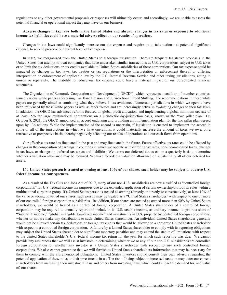regulations or any other governmental proposals or responses will ultimately occur, and accordingly, we are unable to assess the potential financial or operational impact they may have on our business.

# **Adverse changes in tax laws both in the United States and abroad, changes in tax rates or exposure to additional income tax liabilities could have a material adverse effect on our results of operations.**

Changes in tax laws could significantly increase our tax expense and require us to take actions, at potential significant expense, to seek to preserve our current level of tax expense.

In 2002, we reorganized from the United States to a foreign jurisdiction. There are frequent legislative proposals in the United States that attempt to treat companies that have undertaken similar transactions as U.S. corporations subject to U.S. taxes or to limit the tax deductions or tax credits available to United States subsidiaries of these corporations. Our tax expense could be impacted by changes in tax laws, tax treaties or tax regulations or the interpretation or enforcement thereof or differing interpretation or enforcement of applicable law by the U.S. Internal Revenue Service and other taxing jurisdictions, acting in unison or separately. The inability to reduce our tax expense could have a material impact on our consolidated financial statements.

The Organization of Economic Cooperation and Development ("OECD"), which represents a coalition of member countries, issued various white papers addressing Tax Base Erosion and Jurisdictional Profit Shifting. The recommendations in these white papers are generally aimed at combating what they believe is tax avoidance. Numerous jurisdictions in which we operate have been influenced by these white papers as well as other factors and are increasingly active in evaluating changes to their tax laws. In addition, the OECD has advanced reforms focused on global profit allocation, and implementing a global minimum tax rate of at least 15% for large multinational corporations on a jurisdiction-by-jurisdiction basis, known as the "two pillar plan." On October 8, 2021, the OECD announced an accord endorsing and providing an implementation plan for the two pillar plan agreed upon by 136 nations. While the implementation of the accord is uncertain, if legislation is enacted to implement the accord in some or all of the jurisdictions in which we have operations, it could materially increase the amount of taxes we owe, on a retroactive or prospective basis, thereby negatively affecting our results of operations and our cash flows from operations.

Our effective tax rate has fluctuated in the past and may fluctuate in the future. Future effective tax rates could be affected by changes in the composition of earnings in countries in which we operate with differing tax rates, non-income-based taxes, changes in tax laws, or changes in deferred tax assets and liabilities. We assess our deferred tax assets on a quarterly basis to determine whether a valuation allowance may be required. We have recorded a valuation allowance on substantially all of our deferred tax assets.

# **If a United States person is treated as owning at least 10% of our shares, such holder may be subject to adverse U.S. federal income tax consequences.**

As a result of the Tax Cuts and Jobs Act of 2017, many of our non-U.S. subsidiaries are now classified as "controlled foreign corporations" for U.S. federal income tax purposes due to the expanded application of certain ownership attribution rules within a multinational corporate group. If a United States person is treated as owning (directly, indirectly or constructively) at least 10% of the value or voting power of our shares, such person may be treated as a "United States shareholder" with respect to one or more of our controlled foreign corporation subsidiaries. In addition, if our shares are treated as owned more than 50% by United States shareholders, we would be treated as a controlled foreign corporation. A United States shareholder of a controlled foreign corporation may be required to annually report and include in its U.S. taxable income, as ordinary income, its pro rata share of "Subpart F income," "global intangible low-taxed income" and investments in U.S. property by controlled foreign corporations, whether or not we make any distributions to such United States shareholder. An individual United States shareholder generally would not be allowed certain tax deductions or foreign tax credits that would be allowed to a corporate United States shareholder with respect to a controlled foreign corporation. A failure by a United States shareholder to comply with its reporting obligations may subject the United States shareholder to significant monetary penalties and may extend the statute of limitations with respect to the United States shareholder's U.S. federal income tax return for the year for which such reporting was due. We cannot provide any assurances that we will assist investors in determining whether we or any of our non-U.S. subsidiaries are controlled foreign corporations or whether any investor is a United States shareholder with respect to any such controlled foreign corporations. We also cannot guarantee that we will furnish to United States shareholders information that may be necessary for them to comply with the aforementioned obligations. United States investors should consult their own advisors regarding the potential application of these rules to their investments in us. The risk of being subject to increased taxation may deter our current shareholders from increasing their investment in us and others from investing in us, which could impact the demand for, and value of, our shares.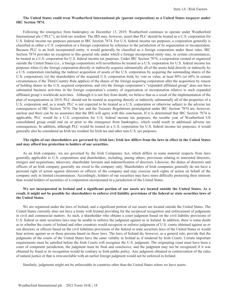# **The United States could treat Weatherford International plc (parent corporation) as a United States taxpayer under IRC Section 7874.**

Following the emergence from bankruptcy on December 13, 2019, Weatherford continues to operate under Weatherford International plc ("PLC"), an Irish tax resident. The IRS may, however, assert that PLC should be treated as a U.S. corporation for U.S. federal income tax purposes pursuant to IRC Section 7874. For U.S. federal income tax purposes, a corporation generally is classified as either a U.S. corporation or a foreign corporation by reference to the jurisdiction of its organization or incorporation. Because PLC is an Irish incorporated entity, it would generally be classified as a foreign corporation under these rules. IRC Section 7874 provides an exception to this general rule under which a foreign incorporated entity may, in certain circumstances, be treated as a U.S. corporation for U.S. federal income tax purposes. Under IRC Section 7874, a corporation created or organized outside the United States (i.e., a foreign corporation) will nevertheless be treated as a U.S. corporation for U.S. federal income tax purposes when (i) the foreign corporation directly or indirectly acquires substantially all of the assets held directly or indirectly by a U.S. corporation (including the indirect acquisition of assets of the U.S. corporation by acquiring the outstanding shares of the U.S. corporation), (ii) the shareholders of the acquired U.S. corporation hold, by vote or value, at least 80% (or 60% in certain circumstances if the Third Country Rule applies) of the shares of the foreign acquiring corporation after the acquisition by reason of holding shares in the U.S. acquired corporation, and (iii) the foreign corporation's "expanded affiliated group" does not have substantial business activities in the foreign corporation's country of organization or incorporation relative to such expanded affiliated group's worldwide activities. Although it is not free from doubt, we believe that as a result of the implementation of the plan of reorganization in 2019, PLC should not be treated as acquiring directly or indirectly substantially all of the properties of a U.S. corporation and, as a result, PLC is not expected to be treated as a U.S. corporation or otherwise subject to the adverse tax consequences of IRC Section 7874. The law and the Treasury Regulations promulgated under IRC Section 7874 are, however, unclear and there can be no assurance that the IRS will agree with this conclusion. If it is determined that IRC Section 7874 is applicable, PLC would be a U.S. corporation for U.S. federal income tax purposes, the taxable year of Weatherford US consolidated group could end on or prior to the emergence from bankruptcy, which could result in additional adverse tax consequences. In addition, although PLC would be treated as a U.S. corporation for U.S. federal income tax purposes, it would generally also be considered an Irish tax resident for Irish tax and other non-U.S. tax purposes.

# **The rights of our shareholders are governed by Irish law; Irish law differs from the laws in effect in the United States and may afford less protection to holders of our securities.**

As an Irish company, we are governed by the Irish Companies Act, which differs in some material respects from laws generally applicable to U.S. corporations and shareholders, including, among others, provisions relating to interested directors, mergers and acquisitions, takeovers, shareholder lawsuits and indemnification of directors. Likewise, the duties of directors and officers of an Irish company generally are owed to the company only. Shareholders of Irish companies generally do not have a personal right of action against directors or officers of the company and may exercise such rights of action on behalf of the company only in limited circumstances. Accordingly, holders of our securities may have more difficulty protecting their interests than would holders of securities of a corporation incorporated in a jurisdiction of the United States.

# **We are incorporated in Ireland and a significant portion of our assets are located outside the United States. As a result, it might not be possible for shareholders to enforce civil liability provisions of the federal or state securities laws of the United States.**

We are organized under the laws of Ireland, and a significant portion of our assets are located outside the United States. The United States currently does not have a treaty with Ireland providing for the reciprocal recognition and enforcement of judgments in civil and commercial matters. As such, a shareholder who obtains a court judgment based on the civil liability provisions of U.S. federal or state securities laws may be unable to enforce the judgment against us in Ireland. In addition, there is some doubt as to whether the courts of Ireland and other countries would recognize or enforce judgments of U.S. courts obtained against us or our directors or officers based on the civil liabilities provisions of the federal or state securities laws of the United States or would hear actions against us or those persons based on those laws. The laws of Ireland do, however, as a general rule, provide that the judgments of the courts of the United States have the same validity in Ireland as if rendered by Irish Courts. Certain important requirements must be satisfied before the Irish Courts will recognize the U.S. judgment. The originating court must have been a court of competent jurisdiction, the judgment must be final and conclusive, and the judgment may not be recognized if it was obtained by fraud or its recognition would be contrary to Irish public policy. Any judgment obtained in contravention of the rules of natural justice or that is irreconcilable with an earlier foreign judgment would not be enforced in Ireland.

Similarly, judgments might not be enforceable in countries other than the United States where we have assets.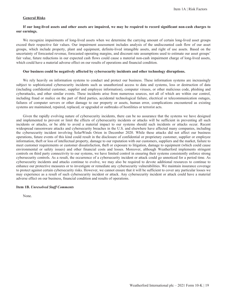# **General Risks**

# **If our long-lived assets and other assets are impaired, we may be required to record significant non-cash charges to our earnings.**

We recognize impairments of long-lived assets when we determine the carrying amount of certain long-lived asset groups exceed their respective fair values. Our impairment assessment includes analysis of the undiscounted cash flow of our asset groups, which include property, plant and equipment, definite-lived intangible assets, and right of use assets. Based on the uncertainty of forecasted revenue, forecasted operating margins, and discount rate assumptions used to estimate our asset groups' fair value, future reductions in our expected cash flows could cause a material non-cash impairment charge of long-lived assets, which could have a material adverse effect on our results of operations and financial condition.

#### **Our business could be negatively affected by cybersecurity incidents and other technology disruptions.**

We rely heavily on information systems to conduct and protect our business. These information systems are increasingly subject to sophisticated cybersecurity incidents such as unauthorized access to data and systems, loss or destruction of data (including confidential customer, supplier and employee information), computer viruses, or other malicious code, phishing and cyberattacks, and other similar events. These incidents arise from numerous sources, not all of which are within our control, including fraud or malice on the part of third parties, accidental technological failure, electrical or telecommunication outages, failures of computer servers or other damage to our property or assets, human error, complications encountered as existing systems are maintained, repaired, replaced, or upgraded or outbreaks of hostilities or terrorist acts.

Given the rapidly evolving nature of cybersecurity incidents, there can be no assurance that the systems we have designed and implemented to prevent or limit the effects of cybersecurity incidents or attacks will be sufficient in preventing all such incidents or attacks, or be able to avoid a material impact to our systems should such incidents or attacks occur. Recent widespread ransomware attacks and cybersecurity breaches in the U.S. and elsewhere have affected many companies, including the cybersecurity incident involving SolarWinds Orion in December 2020. While these attacks did not affect our business operations, future events of this kind could result in the disclosure of confidential or proprietary customer, supplier or employee information, theft or loss of intellectual property, damage to our reputation with our customers, suppliers and the market, failure to meet customer requirements or customer dissatisfaction, theft or exposure to litigation, damage to equipment (which could cause environmental or safety issues) and other financial costs and losses. Moreover, although Weatherford implements stringent controls on third party connectivity to our systems, we have limited control in ensuring their systems consistently enforce strong cybersecurity controls. As a result, the occurrence of a cybersecurity incident or attack could go unnoticed for a period time. As cybersecurity incidents and attacks continue to evolve, we may also be required to devote additional resources to continue to enhance our protective measures or to investigate or remediate any cybersecurity vulnerabilities. We maintain insurance coverage to protect against certain cybersecurity risks. However, we cannot ensure that it will be sufficient to cover any particular losses we may experience as a result of such cybersecurity incident or attack. Any cybersecurity incident or attack could have a material adverse effect on our business, financial condition and results of operations.

#### **Item 1B.** *Unresolved Staff Comments*

None.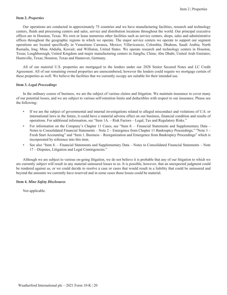# **Item 2.** *Properties*

Our operations are conducted in approximately 75 countries and we have manufacturing facilities, research and technology centers, fluids and processing centers and sales, service and distribution locations throughout the world. Our principal executive offices are in Houston, Texas. We own or lease numerous other facilities such as service centers, shops, sales and administrative offices throughout the geographic regions in which we operate. The major service centers we operate to support our segment operations are located specifically in Venustiano Carranza, Mexico; Villavicencio, Colombia; Dhahran, Saudi Arabia; North Rumaila, Iraq; Mina Abdulla, Kuwait; and Williston, United States. We operate research and technology centers in Houston, Texas; Loughborough, United Kingdom and major manufacturing centers in JiangSu, China; Abu Dhabi, United Arab Emirates; Huntsville, Texas; Houston, Texas and Hannover, Germany.

All of our material U.S. properties are mortgaged to the lenders under our 2028 Senior Secured Notes and LC Credit Agreement. All of our remaining owned properties are unencumbered, however the lenders could require we mortgage certain of these properties as well. We believe the facilities that we currently occupy are suitable for their intended use.

# **Item 3.** *Legal Proceedings*

In the ordinary course of business, we are the subject of various claims and litigation. We maintain insurance to cover many of our potential losses, and we are subject to various self-retention limits and deductibles with respect to our insurance. Please see the following:

- If we are the subject of governmental and internal investigations related to alleged misconduct and violations of U.S. or international laws in the future, it could have a material adverse effect on our business, financial condition and results of operations. For additional information, see "Item 1A. – Risk Factors – Legal, Tax and Regulatory Risks."
- For information on the Company's Chapter 11 Cases, see "Item 8. Financial Statements and Supplementary Data Notes to Consolidated Financial Statements – Note 2 – Emergence from Chapter 11 Bankruptcy Proceedings," "Note 3 – Fresh Start Accounting" and "Item 1. Business – Reorganization and Emergence from Bankruptcy Proceedings" which is incorporated by reference into this item.
- See also "Item 8. Financial Statements and Supplementary Data Notes to Consolidated Financial Statements Note 17 – Disputes, Litigation and Legal Contingencies."

Although we are subject to various on-going litigation, we do not believe it is probable that any of our litigation to which we are currently subject will result in any material uninsured losses to us. It is possible, however, that an unexpected judgment could be rendered against us, or we could decide to resolve a case or cases that would result in a liability that could be uninsured and beyond the amounts we currently have reserved and in some cases those losses could be material.

# **Item 4.** *Mine Safety Disclosures*

Not applicable.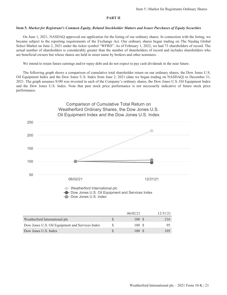# **PART II**

# **Item 5.** *Market for Registrant's Common Equity, Related Stockholder Matters and Issuer Purchases of Equity Securities*

On June 1, 2021, NASDAQ approved our application for the listing of our ordinary shares. In connection with the listing, we became subject to the reporting requirements of the Exchange Act. Our ordinary shares began trading on The Nasdaq Global Select Market on June 2, 2021 under the ticker symbol "WFRD". As of February 1, 2022, we had 73 shareholders of record. The actual number of shareholders is considerably greater than the number of shareholders of record and includes shareholders who are beneficial owners but whose shares are held in street name by brokers and other nominees.

We intend to retain future earnings and/or repay debt and do not expect to pay cash dividends in the near future.

The following graph shows a comparison of cumulative total shareholder return on our ordinary shares, the Dow Jones U.S. Oil Equipment Index and the Dow Jones U.S. Index from June 2, 2021 (date we began trading on NASDAQ) to December 31, 2021. The graph assumes \$100 was invested in each of the Company's ordinary shares, the Dow Jones U.S. Oil Equipment Index and the Dow Jones U.S. Index. Note that past stock price performance is not necessarily indicative of future stock price performance.



|                                                 | 06/02/21 | 12/31/21 |
|-------------------------------------------------|----------|----------|
| Weatherford International plc                   | 100S     | 216      |
| Dow Jones U.S. Oil Equipment and Services Index | 100S     | 95.      |
| Dow Jones U.S. Index                            | 100S     | 105      |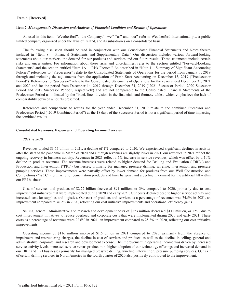# **Item 6. [Reserved]**

#### **Item 7.** *Management's Discussion and Analysis of Financial Condition and Results of Operations*

As used in this item, "Weatherford", "the Company," "we," "us" and "our" refer to Weatherford International plc, a public limited company organized under the laws of Ireland, and its subsidiaries on a consolidated basis.

The following discussion should be read in conjunction with our Consolidated Financial Statements and Notes thereto included in "Item 8. – Financial Statements and Supplementary Data." Our discussion includes various forward-looking statements about our markets, the demand for our products and services and our future results. These statements include certain risks and uncertainties. For information about these risks and uncertainties, refer to the section entitled "Forward-Looking Statements" and the section entitled "Item 1A. – Risk Factors." As described in "Note 1 – Summary of Significant Accounting Policies" references to "Predecessor" relate to the Consolidated Statements of Operations for the period from January 1, 2019 through and including the adjustments from the application of Fresh Start Accounting on December 13, 2019 ("Predecessor Period"). References to "Successor" relate to the Consolidated Statements of Operations for the years ended December 31, 2021 and 2020 and for the period from December 14, 2019 through December 31, 2019 ("2021 Successor Period, 2020 Successor Period and 2019 Successor Period", respectively) and are not comparable to the Consolidated Financial Statements of the Predecessor Period as indicated by the "black line" division in the financials and footnote tables, which emphasizes the lack of comparability between amounts presented.

References and comparisons to results for the year ended December 31, 2019 relate to the combined Successor and Predecessor Period ("2019 Combined Period") as the 18 days of the Successor Period is not a significant period of time impacting the combined results.

#### **Consolidated Revenues, Expenses and Operating Income Overview**

# *2021 vs 2020*

Revenues totaled \$3.65 billion in 2021, a decline of 1% compared to 2020. We experienced significant declines in activity after the start of the pandemic in March of 2020 and although revenues are slightly lower in 2021, our revenues in 2021 reflect the ongoing recovery in business activity. Revenues in 2021 reflect a 5% increase in service revenues, which was offset by a 10% decline in product revenues. The revenue increases were related to higher demand for Drilling and Evaluation ("DRE") and Production and Intervention ("PRI") businesses, primarily for managed pressure drilling, wireline, intervention and pressure pumping services. These improvements were partially offset by lower demand for products from our Well Construction and Completions ("WCC"), primarily for cementation products and liner hangers, and a decline in demand for the artificial lift within our PRI business.

Cost of services and products of \$2.72 billion decreased \$91 million, or 3%, compared to 2020, primarily due to cost improvement initiatives that were implemented during 2020 and early 2021. Our costs declined despite higher service activity and increased cost for supplies and logistics. Our cost of products and services as a percentage of revenues was 74.5% in 2021, an improvement compared to 76.2% in 2020, reflecting our cost initiative improvements and operational efficiency gains.

Selling, general, administrative and research and development costs of \$823 million decreased \$111 million, or 12%, due to cost improvement initiatives to reduce overhead and corporate costs that were implemented during 2020 and early 2021. These costs as a percentage of revenues were 22.6% in 2021, an improvement compared to 25.3% in 2020, reflecting our cost initiative improvements.

Operating income of \$116 million improved \$1.6 billion in 2021 compared to 2020, primarily from the absence of impairment and restructuring charges, the decline in cost of services and products as well as the decline in selling, general and administrative, corporate, and research and development expense. The improvement in operating income was driven by increased service activity levels, increased service versus product mix, higher adoption of our technology offerings and increased demand in our DRE and PRI businesses primarily for managed pressure drilling, wireline, intervention, pressure pumping services. Our exit of certain drilling services in North America in the fourth quarter of 2020 also positively contributed to the improvement.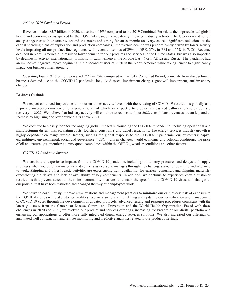#### *2020 vs 2019 Combined Period*

Revenues totaled \$3.7 billion in 2020, a decline of 29% compared to the 2019 Combined Period, as the unprecedented global health and economic crisis sparked by the COVID-19 pandemic negatively impacted industry activity. The lower demand for oil and gas together with uncertainty around the extent and timing for an economic recovery, caused significant reductions to the capital spending plans of exploration and production companies. Our revenue decline was predominantly driven by lower activity levels impacting all our product line segments, with revenue declines of 29% in DRE, 37% in PRI and 15% in WCC. Revenue declined in North America as a result of lower demand for our products and services in the United States, but was also impacted by declines in activity internationally, primarily in Latin America, the Middle East, North Africa and Russia. The pandemic had an immediate negative impact beginning in the second quarter of 2020 in the North America while taking longer to significantly impact our business internationally.

Operating loss of \$1.5 billion worsened 26% in 2020 compared to the 2019 Combined Period, primarily from the decline in business demand due to the COVID-19 pandemic, long-lived assets impairment charges, goodwill impairment, and inventory charges.

# **Business Outlook**

We expect continued improvements in our customer activity levels with the relaxing of COVID-19 restrictions globally and improved macroeconomic conditions generally, all of which are expected to provide a measured pathway to energy demand recovery in 2022. We believe that industry activity will continue to recover and our 2022 consolidated revenues are anticipated to increase by high single to low double digits above 2021.

We continue to closely monitor the ongoing global impacts surrounding the COVID-19 pandemic, including operational and manufacturing disruptions, escalating costs, logistical constraints and travel restrictions. The energy services industry growth is highly dependent on many external factors, such as the global response to the COVID-19 pandemic, our customers' capital expenditures, environmental, social and governance ("ESG") driven changes, world economic and political conditions, the price of oil and natural gas, member-country quota compliance within the OPEC+, weather conditions and other factors.

#### *COVID-19 Pandemic Impacts*

We continue to experience impacts from the COVID-19 pandemic, including inflationary pressures and delays and supply shortages when sourcing raw materials and services as everyone manages through the challenges around reopening and returning to work. Shipping and other logistic activities are experiencing tight availability for carriers, containers and shipping materials, exacerbating the delays and lack of availability of key components. In addition, we continue to experience certain customer restrictions that prevent access to their sites, community measures to contain the spread of the COVID-19 virus, and changes to our policies that have both restricted and changed the way our employees work.

We strive to continuously improve crew rotations and management practices to minimize our employees' risk of exposure to the COVID-19 virus while at customer facilities. We are also constantly refining and updating our identification and management of COVID-19 cases through the development of updated protocols, advanced testing and response procedures consistent with the latest guidance, from the Centers of Disease Control and Prevention and the World Health Organization. Faced with these challenges in 2020 and 2021, we evolved our product and services offerings, increasing the breadth of our digital portfolio and enhancing our applications to offer more fully integrated digital energy services solutions. We also increased our offerings of automated well construction and remote monitoring and predictive analytics related to our product offerings.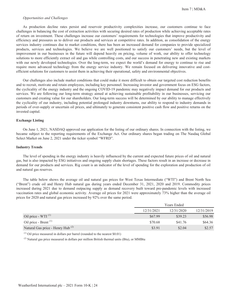### *Opportunities and Challenges*

As production decline rates persist and reservoir productivity complexities increase, our customers continue to face challenges in balancing the cost of extraction activities with securing desired rates of production while achieving acceptable rates of return on investment. These challenges increase our customers' requirements for technologies that improve productivity and efficiency and pressures us to deliver our products and services at competitive rates. In addition, as consolidation of the energy services industry continues due to market conditions, there has been an increased demand for companies to provide specialized products, services and technologies. We believe we are well positioned to satisfy our customers' needs, but the level of improvement in our businesses in the future will depend heavily on pricing, volume of work, our ability to offer technology solutions to more efficiently extract oil and gas while controlling costs, and our success in penetrating new and existing markets with our newly developed technologies. Over the long-term, we expect the world's demand for energy to continue to rise and require more advanced technology from the energy service industry. We remain focused on delivering innovative and costefficient solutions for customers to assist them in achieving their operational, safety and environmental objectives.

Our challenges also include market conditions that could make it more difficult to obtain our targeted cost reduction benefits and to recruit, motivate and retain employees, including key personnel. Increasing investor and government focus on ESG factors, the cyclicality of the energy industry and the ongoing COVID-19 pandemic may negatively impact demand for our products and services. We are following our long-term strategy aimed at achieving sustainable profitability in our businesses, servicing our customers and creating value for our shareholders. Our long-term success will be determined by our ability to manage effectively the cyclicality of our industry, including potential prolonged industry downturns, our ability to respond to industry demands in periods of over-supply or uncertain oil prices, and ultimately to generate consistent positive cash flow and positive returns on the invested capital.

#### **Exchange Listing**

On June 1, 2021, NASDAQ approved our application for the listing of our ordinary shares. In connection with the listing, we became subject to the reporting requirements of the Exchange Act. Our ordinary shares began trading on The Nasdaq Global Select Market on June 2, 2021 under the ticker symbol "WFRD".

## **Industry Trends**

The level of spending in the energy industry is heavily influenced by the current and expected future prices of oil and natural gas, but is also impacted by ESG initiatives and ongoing supply chain shortages. These factors result in an increase or decrease in demand for our products and services. Rig count is an indicator of the level of spending for the exploration and production of oil and natural gas reserves.

The table below shows the average oil and natural gas prices for West Texas Intermediate ("WTI") and Brent North Sea ("Brent") crude oil and Henry Hub natural gas during years ended December 31, 2021, 2020 and 2019. Commodity prices increased during 2021 due to demand outpacing supply as demand recovery built toward pre-pandemic levels with increased vaccination rates and global economic activity. Average oil prices for 2021 were approximately 73% higher than the average oil prices for 2020 and natural gas prices increased by 92% over the same period.

|                                              |            | Years Ended |            |  |  |  |  |  |  |
|----------------------------------------------|------------|-------------|------------|--|--|--|--|--|--|
|                                              | 12/31/2021 | 12/31/2020  | 12/31/2019 |  |  |  |  |  |  |
| Oil price - WTI $^{(1)}$                     | \$67.99    | \$39.23     | \$56.98    |  |  |  |  |  |  |
| Oil price - Brent <sup>(1)</sup>             | \$70.68    | \$41.76     | \$64.36    |  |  |  |  |  |  |
| Natural Gas price - Henry Hub <sup>(2)</sup> | \$3.91     | \$2.04      | \$2.57     |  |  |  |  |  |  |

 $^{(1)}$  Oil price measured in dollars per barrel (rounded to the nearest \$0.01)

 $(2)$  Natural gas price measured in dollars per million British thermal units (Btu), or MMBtu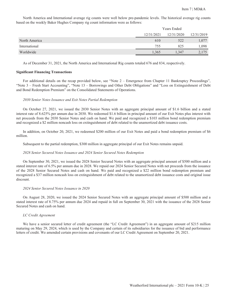North America and International average rig counts were well below pre-pandemic levels. The historical average rig counts based on the weekly Baker Hughes Company rig count information were as follows:

|               |            | <b>Years Ended</b> |            |  |  |  |  |  |
|---------------|------------|--------------------|------------|--|--|--|--|--|
|               | 12/31/2021 | 12/31/2020         | 12/31/2019 |  |  |  |  |  |
| North America | 610        | 522                | 1,077      |  |  |  |  |  |
| International | 755        | 825                | l.098      |  |  |  |  |  |
| Worldwide     | 1.365      | .347               | 2,175      |  |  |  |  |  |

As of December 31, 2021, the North America and International Rig counts totaled 676 and 834, respectively.

## **Significant Financing Transactions**

For additional details on the recap provided below, see "Note 2 – Emergence from Chapter 11 Bankruptcy Proceedings", "Note 3 – Fresh Start Accounting", "Note 13 – Borrowings and Other Debt Obligations" and "Loss on Extinguishment of Debt and Bond Redemption Premium" on the Consolidated Statements of Operations.

#### *2030 Senior Notes Issuance and Exit Notes Partial Redemption*

On October 27, 2021, we issued the 2030 Senior Notes with an aggregate principal amount of \$1.6 billion and a stated interest rate of 8.625% per annum due in 2030. We redeemed \$1.6 billion in principal amount of our Exit Notes plus interest with net proceeds from the 2030 Senior Notes and cash on hand. We paid and recognized a \$103 million bond redemption premium and recognized a \$2 million noncash loss on extinguishment of debt related to the unamortized debt issuance costs.

In addition, on October 20, 2021, we redeemed \$200 million of our Exit Notes and paid a bond redemption premium of \$6 million.

Subsequent to the partial redemption, \$300 million in aggregate principal of our Exit Notes remains unpaid.

# *2028 Senior Secured Notes Issuance and 2024 Senior Secured Notes Redemption*

On September 30, 2021, we issued the 2028 Senior Secured Notes with an aggregate principal amount of \$500 million and a stated interest rate of 6.5% per annum due in 2028. We repaid our 2024 Senior Secured Notes with net proceeds from the issuance of the 2028 Senior Secured Notes and cash on hand. We paid and recognized a \$22 million bond redemption premium and recognized a \$37 million noncash loss on extinguishment of debt related to the unamortized debt issuance costs and original issue discount.

#### *2024 Senior Secured Notes Issuance in 2020*

On August 28, 2020, we issued the 2024 Senior Secured Notes with an aggregate principal amount of \$500 million and a stated interest rate of 8.75% per annum due 2024 and repaid in full on September 30, 2021 with the issuance of the 2028 Senior Secured Notes and cash on hand.

#### *LC Credit Agreement*

We have a senior secured letter of credit agreement (the "LC Credit Agreement") in an aggregate amount of \$215 million maturing on May 29, 2024, which is used by the Company and certain of its subsidiaries for the issuance of bid and performance letters of credit. We amended certain provisions and covenants of our LC Credit Agreement on September 20, 2021.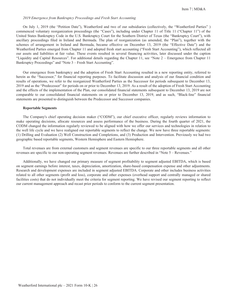# *2019 Emergence from Bankruptcy Proceedings and Fresh Start Accounting*

On July 1, 2019 (the "Petition Date"), Weatherford and two of our subsidiaries (collectively, the "Weatherford Parties" ) commenced voluntary reorganization proceedings (the "Cases"), including under Chapter 11 of Title 11 ("Chapter 11") of the United States Bankruptcy Code in the U.S. Bankruptcy Court for the Southern District of Texas (the "Bankruptcy Court"), with ancillary proceedings filed in Ireland and Bermuda. The plan of reorganization (as amended, the "Plan"), together with the schemes of arrangement in Ireland and Bermuda, became effective on December 13, 2019 (the "Effective Date") and the Weatherford Parties emerged from Chapter 11 and adopted fresh start accounting ("Fresh Start Accounting"), which reflected all our assets and liabilities at fair value. These events resulted in several financing activities, later discussed under the caption "Liquidity and Capital Resources". For additional details regarding the Chapter 11, see "Note 2 – Emergence from Chapter 11 Bankruptcy Proceedings" and "Note 3 – Fresh Start Accounting".

Our emergence from bankruptcy and the adoption of Fresh Start Accounting resulted in a new reporting entity, referred to herein as the "Successor," for financial reporting purposes. To facilitate discussion and analysis of our financial condition and results of operations, we refer to the reorganized Weatherford Parties as the Successor for periods subsequent to December 13, 2019 and as the "Predecessor" for periods on or prior to December 13, 2019. As a result of the adoption of Fresh Start Accounting and the effects of the implementation of the Plan, our consolidated financial statements subsequent to December 13, 2019 are not comparable to our consolidated financial statements on or prior to December 13, 2019, and as such, "Black-line" financial statements are presented to distinguish between the Predecessor and Successor companies.

# **Reportable Segments**

The Company's chief operating decision maker ("CODM"), our chief executive officer, regularly reviews information to make operating decisions, allocate resources and assess performance of the business. During the fourth quarter of 2021, the CODM changed the information regularly reviewed to be aligned with how we offer our services and technologies in relation to the well life cycle and we have realigned our reportable segments to reflect the change. We now have three reportable segments: (1) Drilling and Evaluation (2) Well Construction and Completions, and (3) Production and Intervention. Previously we had two geographic based reportable segments, Western Hemisphere and Eastern Hemisphere.

Total revenues are from external customers and segment revenues are specific to our three reportable segments and all other revenues are specific to our non-operating segment revenues. Revenues are further described in "Note 5 – Revenues."

Additionally, we have changed our primary measure of segment profitability to segment adjusted EBITDA, which is based on segment earnings before interest, taxes, depreciation, amortization, share-based compensation expense and other adjustments. Research and development expenses are included in segment adjusted EBITDA. Corporate and other includes business activities related to all other segments (profit and loss), corporate and other expenses (overhead support and centrally managed or shared facilities costs) that do not individually meet the criteria for segment reporting. We have revised our segment reporting to reflect our current management approach and recast prior periods to conform to the current segment presentation.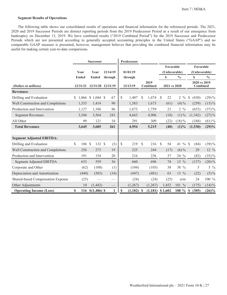# **Segment Results of Operations**

The following table shows our consolidated results of operations and financial information for the referenced periods. The 2021, 2020 and 2019 Successor Periods are distinct reporting periods from the 2019 Predecessor Period as a result of our emergence from bankruptcy on December 13, 2019. We have combined results ("2019 Combined Period") for the 2019 Successor and Predecessor Periods which are not presented according to generally accepted accounting principles in the United States ("GAAP") and no comparable GAAP measure is presented, however, management believes that providing the combined financial information may be useful for making certain year-to-date comparisons.

|                                   |              |                   | Successor    |          |                             |                         | Predecessor  |               |                   |                                 |               |                 |               |           |                |
|-----------------------------------|--------------|-------------------|--------------|----------|-----------------------------|-------------------------|--------------|---------------|-------------------|---------------------------------|---------------|-----------------|---------------|-----------|----------------|
|                                   |              |                   |              |          |                             |                         |              |               |                   |                                 | Favorable     |                 |               | Favorable |                |
|                                   | Year         |                   | Year         | 12/14/19 |                             |                         | 01/01/19     |               |                   |                                 | (Unfavorable) |                 | (Unfavorable) |           |                |
|                                   | <b>Ended</b> |                   | <b>Ended</b> | through  |                             |                         | through      |               |                   |                                 | $\mathbf S$   | $\frac{0}{0}$   |               | S         | $\frac{0}{0}$  |
| (Dollars in millions)             | 12/31/21     | 12/31/20 12/31/19 |              |          | 12/13/19                    | 2019<br><b>Combined</b> |              | 2021 vs 2020  |                   | 2020 vs 2019<br><b>Combined</b> |               |                 |               |           |                |
| <b>Revenues:</b>                  |              |                   |              |          |                             |                         |              |               |                   |                                 |               |                 |               |           |                |
| Drilling and Evaluation           | 1,066<br>S.  |                   | $$1,044$ \\$ |          | 67                          | \$                      | 1,407        | $\mathcal{S}$ | 1,474             | $\mathcal{S}$                   | 22            | $2 \frac{9}{6}$ | $\mathcal{S}$ | (430)     | $(29)\%$       |
| Well Construction and Completions | 1,353        |                   | 1,414        |          | 90                          |                         | 1,583        |               | 1,673             |                                 | (61)          | $(4)\%$         |               | (259)     | $(15)\%$       |
| Production and Intervention       | 1,127        |                   | 1,106        |          | 86                          |                         | 1,673        |               | 1,759             |                                 | 21            | $2 \frac{9}{6}$ |               | (653)     | (37)%          |
| <b>Segment Revenues</b>           | 3,546        |                   | 3,564        |          | 243                         |                         | 4,663        |               | 4,906             |                                 | (18)          | $(1)\%$         |               | (1, 342)  | $(27)$ %       |
| All Other                         | 99           |                   | 121          |          | 18                          |                         | 291          |               | 309               |                                 | (22)          | $(18)\%$        |               | (188)     | $(61) \%$      |
| <b>Total Revenues</b>             | 3,645        |                   | 3,685        | 261      |                             |                         | 4,954        |               | 5,215             |                                 | (40)          | (1)%            |               | (1,530)   | $(29)\%$       |
|                                   |              |                   |              |          |                             |                         |              |               |                   |                                 |               |                 |               |           |                |
| <b>Segment Adjusted EBITDA:</b>   |              |                   |              |          |                             |                         |              |               |                   |                                 |               |                 |               |           |                |
| Drilling and Evaluation           | $\mathbb{S}$ | 186 \$            | 132 \$       |          | (3)                         | $\mathbb{S}$            | 219          | <sup>\$</sup> | 216               | $\mathcal{S}$                   | 54            | 41 % $$$        |               | (84)      | $(39) \%$      |
| Well Construction and Completions | 256          |                   | 273          |          | 19                          |                         | 225          |               | 244               |                                 | (17)          | $(6)\%$         |               | 29        | 12 %           |
| Production and Intervention       | 191          |                   | 154          |          | 20                          |                         | 216          |               | 236               |                                 | 37            | 24 %            |               | (82)      | $(35) \%$      |
| Segment Adjusted EBITDA           | 633          |                   | 559          |          | 36                          |                         | 660          |               | 696               |                                 | 74            | $13\%$          |               | (137)     | $(20)\%$       |
| Corporate and Other               | (62)         |                   | (100)        |          | (1)                         |                         | (104)        |               | (105)             |                                 | 38            | 38 %            |               | 5         | $5\frac{0}{6}$ |
| Depreciation and Amortization     | (440)        |                   | (503)        |          | (34)                        |                         | (447)        |               | (481)             |                                 | 63            | 13 %            |               | (22)      | $(5) \%$       |
| Shared-based Compensation Expense | (25)         |                   |              |          |                             |                         | (24)         |               | (24)              |                                 | (25)          | n/m             |               | 24        | 100 %          |
| Other Adjustments                 | 10           |                   | (1, 442)     |          | $\overbrace{\hspace{15em}}$ |                         | (1,267)      |               | (1,267)           |                                 | 1,452         | 101 %           |               | (175)     | $(14)\%$       |
| <b>Operating Income (Loss)</b>    | \$           | 116 $$(1,486)$ \$ |              |          | $\mathbf{1}$                | \$                      | $(1,182)$ \$ |               | $(1,181)$ \$1,602 |                                 |               | 108 % \$        |               | (305)     | $(26)\%$       |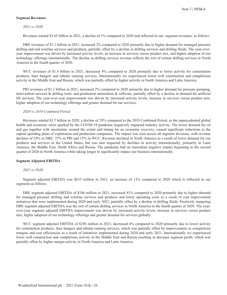## **Segment Revenues**

*2021 vs 2020*

Revenues totaled \$3.65 billion in 2021, a decline of 1% compared to 2020 and reflected in our segment revenues as follows:

DRE revenues of \$1.1 billion in 2021, increased 2% compared to 2020 primarily due to higher demand for managed pressure drilling and and wireline services and products, partially offset by a decline in drilling services and drilling fluids. The year-overyear improvement was driven by increased activity levels, an increase in services versus product mix, and higher adoption of our technology offerings internationally. The decline in drilling services revenue reflects the exit of certain drilling services in North America in the fourth quarter of 2020.

WCC revenues of \$1.4 billion in 2021, decreased 4% compared to 2020 primarily due to lower activity for cementation products, liner hangers and tubular running services. Internationally we experienced lower well construction and completions activity in the Middle East and Russia, which was partially offset by higher activity in North America and Latin America.

PRI revenues of \$1.1 billion in 2021, increased 2% compared to 2020 primarily due to higher demand for pressure pumping, intervention services & drilling tools, and production automation & software, partially offset by a decline in demand for artificial lift services. The year-over-year improvement was driven by increased activity levels, increase in services versus product mix, higher adoption of our technology offerings and greater demand for our services.

#### *2020 vs 2019 Combined Period*

Revenues totaled \$3.7 billion in 2020, a decline of 29% compared to the 2019 Combined Period, as the unprecedented global health and economic crisis sparked by the COVID-19 pandemic negatively impacted industry activity. The lower demand for oil and gas together with uncertainty around the extent and timing for an economic recovery, caused significant reductions to the capital spending plans of exploration and production companies. The impact was seen across all segment divisions, with revenue declines of 29% in DRE, 37% in PRI and 15% in WCC. Revenue declined in North America as a result of lower demand for our products and services in the United States, but was also impacted by declines in activity internationally, primarily in Latin America, the Middle East, North Africa and Russia. The pandemic had an immediate negative impact beginning in the second quarter of 2020 in North America while taking longer to significantly impact our business internationally.

#### **Segment Adjusted EBITDA**

#### *2021 vs 2020*

Segment adjusted EBITDA was \$633 million in 2021, an increase of 13% compared to 2020 which is reflected in our segments as follows:

DRE segment adjusted EBITDA of \$186 million in 2021, increased 41% compared to 2020 primarily due to higher demand for managed pressure drilling and wireline services and products and lower operating costs as a result of cost improvement initiatives that were implemented during 2020 and early 2021, partially offset by a decline in drilling fluids. Positively impacting DRE segment adjusted EBITDA was the exit of certain drilling services in North America in the fourth quarter of 2020. The yearover-year segment adjusted EBITDA improvement was driven by increased activity levels, increase in services versus product mix, higher adoption of our technology offerings and greater demand for services globally.

WCC segment adjusted EBITDA of \$256 million in 2021, decreased 6% compared to 2020 primarily due to lower activity for cementation products, liner hangers and tubular running services, which was partially offset by improvements in completions margins and cost efficiencies as a result of initiatives implemented during 2020 and early 2021. Internationally we experienced lower well construction and completions activity in the Middle East and Russia resulting in decrease segment profit, which was partially offset by higher margin activity in North America and Latin America.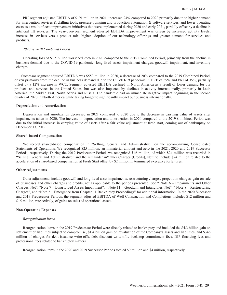PRI segment adjusted EBITDA of \$191 million in 2021, increased 24% compared to 2020 primarily due to to higher demand for intervention services  $\&$  drilling tools, pressure pumping and production automation  $\&$  software services, and lower operating costs as a result of cost improvement initiatives that were implemented during 2020 and early 2021, partially offset by a decline in artificial lift services. The year-over-year segment adjusted EBITDA improvement was driven by increased activity levels, increase in services versus product mix, higher adoption of our technology offerings and greater demand for services and products.

#### *2020 vs 2019 Combined Period*

Operating loss of \$1.5 billion worsened 26% in 2020 compared to the 2019 Combined Period, primarily from the decline in business demand due to the COVID-19 pandemic, long-lived assets impairment charges, goodwill impairment, and inventory charges.

Successor segment adjusted EBITDA was \$559 million in 2020, a decrease of 20% compared to the 2019 Combined Period, driven primarily from the decline in business demand due to the COVID-19 pandemic in DRE of 39% and PRI of 35%, partially offset by a 12% increase in WCC. Segment adjusted EBITDA declined in North America as a result of lower demand for our products and services in the United States, but was also impacted by declines in activity internationally, primarily in Latin America, the Middle East, North Africa and Russia. The pandemic had an immediate negative impact beginning in the second quarter of 2020 in North America while taking longer to significantly impact our business internationally.

#### **Depreciation and Amortization**

Depreciation and amortization decreased in 2021 compared to 2020 due to the decrease in carrying value of assets after impairments taken in 2020. The increase in depreciation and amortization in 2020 compared to the 2019 Combined Period was due to the initial increase in carrying value of assets after a fair value adjustment at fresh start, coming out of bankruptcy on December 13, 2019.

#### **Shared-based Compensation**

We record shared-based compensation in "Selling, General and Administrative" on the accompanying Consolidated Statements of Operations. We recognized \$25 million, an immaterial amount and zero in the 2021, 2020 and 2019 Successor Periods, respectively. During the 2019 Predecessor Period, we recognized \$46 million, of which \$24 million was recorded in "Selling, General and Administrative" and the remainder in"Other Charges (Credits), Net" to include \$24 million related to the acceleration of share-based compensation at Fresh Start offset by \$2 million in terminated executive forfeitures.

#### **Other Adjustments**

Other adjustments include goodwill and long-lived asset impairments, restructuring charges, prepetition charges, gain on sale of businesses and other charges and credits, net as applicable to the periods presented. See " Note 6 – Impairments and Other Charges, Net", "Note 7 – Long-Lived Assets Impairment", "Note 11 – Goodwill and Intangibles, Net", " Note 8 – Restructuring Charges", and "Note 2 – Emergence from Chapter 11 Bankruptcy Proceedings" for additional information. In the 2020 Successor and 2019 Predecessor Periods, the segment adjusted EBITDA of Well Construction and Completions includes \$12 million and \$15 million, respectively, of gains on sales of operational assets.

# **Non-Operating Expenses**

#### *Reorganization Items*

Reorganization items in the 2019 Predecessor Period were directly related to bankruptcy and included the \$4.3 billion gain on settlement of liabilities subject to compromise, \$1.4 billion gain on revaluation of the Company's assets and liabilities, and \$346 million of charges for debt issuance write-offs, debt discount write-offs, backstop commitment fees, DIP financing fees and professional fees related to bankruptcy matters.

Reorganization items in the 2020 and 2019 Successor Periods totaled \$9 million and \$4 million, respectively.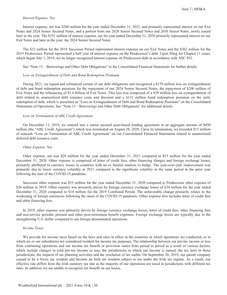#### *Interest Expense, Net*

Interest expense, net was \$260 million for the year ended December 31, 2021, and primarily represented interest on our Exit Notes and 2024 Senior Secured Notes, and a portion from our 2028 Senior Secured Notes and 2030 Senior Notes, newly issued later in the year. The \$251 million of interest expense, net for year ended December 31, 2020 primarily represented interest on our Exit Notes and later in the year, the 2024 Senior Secured Notes.

The \$12 million for the 2019 Successor Period represented interest expense on our Exit Notes and the \$362 million for the 2019 Predecessor Period represented a half year of interest expense on the Predecessor's debt. Upon filing for Chapter 11 cases, which began July 1, 2019, we no longer recognized interest expense on Predecessor debt in accordance with ASC 852.

See "Note 13 – Borrowings and Other Debt Obligations" to the Consolidated Financial Statements for further details.

#### *Loss on Extinguishment of Debt and Bond Redemption Premium*

During 2021, we repaid and refinanced certain of our debt obligations and recognized a \$170 million loss on extinguishment of debt and bond redemption premium for the repayment of our 2024 Senior Secured Notes, the repayment of \$200 million of Exit Notes and the refinancing of \$1.6 billion of Exit Notes. This loss was comprised of a \$39 million loss on extinguishment of debt related to unamortized debt issuance costs and discount and a \$131 million bond redemption premium on the early redemption of debt, which is presented as "Loss on Extinguishment of Debt and Bond Redemption Premium" on the Consolidated Statements of Operations. See "Note 13 – Borrowings and Other Debt Obligations" for additional details.

#### *Loss on Termination of ABL Credit Agreement*

On December 13, 2019, we entered into a senior secured asset-based lending agreement in an aggregate amount of \$450 million (the "ABL Credit Agreement") which was terminated on August 28, 2020. Upon its termination, we recorded \$15 million of noncash "Loss on Termination of ABL Credit Agreement" on our Consolidated Financial Statements related to unamortized deferred debt issuance costs.

#### *Other Expense, Net*

Other expense, net was \$29 million for the year ended December 31, 2021 compared to \$53 million for the year ended December 31, 2020. Other expense is comprised of letter of credit fees, other financing charges and foreign exchange losses, primarily attributed to currency losses in countries with no or limited markets to hedge. The year-over-year improvement was primarily due to lower currency volatility in 2021 compared to the significant volatility in the same period in the prior year following the start of the COVID-19 pandemic.

Successor other expense was \$53 million for the year ended December 31, 2020 compared to Predecessor other expense of \$26 million in 2019. Other expense was primarily driven by foreign currency exchange losses of \$34 million for the year ended December 31, 2020 compared to \$14 million for the 2019 Combined Period. The unfavorable change primarily relates to the weakening of foreign currencies following the onset of the COVID-19 pandemic. Other expense also includes letter of credit fees and other financing fees.

In 2019, other expense was primarily driven by foreign currency exchange losses, letter of credit fees, other financing fees and non-service periodic pension and other post-retirement benefit expenses. Foreign exchange losses are typically due to the strengthening U.S. dollar compared to our foreign denominated operations.

#### *Income Taxes*

We provide for income taxes based on the laws and rates in effect in the countries in which operations are conducted, or in which we or our subsidiaries are considered resident for income tax purposes. The relationship between our pre-tax income or loss from continuing operations and our income tax benefit or provision varies from period to period as a result of various factors, which include changes in total pre-tax income or loss, the jurisdictions in which our income is earned, the tax laws in those jurisdictions, the impacts of tax planning activities and the resolution of tax audits. On September 26, 2019, our parent company ceased to be a Swiss tax resident and became an Irish tax resident subject to tax under the Irish tax regime. As a result, our effective rate differs from the Irish statutory tax rate as the majority of our operations are taxed in jurisdictions with different tax rates. In addition, we are unable to recognize tax benefit on our losses.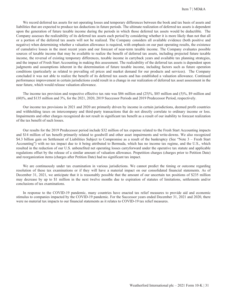We record deferred tax assets for net operating losses and temporary differences between the book and tax basis of assets and liabilities that are expected to produce tax deductions in future periods. The ultimate realization of deferred tax assets is dependent upon the generation of future taxable income during the periods in which those deferred tax assets would be deductible. The Company assesses the realizability of its deferred tax assets each period by considering whether it is more likely than not that all or a portion of the deferred tax assets will not be realized. The Company considers all available evidence (both positive and negative) when determining whether a valuation allowance is required, with emphasis on our past operating results, the existence of cumulative losses in the most recent years and our forecast of near-term taxable income. The Company evaluates possible sources of taxable income that may be available to realize the benefit of deferred tax assets, including projected future taxable income, the reversal of existing temporary differences, taxable income in carryback years and available tax planning strategies, and the impact of Fresh Start Accounting in making this assessment. The realizability of the deferred tax assets is dependent upon judgments and assumptions inherent in the determination of future taxable income, including factors such as future operation conditions (particularly as related to prevailing oil prices and market demand for our products and services). The Company concluded it was not able to realize the benefit of its deferred tax assets and has established a valuation allowance. Continued performance improvement in certain jurisdictions could result in a change in our realization of deferred tax asset assessment in the near future, which would release valuation allowance.

The income tax provision and respective effective tax rate was \$86 million and (25)%, \$85 million and (5)%, \$9 million and (60)%, and \$135 million and 3%, for the 2021, 2020, 2019 Successor Periods and 2019 Predecessor Period, respectively.

Our income tax provisions in 2021 and 2020 are primarily driven by income in certain jurisdictions, deemed profit countries and withholding taxes on intercompany and third-party transactions that do not directly correlate to ordinary income or loss. Impairments and other charges recognized do not result in significant tax benefit as a result of our inability to forecast realization of the tax benefit of such losses.

Our results for the 2019 Predecessor period include \$32 million of tax expense related to the Fresh Start Accounting impacts and \$14 million of tax benefit primarily related to goodwill and other asset impairments and write-downs. We also recognized \$4.3 billion gain on Settlement of Liabilities Subject to Compromise as a result of the bankruptcy (See "Note 3 – Fresh Start Accounting") with no tax impact due to it being attributed to Bermuda, which has no income tax regime, and the U.S., which resulted in the reduction of our U.S. unbenefited net operating losses carryforward under the operative tax statute and applicable regulations offset by the release of a similar amount of valuation allowance. Prepetition charges (charges prior to Petition Date) and reorganization items (charges after Petition Date) had no significant tax impact.

We are continuously under tax examination in various jurisdictions. We cannot predict the timing or outcome regarding resolution of these tax examinations or if they will have a material impact on our consolidated financial statements. As of December 31, 2021, we anticipate that it is reasonably possible that the amount of our uncertain tax positions of \$235 million may decrease by up to \$1 million in the next twelve months due to expiration of statutes of limitations, settlements and/or conclusions of tax examinations.

In response to the COVID-19 pandemic, many countries have enacted tax relief measures to provide aid and economic stimulus to companies impacted by the COVID-19 pandemic. For the Successor years ended December 31, 2021 and 2020, there were no material tax impacts to our financial statements as it relates to COVID-19 tax relief measures.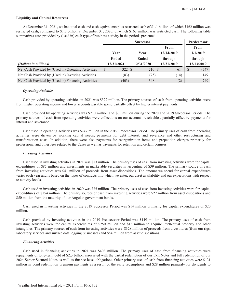# **Liquidity and Capital Resources**

summarizes cash provided by (used in) each type of business activity in the periods presented: **Successor Predecessor From From Year Year 12/14/2019 1/1/2019 Ended Ended through through** *(Dollars in millions)* **12/31/2021 12/31/2020 12/31/2019 12/13/2019** Net Cash Provided by (Used in) Operating Activities \$ 322 \$ 210 \$ 61 \$ (747) Net Cash Provided by (Used in) Investing Activities (83) (75) (14) 149 Net Cash Provided by (Used in) Financing Activities (403) 348 (2) 749

At December 31, 2021, we had total cash and cash equivalents plus restricted cash of \$1.1 billion, of which \$162 million was restricted cash, compared to \$1.3 billion at December 31, 2020, of which \$167 million was restricted cash. The following table

## *Operating Activities*

Cash provided by operating activities in 2021 was \$322 million. The primary sources of cash from operating activities were from higher operating income and lower accounts payable spend partially offset by higher interest payments.

Cash provided by operating activities was \$210 million and \$61 million during the 2020 and 2019 Successor Periods. The primary sources of cash from operating activities were collections on our accounts receivables, partially offset by payments for interest and severance.

Cash used in operating activities was \$747 million in the 2019 Predecessor Period. The primary uses of cash from operating activities were driven by working capital needs, payments for debt interest, and severance and other restructuring and transformation costs. In addition, there were also payments for reorganization items and prepetition charges primarily for professional and other fees related to the Cases as well as payments for retention and certain bonuses.

#### *Investing Activities*

Cash used in investing activities in 2021 was \$83 million. The primary uses of cash from investing activities were for capital expenditures of \$85 million and investments in marketable securities in Argentina of \$39 million. The primary source of cash from investing activities was \$41 million of proceeds from asset dispositions. The amount we spend for capital expenditures varies each year and is based on the types of contracts into which we enter, our asset availability and our expectations with respect to activity levels.

Cash used in investing activities in 2020 was \$75 million. The primary uses of cash from investing activities were for capital expenditures of \$154 million. The primary sources of cash from investing activities were \$22 million from asset dispositions and \$50 million from the maturity of our Angolan government bonds.

Cash used in investing activities in the 2019 Successor Period was \$14 million primarily for capital expenditures of \$20 million.

Cash provided by investing activities in the 2019 Predecessor Period was \$149 million. The primary uses of cash from investing activities were for capital expenditures of \$250 million and \$13 million to acquire intellectual property and other intangibles. The primary sources of cash from investing activities were \$328 million of proceeds from divestitures (from our rigs, laboratory services and surface data logging businesses) and \$84 million from asset dispositions.

# *Financing Activities*

Cash used in financing activities in 2021 was \$403 million. The primary uses of cash from financing activities were repayments of long-term debt of \$2.3 billion associated with the partial redemption of our Exit Notes and full redemption of our 2024 Senior Secured Notes as well as finance lease obligations. Other primary uses of cash from financing activities were \$131 million in bond redemption premium payments as a result of the early redemptions and \$28 million primarily for dividends to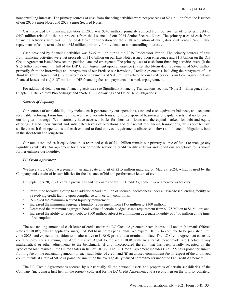noncontrolling interests. The primary sources of cash from financing activities were net proceeds of \$2.1 billion from the issuance of our 2030 Senior Notes and 2028 Senior Secured Notes.

Cash provided by financing activities in 2020 was \$348 million, primarily sourced from borrowings of long-term debt of \$453 million related to the net proceeds from the issuance of our 2024 Senior Secured Notes. The primary uses of cash from financing activities were \$24 million of deferred consideration for the 2018 acquisition of our Qatari joint venture \$27 million repayments of short-term debt and \$45 million primarily for dividends to noncontrolling interests.

Cash provided by financing activities was \$749 million during the 2019 Predecessor Period. The primary sources of cash from financing activities were net proceeds of \$1.6 billion on our Exit Notes issued upon emergence and \$1.5 billion on the DIP Credit Agreement issued between the petition date and emergence. The primary uses of cash from financing activities were (i) the \$1.5 billion repayment in full of the DIP Credit Agreement upon emergence (ii) net short-term debt repayments of \$347 million primarily from the borrowings and repayments of our Predecessor Revolving Credit Agreements, including the repayment of our 364-Day Credit Agreement (iii) long-term debt repayments of \$318 million related to our Predecessor Term Loan Agreement and financed leases and (iv) \$137 million in DIP financing fees and payments on a backstop agreement.

For additional details on our financing activities see Significant Financing Transactions section, "Note 2 – Emergence from Chapter 11 Bankruptcy Proceedings" and "Note 13 – Borrowings and Other Debt Obligations"

#### *Sources of Liquidity*

Our sources of available liquidity include cash generated by our operations, cash and cash equivalent balances, and accounts receivable factoring. From time to time, we may enter into transactions to dispose of businesses or capital assets that no longer fit our long-term strategy. We historically have accessed banks for short-term loans and the capital markets for debt and equity offerings. Based upon current and anticipated levels of operations and our recent refinancing transactions, we expect to have sufficient cash from operations and cash on hand to fund our cash requirements (discussed below) and financial obligations, both in the short-term and long-term.

Our total cash and cash equivalents plus restricted cash of \$1.1 billion remain our primary source of funds to manage any liquidity event risks. An agreement for a new corporate revolving credit facility at terms and conditions acceptable to us would further enhance our liquidity.

# *LC Credit Agreement*

We have a LC Credit Agreement in an aggregate amount of \$215 million maturing on May 29, 2024, which is used by the Company and certain of its subsidiaries for the issuance of bid and performance letters of credit.

On September 20, 2021, certain provisions and covenants of the LC Credit Agreement were amended as follows:

- Permit the borrowing of up to an additional \$400 million of secured indebtedness under an asset-based lending facility or a revolving credit facility upon compliance with certain conditions;
- Removed the minimum secured liquidity requirement;
- Increased the minimum aggregate liquidity requirement from \$175 million to \$300 million;
- Decreased the minimum aggregate book value of certain pledged assets requirement from \$1.25 billion to \$1 billion; and
- Increased the ability to redeem debt to \$500 million subject to a minimum aggregate liquidity of \$400 million at the time of redemption.

The outstanding amount of each letter of credit under the LC Credit Agreement bears interest at London Interbank Offered Rate ("LIBOR") plus an applicable margin of 350 basis points per annum. We expect LIBOR to continue to be published until June 2023, and expect to transition to an alternative to LIBOR prior to that termination date. The LC Credit Agreement currently contains provisions allowing the Administrative Agent to replace LIBOR with an alternate benchmark rate (including any mathematical or other adjustments to the benchmark (if any) incorporated therein) that has been broadly accepted by the syndicated loan market in the United States in lieu of LIBOR. The LC Credit Agreement includes (i) a 12.5 basis point per annum fronting fee on the outstanding amount of each such letter of credit and (ii) an unused commitment fee in respect of the unutilized commitments at a rate of 50 basis point per annum on the average daily unused commitments under the LC Credit Agreement.

The LC Credit Agreement is secured by substantially all the personal assets and properties of certain subsidiaries of the Company (including a first lien on the priority collateral for the LC Credit Agreement and a second lien on the priority collateral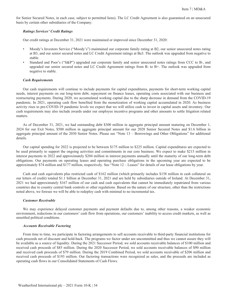for Senior Secured Notes, in each case, subject to permitted liens). The LC Credit Agreement is also guaranteed on an unsecured basis by certain other subsidiaries of the Company.

## *Ratings Services' Credit Ratings*

Our credit ratings at December 31, 2021 were maintained or improved since December 31, 2020:

- Moody's Investors Service ("Moody's") maintained our corporate family rating at B2, our senior unsecured notes rating at B3, and our senior secured notes and LC Credit Agreement ratings at Ba3. The outlook was upgraded from negative to stable.
- Standard and Poor's ("S&P") upgraded our corporate family and senior unsecured notes ratings from CCC to B-, and upgraded our senior secured notes and LC Credit Agreement ratings from B- to B+. The outlook was upgraded from negative to stable.

#### *Cash Requirements*

Our cash requirements will continue to include payments for capital expenditures, payments for short-term working capital needs, interest payments on our long-term debt, repayment on finance leases, operating costs associated with our business and restructuring payments. During 2020, we accumulated working capital due to the sharp decrease in demand from the COVID-19 pandemic. In 2021, operating cash flow benefited from the monetization of working capital accumulated in 2020. As business activity rises to pre-COVID-19 pandemic levels we expect that we will utilize cash to invest in capital assets and inventory. Our cash requirements may also include awards under our employee incentive programs and other amounts to settle litigation related matters.

As of December 31, 2021, we had outstanding debt \$300 million in aggregate principal amount maturing on December 1, 2024 for our Exit Notes, \$500 million in aggregate principal amount for our 2028 Senior Secured Notes and \$1.6 billion in aggregate principal amount of the 2030 Senior Notes. Please see "Note 13 – Borrowings and Other Obligations" for additional details.

Our capital spending for 2022 is projected to be between \$175 million to \$225 million. Capital expenditures are expected to be used primarily to support the ongoing activities and commitments in our core business. We expect to make \$215 million in interest payments in 2022 and approximately \$204 million in interest payments annually until the maturity of our long-term debt obligations. Our payments on operating leases and operating purchase obligations in the upcoming year are expected to be approximately \$74 million and \$177 million, respectively. See "Note 12 – Leases" for details of our lease obligations by year.

Cash and cash equivalents plus restricted cash of \$162 million (which primarily includes \$158 million in cash collateral on our letters of credit) totaled \$1.1 billion at December 31, 2021 and are held by subsidiaries outside of Ireland. At December 31, 2021 we had approximately \$167 million of our cash and cash equivalents that cannot be immediately repatriated from various countries due to country central bank controls or other regulations. Based on the nature of our structure, other than the restrictions noted above, we foresee we will be able to redeploy cash with minimal to no incremental tax.

#### *Customer Receivable*

We may experience delayed customer payments and payment defaults due to, among other reasons, a weaker economic environment, reductions in our customers' cash flow from operations, our customers' inability to access credit markets, as well as unsettled political conditions.

#### *Accounts Receivable Factoring*

From time to time, we participate in factoring arrangements to sell accounts receivable to third-party financial institutions for cash proceeds net of discount and hold-back. The programs we factor under are uncommitted and thus we cannot assure they will be available as a source of liquidity. During the 2021 Successor Period, we sold accounts receivable balances of \$100 million and received cash proceeds of \$85 million. During the 2020 Successor Period, we sold accounts receivable balances of \$90 million and received cash proceeds of \$79 million. During the 2019 Combined Period, we sold accounts receivable of \$206 million and received cash proceeds of \$193 million. Our factoring transactions were recognized as sales, and the proceeds are included as operating cash flows in our Consolidated Statements of Cash Flows.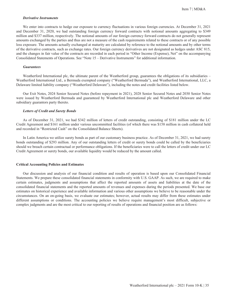#### *Derivative Instruments*

We enter into contracts to hedge our exposure to currency fluctuations in various foreign currencies. At December 31, 2021 and December 31, 2020, we had outstanding foreign currency forward contracts with notional amounts aggregating to \$349 million and \$337 million, respectively. The notional amounts of our foreign currency forward contracts do not generally represent amounts exchanged by the parties and thus are not a measure of the cash requirements related to these contracts or of any possible loss exposure. The amounts actually exchanged at maturity are calculated by reference to the notional amounts and by other terms of the derivative contracts, such as exchange rates. Our foreign currency derivatives are not designated as hedges under ASC 815, and the changes in fair value of the contracts are recorded in each period in "Other Income (Expense), Net" on the accompanying Consolidated Statements of Operations. See "Note 15 – Derivative Instruments" for additional information.

#### *Guarantees*

Weatherford International plc, the ultimate parent of the Weatherford group, guarantees the obligations of its subsidiaries – Weatherford International Ltd., a Bermuda exempted company ("Weatherford Bermuda"), and Weatherford International, LLC, a Delaware limited liability company ("Weatherford Delaware"), including the notes and credit facilities listed below.

Our Exit Notes, 2024 Senior Secured Notes (before repayment in 2021), 2028 Senior Secured Notes and 2030 Senior Notes were issued by Weatherford Bermuda and guaranteed by Weatherford International plc and Weatherford Delaware and other subsidiary guarantors party thereto.

#### *Letters of Credit and Surety Bonds*

As of December 31, 2021, we had \$342 million of letters of credit outstanding, consisting of \$181 million under the LC Credit Agreement and \$161 million under various uncommitted facilities (of which there was \$158 million in cash collateral held and recorded in "Restricted Cash" on the Consolidated Balance Sheets).

In Latin America we utilize surety bonds as part of our customary business practice. As of December 31, 2021, we had surety bonds outstanding of \$293 million. Any of our outstanding letters of credit or surety bonds could be called by the beneficiaries should we breach certain contractual or performance obligations. If the beneficiaries were to call the letters of credit under our LC Credit Agreement or surety bonds, our available liquidity would be reduced by the amount called.

#### **Critical Accounting Policies and Estimates**

Our discussion and analysis of our financial condition and results of operation is based upon our Consolidated Financial Statements. We prepare these consolidated financial statements in conformity with U.S. GAAP. As such, we are required to make certain estimates, judgments and assumptions that affect the reported amounts of assets and liabilities at the date of the consolidated financial statements and the reported amounts of revenues and expenses during the periods presented. We base our estimates on historical experience and available information and various other assumptions we believe to be reasonable under the circumstances. On an on-going basis, we evaluate our estimates; however, actual results may differ from these estimates under different assumptions or conditions. The accounting policies we believe require management's most difficult, subjective or complex judgments and are the most critical to our reporting of results of operations and financial position are as follows: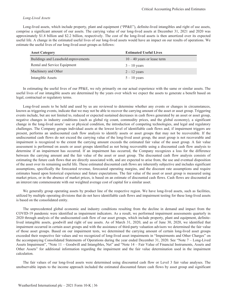## *Long-Lived Assets*

Long-lived assets, which include property, plant and equipment ("PP&E"), definite-lived intangibles and right of use assets, comprise a significant amount of our assets. The carrying value of our long-lived assets at December 31, 2021 and 2020 was approximately \$1.8 billion and \$2.2 billion, respectively. The cost of the long-lived assets is then amortized over its expected useful life. A change in the estimated useful lives of our long-lived assets would have an impact on our results of operations. We estimate the useful lives of our long-lived asset groups as follows:

| <b>Asset Category</b>                | <b>Estimated Useful Lives</b> |
|--------------------------------------|-------------------------------|
| Buildings and Leasehold improvements | $10 - 40$ years or lease term |
| Rental and Service Equipment         | $3 - 10$ years                |
| Machinery and Other                  | $2 - 12$ years                |
| Intangible Assets                    | $5 - 10$ years                |

In estimating the useful lives of our PP&E, we rely primarily on our actual experience with the same or similar assets. The useful lives of our intangible assets are determined by the years over which we expect the assets to generate a benefit based on legal, contractual or regulatory terms.

Long-lived assets to be held and used by us are reviewed to determine whether any events or changes in circumstances, known as triggering events, indicate that we may not be able to recover the carrying amount of the asset or asset group. Triggering events include, but are not limited to, reduced or expected sustained decreases in cash flows generated by an asset or asset group, negative changes in industry conditions (such as global rig count, commodity prices, and the global economy), a significant change in the long-lived assets' use or physical condition, the introduction of competing technologies, and legal and regulatory challenges. The Company groups individual assets at the lowest level of identifiable cash flows and, if impairment triggers are present, performs an undiscounted cash flow analysis to identify assets or asset groups that may not be recoverable. If the undiscounted cash flows do not exceed the carrying value of the long-lived asset group, the asset group is not recoverable and impairment is recognized to the extent the carrying amount exceeds the estimated fair value of the asset group. A fair value assessment is performed on assets or asset groups identified as not being recoverable using a discounted cash flow analysis to determine if an impairment has occurred. If an impairment has occurred, the Company recognizes a loss for the difference between the carrying amount and the fair value of the asset or asset group. The discounted cash flow analysis consists of estimating the future cash flows that are directly associated with, and are expected to arise from, the use and eventual disposition of the asset over its remaining useful life. These estimated discounted cash flows are inherently subjective and includes significant assumptions, specifically the forecasted revenue, forecasted operating margins, and the discount rate assumptions and require estimates based upon historical experience and future expectations. The fair value of the asset or asset group is measured using market prices, or in the absence of market prices, is based on an estimate of discounted cash flows. Cash flows are discounted at an interest rate commensurate with our weighted average cost of capital for a similar asset.

We generally group operating assets by product line of the respective region. We have long-lived assets, such as facilities, utilized by multiple operating divisions that do not have identifiable cash flows and impairment testing for these long-lived assets is based on the consolidated entity.

The unprecedented global economic and industry conditions resulting from the decline in demand and impact from the COVID-19 pandemic were identified as impairment indicators. As a result, we performed impairment assessments quarterly in 2020 through analysis of the undiscounted cash flow of our asset groups, which include property, plant and equipment, definitelived intangible assets, goodwill and right of use assets. As of March 31, 2020, and as of June 30, 2020, we identified that impairment occurred in certain asset groups and with the assistance of third-party valuation advisors we determined the fair value of those asset groups. Based on our impairment tests, we determined the carrying amount of certain long-lived asset groups exceeded their respective fair values and we recognized of long-lived asset impairments in "Impairments and Other Charges" on the accompanying Consolidated Statements of Operations during the year ended December 31, 2020. See "Note 7 – Long-Lived Assets Impairment", "Note 11 – Goodwill and Intangibles, Net" and "Note 14 – Fair Value of Financial Instruments, Assets and Other Assets" for additional information regarding the impairment and the fair value determination used in the impairment calculation.

The fair values of our long-lived assets were determined using discounted cash flow or Level 3 fair value analyses. The unobservable inputs to the income approach included the estimated discounted future cash flows by asset group and significant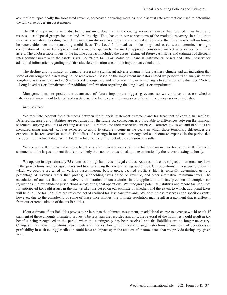assumptions, specifically the forecasted revenue, forecasted operating margins, and discount rate assumptions used to determine the fair value of certain asset groups.

The 2019 impairments were due to the sustained downturn in the energy services industry that resulted in us having to reassess our disposal groups for our land drilling rigs. The change in our expectations of the market's recovery, in addition to successive negative operating cash flows in certain disposal asset groups represented an indicator that those assets will no longer be recoverable over their remaining useful lives. The Level 3 fair values of the long-lived assets were determined using a combination of the market approach and the income approach. The market approach considered market sales values for similar assets. The unobservable inputs to the income approach included the assets' estimated future cash flows and estimates of discount rates commensurate with the assets' risks. See "Note 14 – Fair Value of Financial Instruments, Assets and Other Assets" for additional information regarding the fair value determination used in the impairment calculation.

The decline and its impact on demand represent a significant adverse change in the business climate and an indication that some of our long-lived assets may not be recoverable. Based on the impairment indicators noted we performed an analysis of our long-lived assets in 2020 and 2019 and recorded long-lived and other asset impairment charges to adjust to fair value. See "Note 7 – Long-Lived Assets Impairment" for additional information regarding the long-lived assets impairment.

Management cannot predict the occurrence of future impairment-triggering events, so we continue to assess whether indicators of impairment to long-lived assets exist due to the current business conditions in the energy services industry.

### *Income Taxes*

We take into account the differences between the financial statement treatment and tax treatment of certain transactions. Deferred tax assets and liabilities are recognized for the future tax consequences attributable to differences between the financial statement carrying amounts of existing assets and liabilities and their respective tax bases. Deferred tax assets and liabilities are measured using enacted tax rates expected to apply to taxable income in the years in which those temporary differences are expected to be recovered or settled. The effect of a change in tax rates is recognized as income or expense in the period that includes the enactment date. See "Note 21 – Income Taxes" for detailed discussion of results.

We recognize the impact of an uncertain tax position taken or expected to be taken on an income tax return in the financial statements at the largest amount that is more likely than not to be sustained upon examination by the relevant taxing authority.

We operate in approximately 75 countries through hundreds of legal entities. As a result, we are subject to numerous tax laws in the jurisdictions, and tax agreements and treaties among the various taxing authorities. Our operations in these jurisdictions in which we operate are taxed on various bases: income before taxes, deemed profits (which is generally determined using a percentage of revenues rather than profits), withholding taxes based on revenue, and other alternative minimum taxes. The calculation of our tax liabilities involves consideration of uncertainties in the application and interpretation of complex tax regulations in a multitude of jurisdictions across our global operations. We recognize potential liabilities and record tax liabilities for anticipated tax audit issues in the tax jurisdictions based on our estimate of whether, and the extent to which, additional taxes will be due. The tax liabilities are reflected net of realized tax loss carryforwards. We adjust these reserves upon specific events; however, due to the complexity of some of these uncertainties, the ultimate resolution may result in a payment that is different from our current estimate of the tax liabilities.

If our estimate of tax liabilities proves to be less than the ultimate assessment, an additional charge to expense would result. If payment of these amounts ultimately proves to be less than the recorded amounts, the reversal of the liabilities would result in tax benefits being recognized in the period when the contingency has been resolved and the liabilities are no longer necessary. Changes in tax laws, regulations, agreements and treaties, foreign currency exchange restrictions or our level of operations or profitability in each taxing jurisdiction could have an impact upon the amount of income taxes that we provide during any given year.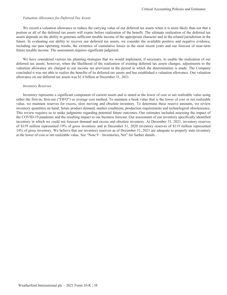## *Valuation Allowance for Deferred Tax Assets*

We record a valuation allowance to reduce the carrying value of our deferred tax assets when it is more likely than not that a portion or all of the deferred tax assets will expire before realization of the benefit. The ultimate realization of the deferred tax assets depends on the ability to generate sufficient taxable income of the appropriate character and in the related jurisdiction in the future. In evaluating our ability to recover our deferred tax assets, we consider the available positive and negative evidence, including our past operating results, the existence of cumulative losses in the most recent years and our forecast of near-term future taxable income. The assessment requires significant judgment.

We have considered various tax planning strategies that we would implement, if necessary, to enable the realization of our deferred tax assets; however, when the likelihood of the realization of existing deferred tax assets changes, adjustments to the valuation allowance are charged to our income tax provision in the period in which the determination is made. The Company concluded it was not able to realize the benefits of its deferred tax assets and has established a valuation allowance. Our valuation allowance on our deferred tax assets was \$1.4 billion at December 31, 2021.

## *Inventory Reserves*

Inventory represents a significant component of current assets and is stated at the lower of cost or net realizable value using either the first-in, first-out ("FIFO") or average cost method. To maintain a book value that is the lower of cost or net realizable value, we maintain reserves for excess, slow moving and obsolete inventory. To determine these reserve amounts, we review inventory quantities on hand, future product demand, market conditions, production requirements and technological obsolescence. This review requires us to make judgments regarding potential future outcomes. Our estimates included assessing the impact of the COVID-19 pandemic and the resulting impact to our business forecast. Our assessment of our inventory specifically identified inventory in which we could not forecast demand and excess and obsolete inventory. At December 31, 2021, inventory reserves of \$159 million represented 19% of gross inventory and at December 31, 2020 inventory reserves of \$119 million represented 14% of gross inventory. We believe that our inventory reserves as of December 31, 2021 are adequate to properly state inventory at the lower of cost or net realizable value. See "Note 9 – Inventories, Net" for further details.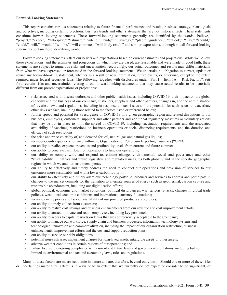## **Forward-Looking Statements**

This report contains various statements relating to future financial performance and results, business strategy, plans, goals and objectives, including certain projections, business trends and other statements that are not historical facts. These statements constitute forward-looking statements. These forward-looking statements generally are identified by the words "believe," "project," "expect," "anticipate," "estimate," "intend," "budget," "strategy," "plan," "guidance," "outlook," "may," "should," "could," "will," "would," "will be," "will continue," "will likely result," and similar expressions, although not all forward-looking statements contain these identifying words.

Forward-looking statements reflect our beliefs and expectations based on current estimates and projections. While we believe these expectations, and the estimates and projections on which they are based, are reasonable and were made in good faith, these statements are subject to numerous risks and uncertainties. Accordingly, our actual outcomes and results may differ materially from what we have expressed or forecasted in the forward-looking statements. We undertake no obligation to correct, update or revise any forward-looking statement, whether as a result of new information, future events, or otherwise, except to the extent required under federal securities laws. The following, together with disclosures under "Part I – Item 1A. – Risk Factors", sets forth certain risks and uncertainties relating to our forward-looking statements that may cause actual results to be materially different from our present expectations or projections:

- risks associated with disease outbreaks and other public health issues, including COVID-19, their impact on the global economy and the business of our company, customers, suppliers and other partners, changes in, and the administration of, treaties, laws, and regulations, including in response to such issues and the potential for such issues to exacerbate other risks we face, including those related to the factors listed or referenced below;
- further spread and potential for a resurgence of COVID-19 in a given geographic region and related disruptions to our business, employees, customers, suppliers and other partners and additional regulatory measures or voluntary actions that may be put in place to limit the spread of COVID-19, including vaccination requirements and the associated availability of vaccines, restrictions on business operations or social distancing requirements, and the duration and efficacy of such restrictions;
- the price and price volatility of, and demand for, oil, natural gas and natural gas liquids;
- member-country quota compliance within the Organization of Petroleum Exporting Countries ("OPEC");
- our ability to realize expected revenues and profitability levels from current and future contracts;
- our ability to generate cash flow from operations to fund our operations;
- our ability to comply with, and respond to, climate change, environmental, social and governance and other "sustainability" initiatives and future legislative and regulatory measures both globally and in the specific geographic regions in which we and our customers operate;
- our ability to effectively and timely address the need to conduct our operations and provision of services to our customers more sustainably and with a lower carbon footprint;
- our ability to effectively and timely adapt our technology portfolio, products and services to address and participate in changes to the market demands for the transition to alternate sources of energy such as geothermal, carbon capture and responsible abandonment, including our digitalization efforts;
- global political, economic and market conditions, political disturbances, war, terrorist attacks, changes in global trade policies, weak local economic conditions and international currency fluctuations;
- increases in the prices and lack of availability of our procured products and services;
- our ability to timely collect from customers;
- our ability to realize cost savings and business enhancements from our revenue and cost improvement efforts;
- our ability to attract, motivate and retain employees, including key personnel;
- our ability to access to capital markets on terms that are commercially acceptable to the Company;
- our ability to manage our workforce, supply chain and business processes, information technology systems and technological innovation and commercialization, including the impact of our organization restructure, business enhancements, improvement efforts and the cost and support reduction plans;
- our ability to service our debt obligations;
- potential non-cash asset impairment charges for long-lived assets, intangible assets or other assets;
- adverse weather conditions in certain regions of our operations; and
- failure to ensure on-going compliance with current and future laws and government regulations, including but not limited to environmental and tax and accounting laws, rules and regulations.

Many of these factors are macro-economic in nature and are, therefore, beyond our control. Should one or more of these risks or uncertainties materialize, affect us in ways or to an extent that we currently do not expect or consider to be significant, or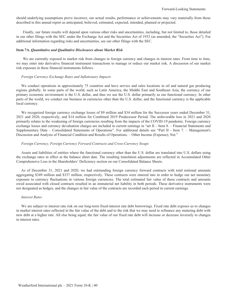should underlying assumptions prove incorrect, our actual results, performance or achievements may vary materially from those described in this annual report as anticipated, believed, estimated, expected, intended, planned or projected.

Finally, our future results will depend upon various other risks and uncertainties, including, but not limited to, those detailed in our other filings with the SEC under the Exchange Act and the Securities Act of 1933 (as amended, the "Securities Act"). For additional information regarding risks and uncertainties, see our other filings with the SEC.

#### **Item 7A.** *Quantitative and Qualitative Disclosures about Market Risk*

We are currently exposed to market risk from changes in foreign currency and changes in interest rates. From time to time, we may enter into derivative financial instrument transactions to manage or reduce our market risk. A discussion of our market risk exposure in these financial instruments follows.

#### *Foreign Currency Exchange Rates and Inflationary Impacts*

We conduct operations in approximately 75 countries and have service and sales locations in oil and natural gas producing regions globally. In some parts of the world, such as Latin America, the Middle East and Southeast Asia, the currency of our primary economic environment is the U.S. dollar, and thus we use the U.S. dollar primarily as our functional currency. In other parts of the world, we conduct our business in currencies other than the U.S. dollar, and the functional currency is the applicable local currency.

We recognized foreign currency exchange losses of \$9 million and \$34 million for the Successor years ended December 31, 2021 and 2020, respectively, and \$14 million for Combined 2019 Predecessor Period. The unfavorable loss in 2021 and 2020 primarily relates to the weakening of foreign currencies resulting from the impacts of the COVID-19 pandemic. Foreign currency exchange losses and currency devaluation charges are included in current earnings in "art II – Item 8. – Financial Statements and Supplementary Data – Consolidated Statements of Operations". For additional details see "Part II - Item 7. – Management's Discussion and Analysis of Financial Condition and Results of Operations. – Other Income (Expense), Net."

### *Foreign Currency, Foreign Currency Forward Contracts and Cross-Currency Swaps*

Assets and liabilities of entities where the functional currency other than the U.S. dollar are translated into U.S. dollars using the exchange rates in effect at the balance sheet date. The resulting translation adjustments are reflected in Accumulated Other Comprehensive Loss in the Shareholders' Deficiency section on our Consolidated Balance Sheets.

As of December 31, 2021 and 2020, we had outstanding foreign currency forward contracts with total notional amounts aggregating \$349 million and \$337 million, respectively. These contracts were entered into in order to hedge our net monetary exposure to currency fluctuations in various foreign currencies. The total estimated fair value of these contracts and amounts owed associated with closed contracts resulted in an immaterial net liability in both periods. These derivative instruments were not designated as hedges, and the changes in fair value of the contracts are recorded each period in current earnings.

## *Interest Rates*

We are subject to interest rate risk on our long-term fixed-interest rate debt borrowings. Fixed rate debt exposes us to changes in market interest rates reflected in the fair value of the debt and to the risk that we may need to refinance any maturing debt with new debt at a higher rate. All else being equal, the fair value of our fixed rate debt will increase or decrease inversely to changes in interest rates.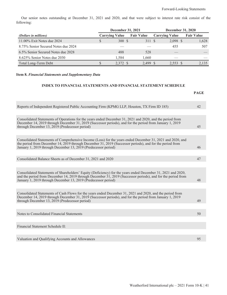**PAGE**

Our senior notes outstanding at December 31, 2021 and 2020, and that were subject to interest rate risk consist of the following:

|                                     | December 31, 2021     |                   | <b>December 31, 2020</b> |                   |  |  |
|-------------------------------------|-----------------------|-------------------|--------------------------|-------------------|--|--|
| (Dollars in millions)               | <b>Carrying Value</b> | <b>Fair Value</b> | <b>Carrying Value</b>    | <b>Fair Value</b> |  |  |
| 11.00% Exit Notes due 2024          | 300S                  | 311 S             | 2,098 \$                 | 1,628             |  |  |
| 8.75% Senior Secured Notes due 2024 |                       |                   | 455                      | 507               |  |  |
| 6.5% Senior Secured Notes due 2028  | 488                   | 528               |                          |                   |  |  |
| 8.625% Senior Notes due 2030        | 1.584                 | 1.660             |                          |                   |  |  |
| Total Long-Term Debt                | 2.372 \$              | 2,499 \$          | 2,553 \$                 | 2,135             |  |  |

# **Item 8.** *Financial Statements and Supplementary Data*

# **INDEX TO FINANCIAL STATEMENTS AND FINANCIAL STATEMENT SCHEDULE**

| Reports of Independent Registered Public Accounting Firm (KPMG LLP, Houston, TX Firm ID 185)                                                                                                                                                                                                      | 42 |
|---------------------------------------------------------------------------------------------------------------------------------------------------------------------------------------------------------------------------------------------------------------------------------------------------|----|
|                                                                                                                                                                                                                                                                                                   |    |
| Consolidated Statements of Operations for the years ended December 31, 2021 and 2020, and the period from<br>December 14, 2019 through December 31, 2019 (Successor periods), and for the period from January 1, 2019<br>through December 13, 2019 (Predecessor period)                           | 45 |
|                                                                                                                                                                                                                                                                                                   |    |
| Consolidated Statements of Comprehensive Income (Loss) for the years ended December 31, 2021 and 2020, and<br>the period from December 14, 2019 through December 31, 2019 (Successor periods), and for the period from<br>January 1, 2019 through December 13, 2019 (Predecessor period)          | 46 |
|                                                                                                                                                                                                                                                                                                   |    |
| Consolidated Balance Sheets as of December 31, 2021 and 2020                                                                                                                                                                                                                                      | 47 |
|                                                                                                                                                                                                                                                                                                   |    |
| Consolidated Statements of Shareholders' Equity (Deficiency) for the years ended December 31, 2021 and 2020,<br>and the period from December 14, 2019 through December $31$ , 2019 (Successor periods), and for the period from<br>January 1, 2019 through December 13, 2019 (Predecessor period) | 48 |
|                                                                                                                                                                                                                                                                                                   |    |
| Consolidated Statements of Cash Flows for the years ended December 31, 2021 and 2020, and the period from<br>December 14, 2019 through December 31, 2019 (Successor periods), and for the period from January 1, 2019<br>through December 13, $20\overline{1}9$ (Predecessor period)              | 49 |
|                                                                                                                                                                                                                                                                                                   |    |
| Notes to Consolidated Financial Statements                                                                                                                                                                                                                                                        | 50 |
|                                                                                                                                                                                                                                                                                                   |    |
| Financial Statement Schedule II:                                                                                                                                                                                                                                                                  |    |
|                                                                                                                                                                                                                                                                                                   |    |
| Valuation and Qualifying Accounts and Allowances                                                                                                                                                                                                                                                  | 95 |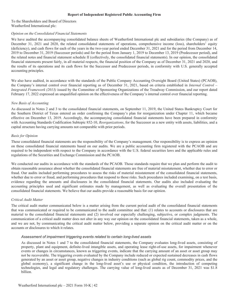# **Report of Independent Registered Public Accounting Firm**

To the Shareholders and Board of Directors Weatherford International plc:

## *Opinion on the Consolidated Financial Statements*

We have audited the accompanying consolidated balance sheets of Weatherford International plc and subsidiaries (the Company) as of December 31, 2021 and 2020, the related consolidated statements of operations, comprehensive income (loss), shareholders' equity (deficiency), and cash flows for each of the years in the two-year period ended December 31, 2021 and for the period from December 14, 2019 to December 31, 2019 (Successor periods) and for the period from January 1, 2019 to December 13, 2019 (Predecessor period), and the related notes and financial statement schedule II (collectively, the consolidated financial statements). In our opinion, the consolidated financial statements present fairly, in all material respects, the financial position of the Company as of December 31, 2021 and 2020, and the results of its operations and its cash flows for the Successor and Predecessor periods, in conformity with U.S. generally accepted accounting principles.

We also have audited, in accordance with the standards of the Public Company Accounting Oversight Board (United States) (PCAOB), the Company's internal control over financial reporting as of December 31, 2021, based on criteria established in *Internal Control – Integrated Framework (2013)* issued by the Committee of Sponsoring Organizations of the Treadway Commission, and our report dated February 17, 2022 expressed an unqualified opinion on the effectiveness of the Company's internal control over financial reporting.

# *New Basis of Accounting*

As discussed in Notes 2 and 3 to the consolidated financial statements, on September 11, 2019, the United States Bankruptcy Court for the Southern District of Texas entered an order confirming the Company's plan for reorganization under Chapter 11, which became effective on December 13, 2019. Accordingly, the accompanying consolidated financial statements have been prepared in conformity with Accounting Standards Codification Subtopic 852-10, *Reorganizations*, for the Successor as a new entity with assets, liabilities, and a capital structure having carrying amounts not comparable with prior periods.

# *Basis for Opinion*

These consolidated financial statements are the responsibility of the Company's management. Our responsibility is to express an opinion on these consolidated financial statements based on our audits. We are a public accounting firm registered with the PCAOB and are required to be independent with respect to the Company in accordance with the U.S. federal securities laws and the applicable rules and regulations of the Securities and Exchange Commission and the PCAOB.

We conducted our audits in accordance with the standards of the PCAOB. Those standards require that we plan and perform the audit to obtain reasonable assurance about whether the consolidated financial statements are free of material misstatement, whether due to error or fraud. Our audits included performing procedures to assess the risks of material misstatement of the consolidated financial statements, whether due to error or fraud, and performing procedures that respond to those risks. Such procedures included examining, on a test basis, evidence regarding the amounts and disclosures in the consolidated financial statements. Our audits also included evaluating the accounting principles used and significant estimates made by management, as well as evaluating the overall presentation of the consolidated financial statements. We believe that our audits provide a reasonable basis for our opinion.

# *Critical Audit Matter*

The critical audit matter communicated below is a matter arising from the current period audit of the consolidated financial statements that was communicated or required to be communicated to the audit committee and that: (1) relates to accounts or disclosures that are material to the consolidated financial statements and (2) involved our especially challenging, subjective, or complex judgments. The communication of a critical audit matter does not alter in any way our opinion on the consolidated financial statements, taken as a whole, and we are not, by communicating the critical audit matter below, providing a separate opinion on the critical audit matter or on the accounts or disclosures to which it relates.

# *Assessment of impairment triggering events related to certain long-lived assets*

As discussed in Notes 1 and 7 to the consolidated financial statements, the Company evaluates long-lived assets, consisting of property, plant and equipment, definite-lived intangible assets, and operating lease right-of-use assets, for impairment whenever events or changes in circumstances, known as triggering events, indicate that the carrying amount of an asset or asset group may not be recoverable. The triggering events evaluated by the Company include reduced or expected sustained decreases in cash flows generated by an asset or asset group, negative changes in industry conditions (such as global rig count, commodity prices, and the global economy), a significant change in the long-lived asset's use or physical condition, the introduction of competing technologies, and legal and regulatory challenges. The carrying value of long-lived assets as of December 31, 2021 was \$1.8 billion.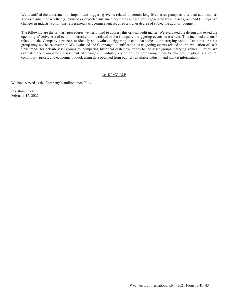We identified the assessment of impairment triggering events related to certain long-lived asset groups as a critical audit matter. The assessment of whether (i) reduced or expected sustained decreases in cash flows generated by an asset group and (ii) negative changes in industry conditions represented a triggering event required a higher degree of subjective auditor judgment.

The following are the primary procedures we performed to address this critical audit matter. We evaluated the design and tested the operating effectiveness of certain internal controls related to the Company's triggering events assessment. This included a control related to the Company's process to identify and evaluate triggering events that indicate the carrying value of an asset or asset group may not be recoverable. We evaluated the Company's identification of triggering events related to the evaluation of cash flow trends for certain asset groups by comparing historical cash flow trends to the asset groups' carrying values. Further, we evaluated the Company's assessment of changes in industry conditions by comparing them to changes in global rig count, commodity prices, and economic outlook using data obtained from publicly available industry and market information.

## /s/ KPMG LLP

We have served as the Company's auditor since 2013.

Houston, Texas February 17, 2022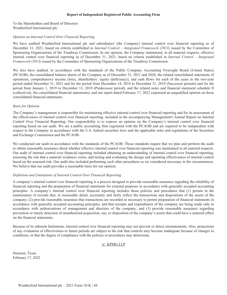# **Report of Independent Registered Public Accounting Firm**

To the Shareholders and Board of Directors Weatherford International plc:

# *Opinion on Internal Control Over Financial Reporting*

We have audited Weatherford International plc and subsidiaries' (the Company) internal control over financial reporting as of December 31, 2021, based on criteria established in *Internal Control – Integrated Framework (2013)* issued by the Committee of Sponsoring Organizations of the Treadway Commission. In our opinion, the Company maintained, in all material respects, effective internal control over financial reporting as of December 31, 2021, based on criteria established in *Internal Control – Integrated Framework (2013)* issued by the Committee of Sponsoring Organizations of the Treadway Commission.

We also have audited, in accordance with the standards of the Public Company Accounting Oversight Board (United States) (PCAOB), the consolidated balance sheets of the Company as of December 31, 2021 and 2020, the related consolidated statements of operations, comprehensive income (loss), shareholders' equity (deficiency), and cash flows for each of the years in the two-year period ended December 31, 2021 and for the period from December 14, 2019 to December 31, 2019 (Successor periods) and for the period from January 1, 2019 to December 13, 2019 (Predecessor period), and the related notes and financial statement schedule II (collectively, the consolidated financial statements), and our report dated February 17, 2022 expressed an unqualified opinion on those consolidated financial statements.

# *Basis for Opinion*

The Company's management is responsible for maintaining effective internal control over financial reporting and for its assessment of the effectiveness of internal control over financial reporting, included in the accompanying Management's Annual Report on Internal Control Over Financial Reporting. Our responsibility is to express an opinion on the Company's internal control over financial reporting based on our audit. We are a public accounting firm registered with the PCAOB and are required to be independent with respect to the Company in accordance with the U.S. federal securities laws and the applicable rules and regulations of the Securities and Exchange Commission and the PCAOB.

We conducted our audit in accordance with the standards of the PCAOB. Those standards require that we plan and perform the audit to obtain reasonable assurance about whether effective internal control over financial reporting was maintained in all material respects. Our audit of internal control over financial reporting included obtaining an understanding of internal control over financial reporting, assessing the risk that a material weakness exists, and testing and evaluating the design and operating effectiveness of internal control based on the assessed risk. Our audit also included performing such other procedures as we considered necessary in the circumstances. We believe that our audit provides a reasonable basis for our opinion.

# *Definition and Limitations of Internal Control Over Financial Reporting*

A company's internal control over financial reporting is a process designed to provide reasonable assurance regarding the reliability of financial reporting and the preparation of financial statements for external purposes in accordance with generally accepted accounting principles. A company's internal control over financial reporting includes those policies and procedures that (1) pertain to the maintenance of records that, in reasonable detail, accurately and fairly reflect the transactions and dispositions of the assets of the company; (2) provide reasonable assurance that transactions are recorded as necessary to permit preparation of financial statements in accordance with generally accepted accounting principles, and that receipts and expenditures of the company are being made only in accordance with authorizations of management and directors of the company; and (3) provide reasonable assurance regarding prevention or timely detection of unauthorized acquisition, use, or disposition of the company's assets that could have a material effect on the financial statements.

Because of its inherent limitations, internal control over financial reporting may not prevent or detect misstatements. Also, projections of any evaluation of effectiveness to future periods are subject to the risk that controls may become inadequate because of changes in conditions, or that the degree of compliance with the policies or procedures may deteriorate.

# /s/ KPMG LLP

Houston, Texas February 17, 2022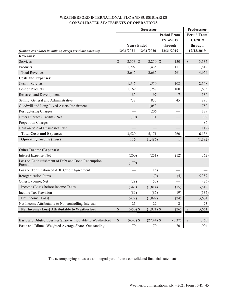# **WEATHERFORD INTERNATIONAL PLC AND SUBSIDIARIES CONSOLIDATED STATEMENTS OF OPERATIONS**

|                                                               |              | Predecessor |                           |                                             |              |                                           |  |
|---------------------------------------------------------------|--------------|-------------|---------------------------|---------------------------------------------|--------------|-------------------------------------------|--|
|                                                               |              |             | <b>Years Ended</b>        | <b>Period From</b><br>12/14/2019<br>through |              | <b>Period From</b><br>1/1/2019<br>through |  |
| (Dollars and shares in millions, except per share amounts)    |              | 12/31/2021  | 12/31/2020                | 12/31/2019                                  |              | 12/13/2019                                |  |
| <b>Revenues:</b>                                              |              |             |                           |                                             |              |                                           |  |
| Services                                                      | \$           | 2,353       | $\mathcal{S}$<br>2,250 \$ | 150                                         | $\mathbb{S}$ | 3,135                                     |  |
| Products                                                      |              | 1,292       | 1,435                     | 111                                         |              | 1,819                                     |  |
| <b>Total Revenues</b>                                         |              | 3,645       | 3,685                     | 261                                         |              | 4,954                                     |  |
| <b>Costs and Expenses:</b>                                    |              |             |                           |                                             |              |                                           |  |
| Cost of Services                                              |              | 1,547       | 1,550                     | 108                                         |              | 2,168                                     |  |
| Cost of Products                                              |              | 1,169       | 1,257                     | 100                                         |              | 1,685                                     |  |
| Research and Development                                      |              | 85          | 97                        | $\tau$                                      |              | 136                                       |  |
| Selling, General and Administrative                           |              | 738         | 837                       | 45                                          |              | 895                                       |  |
| Goodwill and Long-Lived Assets Impairment                     |              |             | 1,053                     |                                             |              | 750                                       |  |
| <b>Restructuring Charges</b>                                  |              |             | 206                       |                                             |              | 189                                       |  |
| Other Charges (Credits), Net                                  |              | (10)        | 171                       |                                             |              | 339                                       |  |
| <b>Prepetition Charges</b>                                    |              |             |                           |                                             |              | 86                                        |  |
| Gain on Sale of Businesses, Net                               |              |             |                           |                                             |              | (112)                                     |  |
| <b>Total Costs and Expenses</b>                               |              | 3,529       | 5,171                     | 260                                         |              | 6,136                                     |  |
| <b>Operating Income (Loss)</b>                                |              | 116         | (1,486)                   | $\mathbf{1}$                                |              | (1,182)                                   |  |
|                                                               |              |             |                           |                                             |              |                                           |  |
| <b>Other Income (Expense):</b>                                |              |             |                           |                                             |              |                                           |  |
| Interest Expense, Net                                         |              | (260)       | (251)                     | (12)                                        |              | (362)                                     |  |
| Loss on Extinguishment of Debt and Bond Redemption<br>Premium |              | (170)       |                           |                                             |              |                                           |  |
| Loss on Termination of ABL Credit Agreement                   |              |             | (15)                      |                                             |              |                                           |  |
| Reorganization Items                                          |              |             | (9)                       | (4)                                         |              | 5,389                                     |  |
| Other Expense, Net                                            |              | (29)        | (53)                      |                                             |              | (26)                                      |  |
| Income (Loss) Before Income Taxes                             |              | (343)       | (1, 814)                  | (15)                                        |              | 3,819                                     |  |
| Income Tax Provision                                          |              | (86)        | (85)                      | (9)                                         |              | (135)                                     |  |
| Net Income (Loss)                                             |              | (429)       | (1,899)                   | (24)                                        |              | 3,684                                     |  |
| Net Income Attributable to Noncontrolling Interests           |              | 21          | 22                        | 2                                           |              | 23                                        |  |
| <b>Net Income (Loss) Attributable to Weatherford</b>          | \$           | $(450)$ \$  | $(1,921)$ \$              | (26)                                        | $\mathbb S$  | 3,661                                     |  |
|                                                               |              |             |                           |                                             |              |                                           |  |
| Basic and Diluted Loss Per Share Attributable to Weatherford  | $\mathbb{S}$ | $(6.43)$ \$ | $(27.44)$ \$              | (0.37)                                      | $\mathbb S$  | 3.65                                      |  |
| Basic and Diluted Weighted Average Shares Outstanding         |              | 70          | $70\,$                    | 70                                          |              | 1,004                                     |  |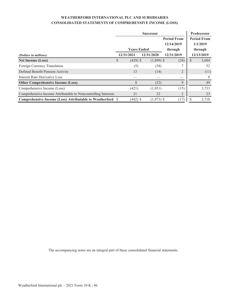# **WEATHERFORD INTERNATIONAL PLC AND SUBSIDIARIES CONSOLIDATED STATEMENTS OF COMPREHENSIVE INCOME (LOSS)**

|                                                               |    |                    | Predecessor  |                    |                    |
|---------------------------------------------------------------|----|--------------------|--------------|--------------------|--------------------|
|                                                               |    |                    |              | <b>Period From</b> | <b>Period From</b> |
|                                                               |    |                    |              | 12/14/2019         | 1/1/2019           |
|                                                               |    | <b>Years Ended</b> |              | through            | through            |
| <i>(Dollars in millions)</i>                                  |    | 12/31/2021         | 12/31/2020   | 12/31/2019         | 12/13/2019         |
| <b>Net Income (Loss)</b>                                      | \$ | $(429)$ \$         | $(1,899)$ \$ | (24)               | 3,684<br>S         |
| Foreign Currency Translation                                  |    | (5)                | (38)         |                    | 52                 |
| Defined Benefit Pension Activity                              |    | 13                 | (14)         | 2                  | (11)               |
| Interest Rate Derivative Loss                                 |    |                    |              |                    | 8                  |
| <b>Other Comprehensive Income (Loss)</b>                      |    | 8                  | (52)         | Q                  | 49                 |
| Comprehensive Income (Loss)                                   |    | (421)              | (1,951)      | (15)               | 3,733              |
| Comprehensive Income Attributable to Noncontrolling Interests |    | 21                 | 22           | ↑                  | 23                 |
| Comprehensive Income (Loss) Attributable to Weatherford \$    |    | $(442)$ \$         | $(1,973)$ \$ | (17)               | 3,710              |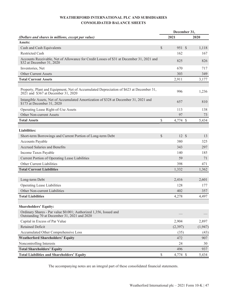# **WEATHERFORD INTERNATIONAL PLC AND SUBSIDIARIES CONSOLIDATED BALANCE SHEETS**

|                                                                                                                                |                                                                       | December 31, |          |
|--------------------------------------------------------------------------------------------------------------------------------|-----------------------------------------------------------------------|--------------|----------|
| (Dollars and shares in millions, except par value)                                                                             |                                                                       | 2021         | 2020     |
| Assets:                                                                                                                        |                                                                       |              |          |
| Cash and Cash Equivalents                                                                                                      | \$                                                                    | 951 \$       | 1,118    |
| <b>Restricted Cash</b>                                                                                                         |                                                                       | 162          | 167      |
| Accounts Receivable, Net of Allowance for Credit Losses of \$31 at December 31, 2021 and<br>\$32 at December 31, 2020          |                                                                       | 825          | 826      |
| Inventories, Net                                                                                                               |                                                                       | 670          | 717      |
| <b>Other Current Assets</b>                                                                                                    |                                                                       | 303          | 349      |
| <b>Total Current Assets</b>                                                                                                    |                                                                       | 2,911        | 3,177    |
|                                                                                                                                |                                                                       |              |          |
| Property, Plant and Equipment, Net of Accumulated Depreciation of \$623 at December 31,<br>2021 and \$367 at December 31, 2020 |                                                                       | 996          | 1,236    |
| Intangible Assets, Net of Accumulated Amortization of \$328 at December 31, 2021 and<br>\$173 at December 31, 2020             |                                                                       | 657          | 810      |
| Operating Lease Right-of-Use Assets                                                                                            |                                                                       | 113          | 138      |
| Other Non-current Assets                                                                                                       |                                                                       | 97           | 73       |
| <b>Total Assets</b>                                                                                                            | \$                                                                    | 4,774 \$     | 5,434    |
|                                                                                                                                |                                                                       |              |          |
| <b>Liabilities:</b>                                                                                                            |                                                                       |              |          |
| Short-term Borrowings and Current Portion of Long-term Debt                                                                    | \$                                                                    | 12S          | 13       |
| <b>Accounts Payable</b>                                                                                                        |                                                                       | 380          | 325      |
| <b>Accrued Salaries and Benefits</b>                                                                                           |                                                                       | 343          | 297      |
| Income Taxes Payable                                                                                                           |                                                                       | 140          | 185      |
| Current Portion of Operating Lease Liabilities                                                                                 |                                                                       | 59           | 71       |
| Other Current Liabilities                                                                                                      |                                                                       | 398          | 471      |
| <b>Total Current Liabilities</b>                                                                                               |                                                                       | 1,332        | 1,362    |
|                                                                                                                                |                                                                       |              |          |
| Long-term Debt                                                                                                                 |                                                                       | 2,416        | 2,601    |
| <b>Operating Lease Liabilities</b>                                                                                             |                                                                       | 128          | 177      |
| Other Non-current Liabilities                                                                                                  |                                                                       | 402          | 357      |
| <b>Total Liabilities</b>                                                                                                       |                                                                       | 4,278        | 4,497    |
|                                                                                                                                |                                                                       |              |          |
| <b>Shareholders' Equity:</b>                                                                                                   |                                                                       |              |          |
| Ordinary Shares - Par value \$0.001; Authorized 1,356, Issued and<br>Outstanding 70 at December 31, 2021 and 2020              |                                                                       |              |          |
| Capital in Excess of Par Value                                                                                                 |                                                                       | 2,904        | 2,897    |
| <b>Retained Deficit</b>                                                                                                        |                                                                       | (2,397)      | (1, 947) |
| Accumulated Other Comprehensive Loss                                                                                           |                                                                       | (35)         | (43)     |
| <b>Weatherford Shareholders' Equity</b>                                                                                        |                                                                       | 472          | 907      |
| Noncontrolling Interests                                                                                                       |                                                                       | 24           | 30       |
| <b>Total Shareholders' Equity</b>                                                                                              |                                                                       | 496          | 937      |
| <b>Total Liabilities and Shareholders' Equity</b>                                                                              | $\mathbb{S}% _{t}\left( t\right) \equiv\mathbb{S}_{t}\left( t\right)$ | 4,774 \$     | 5,434    |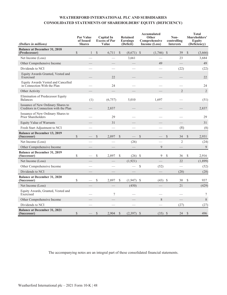# **WEATHERFORD INTERNATIONAL PLC AND SUBSIDIARIES CONSOLIDATED STATEMENTS OF SHAREHOLDERS' EQUITY (DEFICIENCY)**

|                                                                             | <b>Par Value</b><br>of Issued |               | <b>Capital In</b><br><b>Excess of Par</b> | <b>Retained</b><br>Earnings   | Accumulated<br>Other<br>Comprehensive | Non-<br>controlling | <b>Total</b><br>Shareholders'<br><b>Equity</b> |
|-----------------------------------------------------------------------------|-------------------------------|---------------|-------------------------------------------|-------------------------------|---------------------------------------|---------------------|------------------------------------------------|
| (Dollars in millions)                                                       | <b>Shares</b>                 |               | Value                                     | (Deficit)                     | Income (Loss)                         | <b>Interests</b>    | (Deficiency)                                   |
| <b>Balance at December 31, 2018</b><br>(Predecessor)                        | $\mathbb S$                   | 1             | $\mathbb{S}$<br>6,711                     | $\mathcal{S}$<br>$(8,671)$ \$ | (1,746)                               | 39<br><sup>\$</sup> | \$<br>(3,666)                                  |
| Net Income (Loss)                                                           |                               |               |                                           | 3,661                         |                                       | 23                  | 3,684                                          |
| Other Comprehensive Income                                                  |                               |               |                                           |                               | 49                                    |                     | 49                                             |
| Dividends to NCI                                                            |                               |               |                                           |                               |                                       | (22)                | (22)                                           |
| Equity Awards Granted, Vested and<br>Exercised                              |                               |               | 22                                        |                               |                                       |                     | 22                                             |
| Equity Awards Vested and Cancelled<br>in Connection With the Plan           |                               |               | 24                                        |                               |                                       |                     | 24                                             |
| Other Activity                                                              |                               |               |                                           |                               |                                       | $\overline{2}$      | $\overline{2}$                                 |
| Elimination of Predecessor Equity<br><b>Balances</b>                        |                               | (1)           | (6,757)                                   | 5,010                         | 1,697                                 |                     | (51)                                           |
| Issuance of New Ordinary Shares to<br>Creditors in Connection with the Plan |                               |               | 2,837                                     |                               |                                       |                     | 2,837                                          |
| Issuance of New Ordinary Shares to<br>Prior Shareholders                    |                               |               | 29                                        |                               |                                       |                     | 29                                             |
| <b>Equity Value of Warrants</b>                                             |                               |               | 31                                        |                               |                                       |                     | 31                                             |
| Fresh Start Adjustment to NCI                                               |                               |               |                                           |                               |                                       | (8)                 | (8)                                            |
| <b>Balance at December 13, 2019</b><br>(Successor)                          | $\mathcal{S}$                 |               | $\mathbb{S}$<br>2,897                     | $\mathbb{S}$                  | $\mathcal{S}$                         | $\mathcal{S}$<br>34 | $\mathcal{S}$<br>2,931                         |
| Net Income (Loss)                                                           |                               |               |                                           | (26)                          |                                       | $\overline{2}$      | (24)                                           |
| Other Comprehensive Income                                                  |                               |               |                                           |                               | 9                                     |                     | $\mathbf{Q}$                                   |
| <b>Balance at December 31, 2019</b><br>(Successor)                          | \$                            | $\mathcal{S}$ | 2,897                                     | $\mathcal{S}$<br>$(26)$ \$    | 9                                     | <sup>\$</sup><br>36 | \$<br>2,916                                    |
| Net Income (Loss)                                                           |                               |               |                                           | (1,921)                       |                                       | 22                  | (1,899)                                        |
| Other Comprehensive Income                                                  |                               |               |                                           |                               | \$<br>(52)                            |                     | (52)                                           |
| Dividends to NCI                                                            |                               |               |                                           |                               |                                       | (28)                | (28)                                           |
| <b>Balance at December 31, 2020</b><br>(Successor)                          | \$                            |               | $\mathbb{S}$<br>2,897                     | <sup>S</sup><br>$(1,947)$ \$  | (43)                                  | \$<br>30            | \$<br>937                                      |
| Net Income (Loss)                                                           |                               |               |                                           | (450)                         |                                       | 21                  | (429)                                          |
| Equity Awards, Granted, Vested and<br>Exercised                             |                               |               | $\overline{7}$                            |                               |                                       |                     | 7                                              |
| Other Comprehensive Income                                                  |                               |               |                                           |                               | 8                                     |                     | 8                                              |
| Dividends to NCI                                                            |                               |               |                                           |                               |                                       | (27)                | (27)                                           |
| <b>Balance at December 31, 2021</b><br>(Successor)                          | $\mathbb{S}$                  |               | $\$$<br>2,904                             | $\mathcal{S}$<br>$(2,397)$ \$ | $(35)$ \$                             | 24                  | $\mathcal{S}$<br>496                           |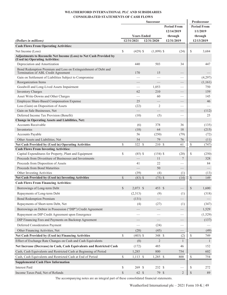# **WEATHERFORD INTERNATIONAL PLC AND SUBSIDIARIES CONSOLIDATED STATEMENTS OF CASH FLOWS**

|                                                                                                       | <b>Successor</b> |                               |              |                               |                                   | Predecessor        |
|-------------------------------------------------------------------------------------------------------|------------------|-------------------------------|--------------|-------------------------------|-----------------------------------|--------------------|
|                                                                                                       |                  |                               |              | <b>Period From</b>            |                                   | <b>Period From</b> |
|                                                                                                       |                  |                               |              | 12/14/2019                    |                                   | 1/1/2019           |
|                                                                                                       |                  | <b>Years Ended</b>            |              | through                       | through                           |                    |
| (Dollars in millions)                                                                                 |                  | 12/31/2021                    | 12/31/2020   | 12/31/2019                    |                                   | 12/13/2019         |
| <b>Cash Flows From Operating Activities:</b>                                                          |                  |                               |              |                               |                                   |                    |
| Net Income (Loss)                                                                                     | \$               | $(429)$ \$                    | $(1,899)$ \$ | (24)                          | \$                                | 3,684              |
| Adjustments to Reconcile Net Income (Loss) to Net Cash Provided by<br>(Used in) Operating Activities: |                  |                               |              |                               |                                   |                    |
| Depreciation and Amortization                                                                         |                  | 440                           | 503          | 34                            |                                   | 447                |
| Bond Redemption Premium and Loss on Extinguishment of Debt and<br>Termination of ABL Credit Agreement |                  | 170                           | 15           |                               |                                   |                    |
| Gain on Settlement of Liabilities Subject to Compromise                                               |                  |                               |              |                               |                                   | (4,297)            |
| Reorganization Items                                                                                  |                  |                               |              |                               |                                   | (1,161)            |
| Goodwill and Long-Lived Assets Impairment                                                             |                  |                               | 1,053        |                               |                                   | 750                |
| <b>Inventory Charges</b>                                                                              |                  | 62                            | 210          |                               |                                   | 159                |
| Asset Write-Downs and Other Charges                                                                   |                  |                               | 60           |                               |                                   | 145                |
| Employee Share-Based Compensation Expense                                                             |                  | 25                            |              |                               |                                   | 46                 |
| Loss (Gain) on Disposition of Assets                                                                  |                  | (22)                          | 2            |                               |                                   |                    |
| Gain on Sale Businesses, Net                                                                          |                  |                               |              |                               |                                   | (112)              |
| Deferred Income Tax Provision (Benefit)                                                               |                  | (10)                          | (5)          |                               |                                   | 25                 |
| <b>Change in Operating Assets and Liabilities, Net:</b>                                               |                  |                               |              |                               |                                   |                    |
| <b>Accounts Receivable</b>                                                                            |                  | (6)                           | 378          | 36                            |                                   | (135)              |
| Inventories                                                                                           |                  | (18)                          | 64           | 18                            |                                   | (215)              |
| Accounts Payable                                                                                      |                  | 56                            | (250)        | (79)                          |                                   | (72)               |
| Other Assets and Liabilities, Net                                                                     |                  | 54                            | 79           | 76                            |                                   | (11)               |
| <b>Net Cash Provided by (Used in) Operating Activities</b>                                            | \$               | 322 \$                        | 210 \$       | 61                            | \$                                | (747)              |
| <b>Cash Flows From Investing Activities:</b>                                                          |                  |                               |              |                               |                                   |                    |
| Capital Expenditures for Property, Plant and Equipment                                                | \$               | $(85)$ \$                     | $(154)$ \$   | (20)                          | \$                                | (250)              |
| Proceeds from Divestiture of Businesses and Investments                                               |                  |                               | 11           | 7                             |                                   | 328                |
| Proceeds from Disposition of Assets                                                                   |                  | 41                            | 22           |                               |                                   | 84                 |
| Proceeds from Bond Maturities                                                                         |                  |                               | 50           |                               |                                   |                    |
| Other Investing Activities                                                                            |                  | (39)                          | (4)          | (1)                           |                                   | (13)               |
| Net Cash Provided by (Used in) Investing Activities                                                   | $\mathbb{S}$     | $(83)$ \$                     | $(75)$ \$    | (14)                          | $\mathcal{S}$                     | 149                |
| <b>Cash Flows From Financing Activities:</b>                                                          |                  |                               |              |                               |                                   |                    |
| Borrowings of Long-term Debt                                                                          | $\mathbb{S}$     | $2,073$ \$                    | 453 \$       |                               | \$                                | 1,600              |
| Repayments of Long-term Debt                                                                          |                  | (2,313)                       | (9)          | (1)                           |                                   | (318)              |
| <b>Bond Redemption Premium</b>                                                                        |                  | (131)                         |              |                               |                                   |                    |
| Repayments of Short-term Debt, Net                                                                    |                  | (4)                           | (27)         | (1)                           |                                   | (347)              |
| Borrowings on Debtor in Possession ("DIP") Credit Agreement                                           |                  |                               |              |                               |                                   | 1,529              |
| Repayment on DIP Credit Agreement upon Emergence                                                      |                  |                               |              |                               |                                   | (1,529)            |
| DIP Financing Fees and Payments on Backstop Agreement                                                 |                  |                               |              |                               |                                   | (137)              |
| Deferred Consideration Payment                                                                        |                  | $\overbrace{\phantom{aaaaa}}$ | (24)         | $\overbrace{\phantom{aaaaa}}$ |                                   |                    |
| Other Financing Activities, Net                                                                       |                  | (28)                          | (45)         |                               |                                   | (49)               |
| Net Cash Provided by (Used in) Financing Activities                                                   | \$               | $(403)$ \$                    | 348 \$       | (2)                           | $\mathbb{S}$                      | 749                |
| Effect of Exchange Rate Changes on Cash and Cash Equivalents                                          |                  |                               | 2            | $\mathbf{1}$                  |                                   | -1                 |
|                                                                                                       |                  | (8)                           |              |                               |                                   |                    |
| Net Increase (Decrease) in Cash, Cash Equivalents and Restricted Cash                                 |                  | (172)                         | 485          | 46                            |                                   | 152                |
| Cash, Cash Equivalents and Restricted Cash at Beginning of Period                                     |                  | 1,285                         | 800          | 754                           |                                   | 602                |
| Cash, Cash Equivalents and Restricted Cash at End of Period                                           | \$               | $1,113$ \$                    | 1,285 \$     | 800                           | \$                                | 754                |
| <b>Supplemental Cash Flow Information</b>                                                             |                  |                               |              |                               |                                   |                    |
| Interest Paid                                                                                         | \$               | 269 \$                        | 232 \$       |                               | $\mathbb{S}% _{t}\left( t\right)$ | 272                |
| Income Taxes Paid, Net of Refunds                                                                     | \$               | 62 \$                         | 79 \$        | $\overline{2}$                | \$                                | 89                 |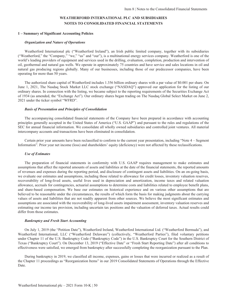# **WEATHERFORD INTERNATIONAL PLC AND SUBSIDIARIES NOTES TO CONSOLIDATED FINANCIAL STATEMENTS**

### **1 – Summary of Significant Accounting Policies**

#### *Organization and Nature of Operations*

Weatherford International plc ("Weatherford Ireland"), an Irish public limited company, together with its subsidiaries ("Weatherford," the "Company," "we," "us" and "our"), is a multinational energy services company. Weatherford is one of the world's leading providers of equipment and services used in the drilling, evaluation, completion, production and intervention of oil, geothermal and natural gas wells. We operate in approximately 75 countries and have service and sales locations in oil and natural gas producing regions globally. Many of our businesses, including those of our predecessor companies, have been operating for more than 50 years.

The authorized share capital of Weatherford includes 1.356 billion ordinary shares with a par value of \$0.001 per share. On June 1, 2021, The Nasdaq Stock Market LLC stock exchange ("NASDAQ") approved our application for the listing of our ordinary shares. In connection with the listing, we became subject to the reporting requirements of the Securities Exchange Act of 1934 (as amended, the "Exchange Act"). Our ordinary shares began trading on The Nasdaq Global Select Market on June 2, 2021 under the ticker symbol "WFRD".

#### *Basis of Presentation and Principles of Consolidation*

The accompanying consolidated financial statements of the Company have been prepared in accordance with accounting principles generally accepted in the United States of America ("U.S. GAAP") and pursuant to the rules and regulations of the SEC for annual financial information. We consolidate all wholly owned subsidiaries and controlled joint ventures. All material intercompany accounts and transactions have been eliminated in consolidation.

Certain prior year amounts have been reclassified to conform to the current year presentation, including "Note 4 – Segment Information". Prior year net income (loss) and shareholders' equity (deficiency) were not affected by these reclassifications.

#### *Use of Estimates*

The preparation of financial statements in conformity with U.S. GAAP requires management to make estimates and assumptions that affect the reported amounts of assets and liabilities at the date of the financial statements, the reported amounts of revenues and expenses during the reporting period, and disclosure of contingent assets and liabilities. On an on-going basis, we evaluate our estimates and assumptions, including those related to allowance for credit losses, inventory valuation reserves, recoverability of long-lived assets, useful lives used in depreciation and amortization, income taxes and related valuation allowance, accruals for contingencies, actuarial assumptions to determine costs and liabilities related to employee benefit plans, and share-based compensation. We base our estimates on historical experience and on various other assumptions that are believed to be reasonable under the circumstances, the results of which form the basis for making judgments about the carrying values of assets and liabilities that are not readily apparent from other sources. We believe the most significant estimates and assumptions are associated with the recoverability of long-lived assets impairment assessment, inventory valuation reserves and estimating our income tax provision, including uncertain tax positions and the valuation of deferred taxes. Actual results could differ from those estimates.

## *Bankruptcy and Fresh Start Accounting*

On July 1, 2019 (the "Petition Date"), Weatherford Ireland, Weatherford International Ltd. ("Weatherford Bermuda"), and Weatherford International, LLC ("Weatherford Delaware") (collectively, "Weatherford Parties"), filed voluntary petitions under Chapter 11 of the U.S. Bankruptcy Code ("Bankruptcy Code") in the U.S. Bankruptcy Court for the Southern District of Texas ("Bankruptcy Court"). On December 13, 2019 ("Effective Date" or "Fresh Start Reporting Date") after all conditions to effectiveness were satisfied, we emerged from bankruptcy after successfully completing the reorganization pursuant to the Plan.

During bankruptcy in 2019, we classified all income, expenses, gains or losses that were incurred or realized as a result of the Chapter 11 proceedings as "Reorganization Items" in our 2019 Consolidated Statements of Operations through the Effective Date.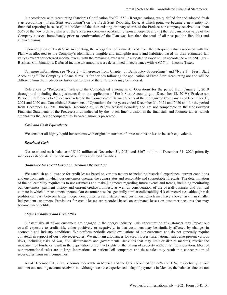In accordance with Accounting Standards Codification "ASC" 852 - Reorganizations, we qualified for and adopted fresh start accounting ("Fresh Start Accounting") on the Fresh Start Reporting Date, at which point we became a new entity for financial reporting because (i) the holders of the then existing ordinary shares of the Predecessor company received less than 50% of the new ordinary shares of the Successor company outstanding upon emergence and (ii) the reorganization value of the Company's assets immediately prior to confirmation of the Plan was less than the total of all post-petition liabilities and allowed claims.

Upon adoption of Fresh Start Accounting, the reorganization value derived from the enterprise value associated with the Plan was allocated to the Company's identifiable tangible and intangible assets and liabilities based on their estimated fair values (except for deferred income taxes), with the remaining excess value allocated to Goodwill in accordance with ASC 805 – Business Combinations. Deferred income tax amounts were determined in accordance with ASC 740 – Income Taxes.

For more information, see "Note 2 – Emergence from Chapter 11 Bankruptcy Proceedings" and "Note 3 – Fresh Start Accounting." The Company's financial results for periods following the application of Fresh Start Accounting are and will be different from the Predecessor historical trends and the differences may be material.

References to "Predecessor" relate to the Consolidated Statements of Operations for the period from January 1, 2019 through and including the adjustments from the application of Fresh Start Accounting on December 13, 2019 ("Predecessor Period"). References to "Successor" relate to the Consolidated Balance Sheets of the reorganized Company as of December 31, 2021 and 2020 and Consolidated Statements of Operations for the years ended December 31, 2021 and 2020 and for the period from December 14, 2019 through December 31, 2019 ("Successor Periods") and are not comparable to the Consolidated Financial Statements of the Predecessor as indicated by the "black line" division in the financials and footnote tables, which emphasizes the lack of comparability between amounts presented.

## *Cash and Cash Equivalents*

We consider all highly liquid investments with original maturities of three months or less to be cash equivalents.

## *Restricted Cash*

Our restricted cash balance of \$162 million at December 31, 2021 and \$167 million at December 31, 2020 primarily includes cash collateral for certain of our letters of credit facilities.

## *Allowance for Credit Losses on Accounts Receivables*

We establish an allowance for credit losses based on various factors to including historical experience, current conditions and environments in which our customers operate, the aging status and reasonable and supportable forecasts. The determination of the collectability requires us to use estimates and make judgments regarding future events and trends, including monitoring our customers' payment history and current creditworthiness, as well as consideration of the overall business and political climate in which our customers operate. Our customer base has generally similar collectability risk characteristics, although risk profiles can vary between larger independent customers and state-owned customers, which may have a lower risk than smaller independent customers. Provisions for credit losses are recorded based on estimated losses on customer accounts that may become uncollectible.

## *Major Customers and Credit Risk*

Substantially all of our customers are engaged in the energy industry. This concentration of customers may impact our overall exposure to credit risk, either positively or negatively, in that customers may be similarly affected by changes in economic and industry conditions. We perform periodic credit evaluations of our customers and do not generally require collateral in support of our trade receivables. We maintain allowances for credit losses. International sales also present various risks, including risks of war, civil disturbances and governmental activities that may limit or disrupt markets, restrict the movement of funds, or result in the deprivation of contract rights or the taking of property without fair consideration. Most of our international sales are to large international or national oil companies and these sales may result in a concentration of receivables from such companies.

As of December 31, 2021, accounts receivable in Mexico and the U.S. accounted for 22% and 15%, respectively, of our total net outstanding account receivables. Although we have experienced delay of payments in Mexico, the balances due are not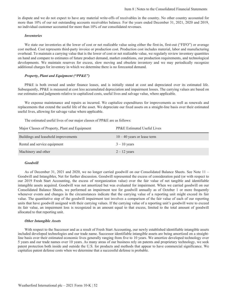in dispute and we do not expect to have any material write-offs of receivables in the country. No other country accounted for more than 10% of our net outstanding accounts receivables balance. For the years ended December 31, 2021, 2020 and 2019, no individual customer accounted for more than 10% of our consolidated revenues.

# *Inventories*

We state our inventories at the lower of cost or net realizable value using either the first-in, first-out ("FIFO") or average cost method. Cost represents third-party invoice or production cost. Production cost includes material, labor and manufacturing overhead. To maintain a carrying value that is the lower of cost or net realizable value, we regularly review inventory quantities on hand and compare to estimates of future product demand, market conditions, our production requirements, and technological developments. We maintain reserves for excess, slow moving and obsolete inventory and we may periodically recognize additional charges for inventory in which we determine there is no forecasted demand.

## *Property, Plant and Equipment ("PP&E")*

PP&E is both owned and under finance leases, and is initially stated at cost and depreciated over its estimated life. Subsequently, PP&E is measured at cost less accumulated depreciation and impairment losses. The carrying values are based on our estimates and judgments relative to capitalized costs, useful lives and salvage value, where applicable.

We expense maintenance and repairs as incurred. We capitalize expenditures for improvements as well as renewals and replacements that extend the useful life of the asset. We depreciate our fixed assets on a straight-line basis over their estimated useful lives, allowing for salvage value where applicable.

The estimated useful lives of our major classes of PP&E are as follows:

| Major Classes of Property, Plant and Equipment | <b>PP&amp;E</b> Estimated Useful Lives |
|------------------------------------------------|----------------------------------------|
| Buildings and leasehold improvements           | $10 - 40$ years or lease term          |
| Rental and service equipment                   | $3 - 10$ years                         |
| Machinery and other                            | $2 - 12$ years                         |

#### *Goodwill*

As of December 31, 2021 and 2020, we no longer carried goodwill on our Consolidated Balance Sheets. See Note 11 – Goodwill and Intangibles, Net for further discussion. Goodwill represented the excess of consideration paid (or with respect to our 2019 Fresh Start Accounting, the excess of reorganization value) over the fair value of net tangible and identifiable intangible assets acquired. Goodwill was not amortized but was evaluated for impairment. When we carried goodwill on our Consolidated Balance Sheets, we performed an impairment test for goodwill annually as of October 1 or more frequently whenever events and changes in the circumstances indicate that the carrying value of a reporting unit might exceed its fair value. The quantitative step of the goodwill impairment test involves a comparison of the fair value of each of our reporting units that have goodwill assigned with their carrying values. If the carrying value of a reporting unit's goodwill were to exceed its fair value, an impairment loss is recognized in an amount equal to that excess, limited to the total amount of goodwill allocated to that reporting unit.

## *Other Intangible Assets*

With respect to the Successor and as a result of Fresh Start Accounting, our newly established identifiable intangible assets included developed technologies and our trade name. Successor identifiable intangible assets are being amortized on a straightline basis over their estimated economic lives generally ranging from five to 10 years. We amortize developed technology over 5 years and our trade names over 10 years. As many areas of our business rely on patents and proprietary technology, we seek patent protection both inside and outside the U.S. for products and methods that appear to have commercial significance. We capitalize patent defense costs when we determine that a successful defense is probable.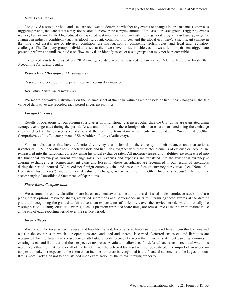#### *Long-Lived Assets*

Long-lived assets to be held and used are reviewed to determine whether any events or changes in circumstances, known as triggering events, indicate that we may not be able to recover the carrying amount of the asset or asset group. Triggering events include, but are not limited to, reduced or expected sustained decreases in cash flows generated by an asset group, negative changes in industry conditions (such as global rig count, commodity prices, and the global economy), a significant change in the long-lived asset's use or physical condition, the introduction of competing technologies, and legal and regulatory challenges. The Company groups individual assets at the lowest level of identifiable cash flows and, if impairment triggers are present, performs an undiscounted cash flow analysis to identify assets or asset groups that may not be recoverable.

Long-lived assets held as of our 2019 emergence date were remeasured to fair value. Refer to Note 3 – Fresh Start Accounting for further details.

#### *Research and Development Expenditures*

Research and development expenditures are expensed as incurred.

#### *Derivative Financial Instruments*

We record derivative instruments on the balance sheet at their fair value as either assets or liabilities. Changes in the fair value of derivatives are recorded each period in current earnings.

#### *Foreign Currency*

Results of operations for our foreign subsidiaries with functional currencies other than the U.S. dollar are translated using average exchange rates during the period. Assets and liabilities of these foreign subsidiaries are translated using the exchange rates in effect at the balance sheet dates, and the resulting translation adjustments are included in "Accumulated Other Comprehensive Loss", a component of Shareholders' Equity (Deficiency).

For our subsidiaries that have a functional currency that differs from the currency of their balances and transactions, inventories, PP&E and other non-monetary assets and liabilities, together with their related elements of expense or income, are remeasured into the functional currency using historical exchange rates. All monetary assets and liabilities are remeasured into the functional currency at current exchange rates. All revenues and expenses are translated into the functional currency at average exchange rates. Remeasurement gains and losses for these subsidiaries are recognized in our results of operations during the period incurred. We record net foreign currency gains and losses on foreign currency derivatives (see "Note 15 – Derivative Instruments") and currency devaluation charges, when incurred, in "Other Income (Expense), Net" on the accompanying Consolidated Statements of Operations.

#### *Share-Based Compensation*

We account for equity-classified share-based payment awards, including awards issued under employee stock purchase plans, stock options, restricted shares, restricted share units and performance units by measuring these awards at the date of grant and recognizing the grant date fair value as an expense, net of forfeitures, over the service period, which is usually the vesting period. Liability-classified awards, such as phantom restricted share units, are remeasured at their current market value at the end of each reporting period over the service period.

## *Income Taxes*

We account for taxes under the asset and liability method. Income taxes have been provided based upon the tax laws and rates in the countries in which our operations are conducted and income is earned. Deferred tax assets and liabilities are recognized for the future tax consequences attributable to differences between the financial statement carrying amounts of existing assets and liabilities and their respective tax bases. A valuation allowance for deferred tax assets is recorded when it is more likely than not that some or all of the benefit from the deferred tax asset will not be realized. The impact of an uncertain tax position taken or expected to be taken on an income tax return is recognized in the financial statements at the largest amount that is more likely than not to be sustained upon examination by the relevant taxing authority.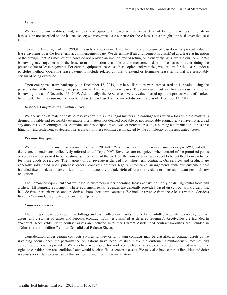## *Leases*

We lease certain facilities, land, vehicles, and equipment. Leases with an initial term of 12 months or less ("short-term leases") are not recorded on the balance sheet; we recognize lease expense for these leases on a straight-line basis over the lease term.

Operating lease right of use ("ROU") assets and operating lease liabilities are recognized based on the present value of lease payments over the lease term at commencement date. We determine if an arrangement is classified as a lease at inception of the arrangement. As most of our leases do not provide an implicit rate of return, on a quarterly basis, we use our incremental borrowing rate, together with the lease term information available at commencement date of the lease, in determining the present value of lease payments. For certain equipment leases, such as copiers and vehicles, we account for the leases under a portfolio method. Operating lease payments include related options to extend or terminate lease terms that are reasonably certain of being exercised.

Upon emergence from bankruptcy on December 13, 2019, our lease liabilities were remeasured to fair value using the present value of the remaining lease payments as if we acquired new leases. The remeasurement was based on our incremental borrowing rate as of December 13, 2019. Additionally, the ROU assets were revalued based upon the present value of marketbased rent. The remeasurement of our ROU assets was based on the market discount rate as of December 13, 2019.

#### *Disputes, Litigation and Contingencies*

We accrue an estimate of costs to resolve certain disputes, legal matters and contingencies when a loss on these matters is deemed probable and reasonably estimable. For matters not deemed probable or not reasonably estimable, we have not accrued any amounts. Our contingent loss estimates are based upon an analysis of potential results, assuming a combination of possible litigation and settlement strategies. The accuracy of these estimates is impacted by the complexity of the associated issues.

#### *Revenue Recognition*

We account for revenue in accordance with ASU 2014-09, *Revenue from Contracts with Customers (Topic 606)*, and all of the related amendments, collectively referred to as "Topic 606". Revenues are recognized when control of the promised goods or services is transferred to our customers, in an amount that reflects the consideration we expect to be entitled to in exchange for those goods or services. The majority of our revenue is derived from short term contracts. Our services and products are generally sold based upon purchase orders, contracts or other legally enforceable arrangements with our customers that included fixed or determinable prices but do not generally include right of return provisions or other significant post-delivery obligations.

The unmanned equipment that we lease to customers under operating leases consist primarily of drilling rental tools and artificial lift pumping equipment. These equipment rental revenues are generally provided based on call-out work orders that include fixed per unit prices and are derived from short-term contracts. We include revenue from these leases within "Services Revenue" on our Consolidated Statement of Operations.

## *Contract Balances*

The timing of revenue recognition, billings and cash collections results in billed and unbilled accounts receivable, contract assets, and customer advances and deposits (contract liabilities classified as deferred revenues). Receivables are included in "Accounts Receivable, Net," contract assets are included in "Other Current Assets" and contract liabilities are included in "Other Current Liabilities" on our Consolidated Balance Sheets.

Consideration under certain contracts such as turnkey or lump sum contracts may be classified as contract assets as the invoicing occurs once the performance obligations have been satisfied while the customer simultaneously receives and consumes the benefits provided. We also have receivables for work completed on service contracts but not billed in which the rights to consideration are conditional and would be classified as contract assets. We may also have contract liabilities and defer revenues for certain product sales that are not distinct from their installation.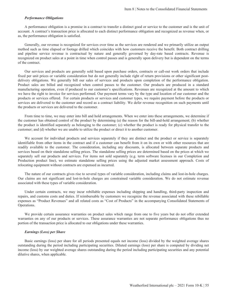#### *Performance Obligations*

A performance obligation is a promise in a contract to transfer a distinct good or service to the customer and is the unit of account. A contract's transaction price is allocated to each distinct performance obligation and recognized as revenue when, or as, the performance obligation is satisfied.

Generally, our revenue is recognized for services over time as the services are rendered and we primarily utilize an output method such as time elapsed or footage drilled which coincides with how customers receive the benefit. Both contract drilling and pipeline service revenue is contractual by nature and generally governed by day-rate based contracts. Revenue is recognized on product sales at a point in time when control passes and is generally upon delivery but is dependent on the terms of the contract.

Our services and products are generally sold based upon purchase orders, contracts or call-out work orders that include fixed per unit prices or variable consideration but do not generally include right of return provisions or other significant postdelivery obligations. We generally bill our sales of services and products upon completion of the performance obligation. Product sales are billed and recognized when control passes to the customer. Our products are produced in a standard manufacturing operation, even if produced to our customer's specifications. Revenues are recognized at the amount to which we have the right to invoice for services performed. Our payment terms vary by the type and location of our customer and the products or services offered. For certain products or services and customer types, we require payment before the products or services are delivered to the customer and record as a contract liability. We defer revenue recognition on such payments until the products or services are delivered to the customer.

From time to time, we may enter into bill and hold arrangements. When we enter into these arrangements, we determine if the customer has obtained control of the product by determining (a) the reason for the bill-and-hold arrangement; (b) whether the product is identified separately as belonging to the customer; (c) whether the product is ready for physical transfer to the customer; and (d) whether we are unable to utilize the product or direct it to another customer.

We account for individual products and services separately if they are distinct and the product or service is separately identifiable from other items in the contract and if a customer can benefit from it on its own or with other resources that are readily available to the customer. The consideration, including any discounts, is allocated between separate products and services based on their standalone selling prices. The standalone selling prices are determined based on the prices at which we separately sell our products and services. For items not sold separately (e.g. term software licenses in our Completion and Production product line), we estimate standalone selling prices using the adjusted market assessment approach. Costs of relocating equipment without contracts are expensed as incurred.

The nature of our contracts gives rise to several types of variable consideration, including claims and lost-in-hole charges. Our claims are not significant and lost-in-hole charges are constrained variable consideration. We do not estimate revenue associated with these types of variable consideration.

Under certain contracts, we may incur rebillable expenses including shipping and handling, third-party inspection and repairs, and customs costs and duties. If reimbursable by customers we recognize the revenue associated with these rebillable expenses as "Product Revenues" and all related costs as "Cost of Products" in the accompanying Consolidated Statements of Operations.

We provide certain assurance warranties on product sales which range from one to five years but do not offer extended warranties on any of our products or services. These assurance warranties are not separate performance obligations thus no portion of the transaction price is allocated to our obligations under these warranties.

## *Earnings (Loss) per Share*

Basic earnings (loss) per share for all periods presented equals net income (loss) divided by the weighted average shares outstanding during the period including participating securities. Diluted earnings (loss) per share is computed by dividing net income (loss) by our weighted average shares outstanding during the period including participating securities and any potential dilutive shares, when applicable.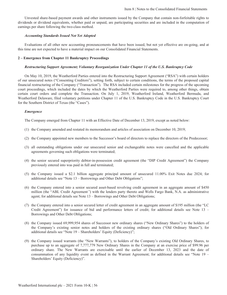Unvested share-based payment awards and other instruments issued by the Company that contain non-forfeitable rights to dividends or dividend equivalents, whether paid or unpaid, are participating securities and are included in the computation of earnings per share following the two-class method.

## *Accounting Standards Issued Not Yet Adopted*

Evaluations of all other new accounting pronouncements that have been issued, but not yet effective are on-going, and at this time are not expected to have a material impact on our Consolidated Financial Statements.

## **2 – Emergence from Chapter 11 Bankruptcy Proceedings**

## *Restructuring Support Agreement; Voluntary Reorganization Under Chapter 11 of the U.S. Bankruptcy Code*

On May 10, 2019, the Weatherford Parties entered into the Restructuring Support Agreement ("RSA") with certain holders of our unsecured notes ("Consenting Creditors"), setting forth, subject to certain conditions, the terms of the proposed capital financial restructuring of the Company ("Transaction"). The RSA included certain milestones for the progress of the upcoming court proceedings, which included the dates by which the Weatherford Parties were required to, among other things, obtain certain court orders and complete the Transaction. On July 1, 2019, Weatherford Ireland, Weatherford Bermuda, and Weatherford Delaware, filed voluntary petitions under Chapter 11 of the U.S. Bankruptcy Code in the U.S. Bankruptcy Court for the Southern District of Texas (the "Cases").

## *Emergence*

The Company emerged from Chapter 11 with an Effective Date of December 13, 2019, except as noted below:

- (1) the Company amended and restated its memorandum and articles of association on December 10, 2019;
- (2) the Company appointed new members to the Successor's board of directors to replace the directors of the Predecessor;
- (3) all outstanding obligations under our unsecured senior and exchangeable notes were cancelled and the applicable agreements governing such obligations were terminated;
- (4) the senior secured superpriority debtor-in-possession credit agreement (the "DIP Credit Agreement") the Company previously entered into was paid in full and terminated;
- (5) the Company issued a \$2.1 billion aggregate principal amount of unsecured 11.00% Exit Notes due 2024; for additional details see "Note 13 – Borrowings and Other Debt Obligations";
- (6) the Company entered into a senior secured asset-based revolving credit agreement in an aggregate amount of \$450 million (the "ABL Credit Agreement*"*) with the lenders party thereto and Wells Fargo Bank, N.A. as administrative agent; for additional details see Note 13 – Borrowings and Other Debt Obligations;
- (7) the Company entered into a senior secured letter of credit agreement in an aggregate amount of \$195 million (the "LC Credit Agreement") for issuance of bid and performance letters of credit; for additional details see Note 13 – Borrowings and Other Debt Obligations;
- (8) the Company issued 69,999,954 shares of Successor new ordinary shares ("New Ordinary Shares") to the holders of the Company's existing senior notes and holders of the existing ordinary shares ("Old Ordinary Shares"); for additional details see "Note 19 – Shareholders' Equity (Deficiency)";
- (9) the Company issued warrants (the "New Warrants"), to holders of the Company's existing Old Ordinary Shares, to purchase up to an aggregate of 7,777,779 New Ordinary Shares in the Company at an exercise price of \$99.96 per ordinary share. The New Warrants are exercisable until the earlier of December 13, 2023 and the date of consummation of any liquidity event as defined in the Warrant Agreement; for additional details see "Note 19 – Shareholders' Equity (Deficiency)".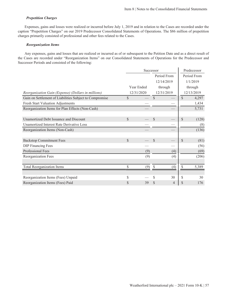# *Prepetition Charges*

Expenses, gains and losses were realized or incurred before July 1, 2019 and in relation to the Cases are recorded under the caption "Prepetition Charges" on our 2019 Predecessor Consolidated Statements of Operations. The \$86 million of prepetition charges primarily consisted of professional and other fees related to the Cases.

## *Reorganization Items*

Any expenses, gains and losses that are realized or incurred as of or subsequent to the Petition Date and as a direct result of the Cases are recorded under "Reorganization Items" on our Consolidated Statements of Operations for the Predecessor and Successor Periods and consisted of the following:

|                                                         |               |            | Predecessor   |            |                     |       |  |
|---------------------------------------------------------|---------------|------------|---------------|------------|---------------------|-------|--|
|                                                         | Period From   |            |               |            | Period From         |       |  |
|                                                         |               |            |               | 12/14/2019 | 1/1/2019<br>through |       |  |
|                                                         |               | Year Ended |               | through    |                     |       |  |
| Reorganization Gain (Expense) (Dollars in millions)     |               | 12/31/2020 |               | 12/31/2019 | 12/13/2019          |       |  |
| Gain on Settlement of Liabilities Subject to Compromise | $\mathcal{S}$ |            | $\mathbb{S}$  |            | $\mathcal{S}$       | 4,297 |  |
| Fresh Start Valuation Adjustments                       |               |            |               |            |                     | 1,434 |  |
| Reorganization Items for Plan Effects (Non-Cash)        |               |            |               |            |                     | 5,731 |  |
|                                                         |               |            |               |            |                     |       |  |
| Unamortized Debt Issuance and Discount                  | $\mathcal{S}$ |            | $\mathcal{S}$ |            | $\mathbb{S}$        | (128) |  |
| <b>Unamortized Interest Rate Derivative Loss</b>        |               |            |               |            |                     | (8)   |  |
| Reorganization Items (Non-Cash)                         |               |            |               |            |                     | (136) |  |
|                                                         |               |            |               |            |                     |       |  |
| <b>Backstop Commitment Fees</b>                         | $\mathcal{S}$ |            | $\mathbb{S}$  |            | $\mathcal{S}$       | (81)  |  |
| <b>DIP</b> Financing Fees                               |               |            |               |            |                     | (56)  |  |
| Professional Fees                                       |               | (9)        |               | (4)        |                     | (69)  |  |
| Reorganization Fees                                     |               | (9)        |               | (4)        |                     | (206) |  |
|                                                         |               |            |               |            |                     |       |  |
| <b>Total Reorganization Items</b>                       | ς             | (9)        |               | (4)        |                     | 5,389 |  |
|                                                         |               |            |               |            |                     |       |  |
| Reorganization Items (Fees) Unpaid                      | \$            |            | \$            | 30         | S                   | 30    |  |
| Reorganization Items (Fees) Paid                        | $\mathbb{S}$  | 39         | \$            | 4          | $\mathbb{S}$        | 176   |  |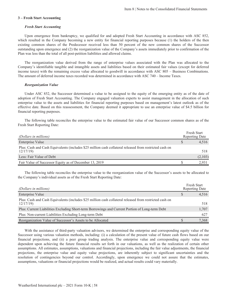## **3 – Fresh Start Accounting**

## *Fresh Start Accounting*

Upon emergence from bankruptcy, we qualified for and adopted Fresh Start Accounting in accordance with ASC 852, which resulted in the Company becoming a new entity for financial reporting purposes because (1) the holders of the then existing common shares of the Predecessor received less than 50 percent of the new common shares of the Successor outstanding upon emergence and (2) the reorganization value of the Company's assets immediately prior to confirmation of the Plan was less than the total of all post-petition liabilities and allowed claims.

The reorganization value derived from the range of enterprise values associated with the Plan was allocated to the Company's identifiable tangible and intangible assets and liabilities based on their estimated fair values (except for deferred income taxes) with the remaining excess value allocated to goodwill in accordance with ASC 805 – Business Combinations. The amount of deferred income taxes recorded was determined in accordance with ASC 740 – Income Taxes.

## *Reorganization Value*

Under ASC 852, the Successor determined a value to be assigned to the equity of the emerging entity as of the date of adoption of Fresh Start Accounting. The Company engaged valuation experts to assist management in the allocation of such enterprise value to the assets and liabilities for financial reporting purposes based on management's latest outlook as of the effective date. Based on this reassessment, the Company deemed it appropriate to use an enterprise value of \$4.5 billion for financial reporting purposes.

The following table reconciles the enterprise value to the estimated fair value of our Successor common shares as of the Fresh Start Reporting Date:

| (Dollars in millions)                                                                                               | <b>Fresh Start</b><br><b>Reporting Date</b> |
|---------------------------------------------------------------------------------------------------------------------|---------------------------------------------|
| Enterprise Value                                                                                                    | 4,516                                       |
| Plus: Cash and Cash Equivalents (includes \$25 million cash collateral released from restricted cash on<br>12/17/19 | 518                                         |
| Less: Fair Value of Debt                                                                                            | (2,103)                                     |
| Fair Value of Successor Equity as of December 13, 2019                                                              | 2.931                                       |

The following table reconciles the enterprise value to the reorganization value of the Successor's assets to be allocated to the Company's individual assets as of the Fresh Start Reporting Date:

| (Dollars in millions)                                                                                               |   | <b>Fresh Start</b><br><b>Reporting Date</b> |
|---------------------------------------------------------------------------------------------------------------------|---|---------------------------------------------|
| Enterprise Value                                                                                                    | S | 4,516                                       |
| Plus: Cash and Cash Equivalents (includes \$25 million cash collateral released from restricted cash on<br>12/17/19 |   | 518                                         |
| Plus: Current Liabilities Excluding Short-term Borrowings and Current Portion of Long-term Debt                     |   | 1,707                                       |
| Plus: Non-current Liabilities Excluding Long-term Debt                                                              |   | 627                                         |
| Reorganization Value of Successor's Assets to be Allocated                                                          |   | 7.368                                       |

With the assistance of third-party valuation advisors, we determined the enterprise and corresponding equity value of the Successor using various valuation methods, including: (i) a calculation of the present value of future cash flows based on our financial projections, and (ii) a peer group trading analysis. The enterprise value and corresponding equity value were dependent upon achieving the future financial results set forth in our valuations, as well as the realization of certain other assumptions. All estimates, assumptions, valuations and financial projections, including the fair value adjustments, the financial projections, the enterprise value and equity value projections, are inherently subject to significant uncertainties and the resolution of contingencies beyond our control. Accordingly, upon emergence we could not assure that the estimates, assumptions, valuations or financial projections would be realized, and actual results could vary materially.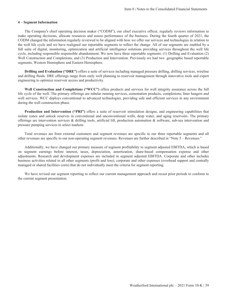## **4 – Segment Information**

The Company's chief operating decision maker ("CODM"), our chief executive officer, regularly reviews information to make operating decisions, allocate resources and assess performance of the business. During the fourth quarter of 2021, the CODM changed the information regularly reviewed to be aligned with how we offer our services and technologies in relation to the well life cycle and we have realigned our reportable segments to reflect the change. All of our segments are enabled by a full suite of digital, monitoring, optimization and artificial intelligence solutions providing services throughout the well life cycle, including responsible responsible abandonment. We now have three reportable segments: (1) Drilling and Evaluation (2) Well Construction and Completions, and (3) Production and Intervention. Previously we had two geographic based reportable segments, Western Hemisphere and Eastern Hemisphere.

**Drilling and Evaluation ("DRE")** offers a suite of services including managed pressure drilling, drilling services, wireline and drilling fluids. DRE offerings range from early well planning to reservoir management through innovative tools and expert engineering to optimize reservoir access and productivity.

**Well Construction and Completions ("WCC")** offers products and services for well integrity assurance across the full life cycle of the well. The primary offerings are tubular running services, cementation products, completions, liner hangers and well services. WCC deploys conventional to advanced technologies, providing safe and efficient services in any environment during the well construction phase.

**Production and Intervention ("PRI")** offers a suite of reservoir stimulation designs, and engineering capabilities that isolate zones and unlock reserves in conventional and unconventional wells, deep water, and aging reservoirs. The primary offerings are intervention services & drilling tools, artificial lift, production automation & software, sub-sea intervention and pressure pumping services in select markets.

Total revenues are from external customers and segment revenues are specific to our three reportable segments and all other revenues are specific to our non-operating segment revenues. Revenues are further described in "Note 5 – Revenues."

Additionally, we have changed our primary measure of segment profitability to segment adjusted EBITDA, which is based on segment earnings before interest, taxes, depreciation, amortization, share-based compensation expense and other adjustments. Research and development expenses are included in segment adjusted EBITDA. Corporate and other includes business activities related to all other segments (profit and loss), corporate and other expenses (overhead support and centrally managed or shared facilities costs) that do not individually meet the criteria for segment reporting.

We have revised our segment reporting to reflect our current management approach and recast prior periods to conform to the current segment presentation.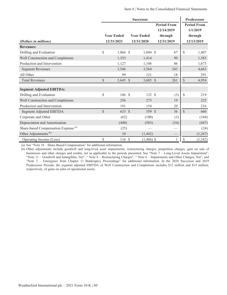$\ddot{\phantom{a}}$ 

|                                                 |              |                   |  | Predecessor       |  |                    |                                                                       |                    |  |
|-------------------------------------------------|--------------|-------------------|--|-------------------|--|--------------------|-----------------------------------------------------------------------|--------------------|--|
|                                                 |              |                   |  |                   |  | <b>Period From</b> |                                                                       | <b>Period From</b> |  |
|                                                 |              |                   |  |                   |  | 12/14/2019         |                                                                       | 1/1/2019           |  |
|                                                 |              | <b>Year Ended</b> |  | <b>Year Ended</b> |  | through            | through                                                               |                    |  |
| (Dollars in millions)                           |              | 12/31/2021        |  | 12/31/2020        |  | 12/31/2019         | 12/13/2019                                                            |                    |  |
| <b>Revenues:</b>                                |              |                   |  |                   |  |                    |                                                                       |                    |  |
| Drilling and Evaluation                         | \$           | $1,066$ \$        |  | $1,044$ \$        |  | 67                 | $\mathcal{S}$                                                         | 1,407              |  |
| Well Construction and Completions               |              | 1,353             |  | 1,414             |  | 90                 |                                                                       | 1,583              |  |
| Production and Intervention                     |              | 1,127             |  | 1,106             |  | 86                 |                                                                       | 1,673              |  |
| <b>Segment Revenues</b>                         |              | 3,546             |  | 3,564             |  | 243                |                                                                       | 4,663              |  |
| All Other                                       |              | 99                |  | 121               |  | 18                 |                                                                       | 291                |  |
| <b>Total Revenues</b>                           | $\mathbb{S}$ | $3,645$ \$        |  | 3,685 \$          |  | 261                | $\mathbb{S}$                                                          | 4,954              |  |
| <b>Segment Adjusted EBITDA:</b>                 |              |                   |  |                   |  |                    |                                                                       |                    |  |
| Drilling and Evaluation                         | \$           | 186 \$            |  | 132 \$            |  | (3)                | $\mathbb{S}$                                                          | 219                |  |
| Well Construction and Completions               |              | 256               |  | 273               |  | 19                 |                                                                       | 225                |  |
| Production and Intervention                     |              | 191               |  | 154               |  | 20                 |                                                                       | 216                |  |
| Segment Adjusted EBITDA                         | $\mathbb{S}$ | 633 \$            |  | 559 \$            |  | 36                 | $\mathbb{S}$                                                          | 660                |  |
| Corporate and Other                             |              | (62)              |  | (100)             |  | (1)                |                                                                       | (104)              |  |
| Depreciation and Amortization                   |              | (440)             |  | (503)             |  | (34)               |                                                                       | (447)              |  |
| Share-based Compensation Expense <sup>(a)</sup> |              | (25)              |  |                   |  |                    |                                                                       | (24)               |  |
| Other Adjustments <sup>(b)</sup>                |              | 10                |  | (1, 442)          |  |                    |                                                                       | (1,267)            |  |
| Operating Income (Loss)                         | \$           | 116 \$            |  | $(1,486)$ \$      |  | $\mathbf{1}$       | $\mathbb{S}% _{t}\left( t\right) \equiv\mathbb{S}_{t}\left( t\right)$ | (1,182)            |  |

(a) See "Note 18 – Share-Based Compensation" for additional information.

(b) Other adjustments include goodwill and long-lived asset impairments, restructuring charges, prepetition charges, gain on sale of businesses and other charges and credits, net as applicable to the periods presented. See "Note 7 – Long-Lived Assets Impairment", "Note 11 – Goodwill and Intangibles, Net", " Note 8 – Restructuring Charges", " Note 6 – Impairments and Other Charges, Net", and "Note 2 – Emergence from Chapter 11 Bankruptcy Proceedings" for additional information. In the 2020 Successor and 2019 Predecessor Periods, the segment adjusted EBITDA of Well Construction and Completions includes \$12 million and \$15 million, respectively, of gains on sales of operational assets.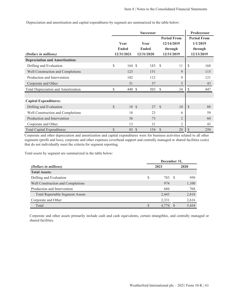Depreciation and amortization and capital expenditures by segment are summarized in the table below:

|                                            |              |              |  | <b>Successor</b> |               |                    | <b>Predecessor</b> |         |  |
|--------------------------------------------|--------------|--------------|--|------------------|---------------|--------------------|--------------------|---------|--|
|                                            |              |              |  |                  |               | <b>Period From</b> | <b>Period From</b> |         |  |
|                                            | Year         |              |  | Year             |               | 12/14/2019         | 1/1/2019           |         |  |
|                                            |              | <b>Ended</b> |  | <b>Ended</b>     |               | through            |                    | through |  |
| (Dollars in millions)                      |              | 12/31/2021   |  | 12/31/2020       |               | 12/31/2019         | 12/13/2019         |         |  |
| <b>Depreciation and Amortization:</b>      |              |              |  |                  |               |                    |                    |         |  |
| Drilling and Evaluation                    | \$           | 164 \$       |  | 183              | S             | 11                 | <sup>\$</sup>      | 168     |  |
| Well Construction and Completions          |              | 123          |  | 151              |               | 9                  |                    | 115     |  |
| Production and Intervention                |              | 102          |  | 112              |               | 9                  |                    | 121     |  |
| Corporate and Other                        |              | 51           |  | 57               |               | 5                  |                    | 43      |  |
| <b>Total Depreciation and Amortization</b> |              | 440 \$       |  | 503              | S             | 34                 |                    | 447     |  |
|                                            |              |              |  |                  |               |                    |                    |         |  |
| <b>Capital Expenditures:</b>               |              |              |  |                  |               |                    |                    |         |  |
| Drilling and Evaluation                    | $\mathbb{S}$ | 18 \$        |  | 27               | $\mathcal{S}$ | 10                 | $\mathcal{S}$      | 88      |  |
| Well Construction and Completions          |              | 18           |  | 23               |               | 6                  |                    | 59      |  |
| Production and Intervention                |              | 36           |  | 73               |               | $\overline{2}$     |                    | 60      |  |
| Corporate and Other                        |              | 13           |  | 31               |               | 2                  |                    | 43      |  |
| <b>Total Capital Expenditures</b>          | $\mathbb{S}$ | 85 \$        |  | 154              | <sup>S</sup>  | 20                 | <sup>S</sup>       | 250     |  |

Corporate and other depreciation and amortization and capital expenditures were for business activities related to all other segments (profit and loss), corporate and other expenses (overhead support and centrally managed or shared facilities costs) that do not individually meet the criteria for segment reporting.

Total assets by segment are summarized in the table below:

|                                        | December 31, |       |      |       |  |  |  |  |  |
|----------------------------------------|--------------|-------|------|-------|--|--|--|--|--|
| <i>(Dollars in millions)</i>           |              | 2021  |      | 2020  |  |  |  |  |  |
| <b>Total Assets:</b>                   |              |       |      |       |  |  |  |  |  |
| Drilling and Evaluation                | S            | 783   | - \$ | 950   |  |  |  |  |  |
| Well Construction and Completions      |              | 974   |      | 1,100 |  |  |  |  |  |
| Production and Intervention            |              | 686   |      | 768   |  |  |  |  |  |
| <b>Total Reportable Segment Assets</b> |              | 2,443 |      | 2,818 |  |  |  |  |  |
| Corporate and Other                    |              | 2,331 |      | 2,616 |  |  |  |  |  |
| Total                                  |              | 4,774 |      | 5,434 |  |  |  |  |  |

Corporate and other assets primarily include cash and cash equivalents, certain intangibles, and centrally managed or shared facilities.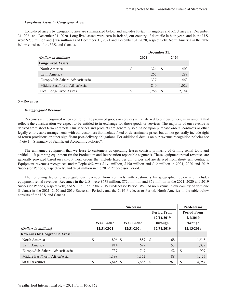# *Long-lived Assets by Geographic Areas*

Long-lived assets by geographic area are summarized below and includes PP&E, intangibles and ROU assets at December 31, 2021 and December 31, 2020. Long-lived assets were zero in Ireland, our country of domicile in both years and in the U.S. were \$238 million and \$306 million as of December 31, 2021 and December 31, 2020, respectively. North America in the table below consists of the U.S. and Canada.

|                                 | December 31, |       |      |       |  |  |  |  |  |  |  |
|---------------------------------|--------------|-------|------|-------|--|--|--|--|--|--|--|
| (Dollars in millions)           |              | 2021  | 2020 |       |  |  |  |  |  |  |  |
| <b>Long-Lived Assets:</b>       |              |       |      |       |  |  |  |  |  |  |  |
| North America                   | S            | 324   | -S   | 403   |  |  |  |  |  |  |  |
| Latin America                   |              | 265   |      | 289   |  |  |  |  |  |  |  |
| Europe/Sub-Sahara Africa/Russia |              | 337   |      | 463   |  |  |  |  |  |  |  |
| Middle East/North Africa/Asia   |              | 840   |      | 1,029 |  |  |  |  |  |  |  |
| <b>Total Long-Lived Assets</b>  |              | 1,766 |      | 2,184 |  |  |  |  |  |  |  |

## **5 – Revenues**

## *Disaggregated Revenue*

Revenues are recognized when control of the promised goods or services is transferred to our customers, in an amount that reflects the consideration we expect to be entitled to in exchange for those goods or services. The majority of our revenue is derived from short term contracts. Our services and products are generally sold based upon purchase orders, contracts or other legally enforceable arrangements with our customers that include fixed or determinable prices but do not generally include right of return provisions or other significant post-delivery obligations. For additional details on our revenue recognition policies see "Note 1 – Summary of Significant Accounting Policies".

The unmanned equipment that we lease to customers as operating leases consists primarily of drilling rental tools and artificial lift pumping equipment (in the Production and Intervention reportable segment). These equipment rental revenues are generally provided based on call-out work orders that include fixed per unit prices and are derived from short-term contracts. Equipment revenues recognized under Topic 842 was \$131 million, \$150 million and \$12 million in 2021, 2020 and 2019 Successor Periods, respectively, and \$284 million in the 2019 Predecessor Period.

The following tables disaggregate our revenues from contracts with customers by geographic region and includes equipment rental revenues. Revenues in the U.S. were \$678 million, \$720 million and \$59 million in the 2021, 2020 and 2019 Successor Periods, respectively, and \$1.3 billion in the 2019 Predecessor Period. We had no revenue in our country of domicile (Ireland) in the 2021, 2020 and 2019 Successor Periods, and the 2019 Predecessor Period. North America in the table below consists of the U.S. and Canada.

|                                      |                                                   |  | <b>Successor</b> |  |                                  |            | Predecessor                    |  |
|--------------------------------------|---------------------------------------------------|--|------------------|--|----------------------------------|------------|--------------------------------|--|
|                                      |                                                   |  |                  |  | <b>Period From</b><br>12/14/2019 |            | <b>Period From</b><br>1/1/2019 |  |
|                                      | <b>Year Ended</b><br><b>Year Ended</b><br>through |  |                  |  |                                  | through    |                                |  |
| (Dollars in millions)                | 12/31/2021                                        |  | 12/31/2020       |  | 12/31/2019                       | 12/13/2019 |                                |  |
| <b>Revenues by Geographic Areas:</b> |                                                   |  |                  |  |                                  |            |                                |  |
| North America                        | \$<br>896 \$                                      |  | 889 \$           |  | 68                               |            | 1,548                          |  |
| Latin America                        | 814                                               |  | 697              |  | 53                               |            | 1,072                          |  |
| Europe/Sub-Sahara Africa/Russia      | 737                                               |  | 747              |  | 52                               | S          | 907                            |  |
| Middle East/North Africa/Asia        | 1,198                                             |  | 1,352            |  | 88                               |            | 1,427                          |  |
| <b>Total Revenues</b>                | $3,645$ \$                                        |  | $3,685$ \$       |  | 261                              | S          | 4,954                          |  |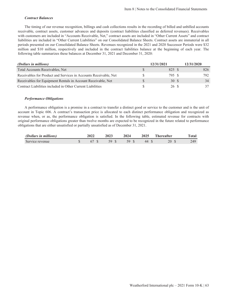# *Contract Balances*

The timing of our revenue recognition, billings and cash collections results in the recording of billed and unbilled accounts receivable, contract assets, customer advances and deposits (contract liabilities classified as deferred revenues). Receivables with customers are included in "Accounts Receivable, Net," contract assets are included in "Other Current Assets" and contract liabilities are included in "Other Current Liabilities" on our Consolidated Balance Sheets. Contract assets are immaterial in all periods presented on our Consolidated Balance Sheets. Revenues recognized in the 2021 and 2020 Successor Periods were \$32 million and \$10 million, respectively and included in the contract liabilities balance at the beginning of each year. The following table summarizes these balances at December 31, 2021 and December 31, 2020:

| (Dollars in millions)                                            | 12/31/2021 | 12/31/2020 |      |  |
|------------------------------------------------------------------|------------|------------|------|--|
| Total Accounts Receivables, Net                                  | 825 \$     |            | 826  |  |
| Receivables for Product and Services in Accounts Receivable, Net | 795 S      |            | 792. |  |
| Receivables for Equipment Rentals in Account Receivable, Net     | 30 \$      |            | 34   |  |
| Contract Liabilities included in Other Current Liabilities       | 26 S       |            |      |  |

## *Performance Obligations*

A performance obligation is a promise in a contract to transfer a distinct good or service to the customer and is the unit of account in Topic 606. A contract's transaction price is allocated to each distinct performance obligation and recognized as revenue when, or as, the performance obligation is satisfied. In the following table, estimated revenue for contracts with original performance obligations greater than twelve months are expected to be recognized in the future related to performance obligations that are either unsatisfied or partially unsatisfied as of December 31, 2021.

| (Dollars in millions) |  |     | 2024 | 2025 | <b>Thereafter</b> | otal |
|-----------------------|--|-----|------|------|-------------------|------|
| Service revenue       |  | 59S | 59 S | 44 S | 20 P              | 249  |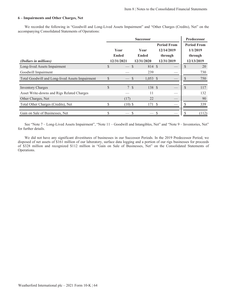# **6 – Impairments and Other Charges, Net**

We recorded the following in "Goodwill and Long-Lived Assets Impairment" and "Other Charges (Credits), Net" on the accompanying Consolidated Statements of Operations:

|                                                 |               |              |               |                    | Predecessor   |                    |
|-------------------------------------------------|---------------|--------------|---------------|--------------------|---------------|--------------------|
|                                                 |               |              |               | <b>Period From</b> |               | <b>Period From</b> |
|                                                 |               | Year         | Year          | 12/14/2019         |               | 1/1/2019           |
|                                                 |               | <b>Ended</b> | <b>Ended</b>  | through            |               | through            |
| <i>(Dollars in millions)</i>                    |               | 12/31/2021   | 12/31/2020    | 12/31/2019         | 12/13/2019    |                    |
| Long-lived Assets Impairment                    | S             |              | \$.<br>814 \$ |                    | S             | 20                 |
| Goodwill Impairment                             |               |              | 239           |                    |               | 730                |
| Total Goodwill and Long-lived Assets Impairment |               |              | $1,053$ \$    |                    |               | 750                |
| <b>Inventory Charges</b>                        | $\mathcal{S}$ | 7S           | 138 \$        |                    | <sup>\$</sup> | 117                |
| Asset Write-downs and Rigs Related Charges      |               |              | 11            |                    |               | 132                |
| Other Charges, Net                              |               | (17)         | 22            |                    |               | 90                 |
| Total Other Charges (Credits), Net              |               | $(10)$ \$    | 171 \$        |                    |               | 339                |
|                                                 |               |              |               |                    |               |                    |
| Gain on Sale of Businesses, Net                 |               |              | S             | S                  |               | (112)              |

See "Note 7 – Long-Lived Assets Impairment", "Note 11 – Goodwill and Intangibles, Net" and "Note 9 – Inventories, Net" for further details.

We did not have any significant divestitures of businesses in our Successor Periods. In the 2019 Predecessor Period, we disposed of net assets of \$161 million of our laboratory, surface data logging and a portion of our rigs businesses for proceeds of \$328 million and recognized \$112 million in "Gain on Sale of Businesses, Net" on the Consolidated Statements of Operations.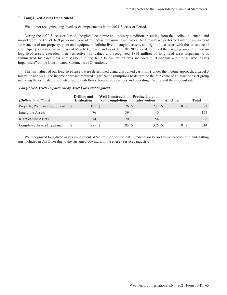# **7 – Long-Lived Assets Impairment**

We did not recognize long-lived assets impairments in the 2021 Successor Period.

During the 2020 Successor Period, the global economic and industry conditions resulting from the decline in demand and impact from the COVID-19 pandemic were identified as impairment indicators. As a result, we performed interim impairment assessments of our property, plant and equipment, definite-lived intangible assets, and right of use assets with the assistance of a third-party valuation advisor. As of March 31, 2020, and as of June 30, 2020, we determined the carrying amount of certain long-lived assets exceeded their respective fair values and recognized \$814 million of long-lived asset impairments as summarized by asset class and segment in the table below, which was included in "Goodwill and Long-Lived Assets Impairment" on the Consolidated Statements of Operations.

The fair values of our long-lived assets were determined using discounted cash flows under the income approach, a Level 3 fair value analysis. The income approach required significant assumptions to determine the fair value of an asset or asset group including the estimated discounted future cash flows, forecasted revenues and operating margins and the discount rate.

#### *Long-Lived Assets Impairment by Asset Class and Segment*

| <i>(Dollars in millions)</i>  | <b>Drilling and</b><br><b>Evaluation</b> | <b>Well Construction</b><br>and Completions | <b>Production and</b><br><b>Intervention</b> | <b>All Other</b> | Total |
|-------------------------------|------------------------------------------|---------------------------------------------|----------------------------------------------|------------------|-------|
| Property, Plant and Equipment | 195 S                                    | 126 \$                                      | 232 \$                                       | 18 \$            | 571   |
| Intangible Assets             | 76                                       | 39                                          | 40                                           |                  | 155   |
| Right of Use Assets           | 14                                       | 20                                          | 54                                           |                  | 88    |
| Long-lived Assets Impairment  | 285 S                                    | 185 S                                       | 326 S                                        | 18 S             | 814   |

We recognized long-lived assets impairment of \$20 million for the 2019 Predecessor Period to write-down our land drilling rigs included in All Other due to the sustained downturn in the energy services industry.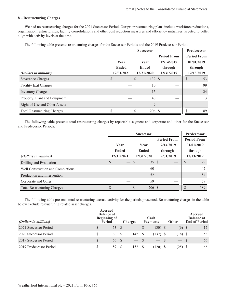# **8 – Restructuring Charges**

We had no restructuring charges for the 2021 Successor Period. Our prior restructuring plans include workforce reductions, organization restructurings, facility consolidations and other cost reduction measures and efficiency initiatives targeted to better align with activity levels at the time.

The following table presents restructuring charges for the Successor Periods and the 2019 Predecessor Period.

|                                    |              | <b>Predecessor</b> |                    |                    |                       |            |
|------------------------------------|--------------|--------------------|--------------------|--------------------|-----------------------|------------|
|                                    |              |                    | <b>Period From</b> | <b>Period From</b> |                       |            |
|                                    | Year         |                    | Year               | 12/14/2019         | 01/01/2019<br>through |            |
|                                    | <b>Ended</b> |                    | <b>Ended</b>       | through            |                       |            |
| (Dollars in millions)              | 12/31/2021   |                    | 12/31/2020         | 12/31/2019         |                       | 12/13/2019 |
| <b>Severance Charges</b>           | \$           | S                  | 132S               |                    | S                     | 53         |
| <b>Facility Exit Charges</b>       |              |                    | 10                 |                    |                       | 99         |
| <b>Inventory Charges</b>           |              |                    | 15                 |                    |                       | 24         |
| Property, Plant and Equipment      |              |                    | 40                 |                    |                       | 13         |
| Right of Use and Other Assets      |              |                    | 9                  | $-$                |                       |            |
| <b>Total Restructuring Charges</b> | S            |                    | 206 \$             |                    | S                     | 189        |

The following table presents total restructuring charges by reportable segment and corporate and other for the Successor and Predecessor Periods.

|                                    |                      | <b>Successor</b>         |                      | Predecessor                                 |                                             |            |  |
|------------------------------------|----------------------|--------------------------|----------------------|---------------------------------------------|---------------------------------------------|------------|--|
|                                    | Year<br><b>Ended</b> |                          | Year<br><b>Ended</b> | <b>Period From</b><br>12/14/2019<br>through | <b>Period From</b><br>01/01/2019<br>through |            |  |
| <i>(Dollars in millions)</i>       | 12/31/2021           |                          | 12/31/2020           | 12/31/2019                                  |                                             | 12/13/2019 |  |
| Drilling and Evaluation            | \$                   | $-$ \$                   | 35S                  |                                             | S                                           | 29         |  |
| Well Construction and Completions  |                      |                          | 60                   | __                                          |                                             | 47         |  |
| Production and Intervention        |                      |                          | 52                   |                                             |                                             | 54         |  |
| Corporate and Other                |                      |                          | 59                   |                                             |                                             | 59         |  |
| <b>Total Restructuring Charges</b> |                      | $\overline{\phantom{m}}$ | 206 \$               |                                             | S                                           | 189        |  |

The following table presents total restructuring accrual activity for the periods presented. Restructuring charges in the table below exclude restructuring related asset charges.

| (Dollars in millions)   |    | Accrued<br><b>Balance at</b><br><b>Beginning of</b><br><b>Period</b> |    | <b>Charges</b> |      | Cash<br><b>Payments</b> | Other     | Accrued<br><b>Balance at</b><br><b>End of Period</b> |
|-------------------------|----|----------------------------------------------------------------------|----|----------------|------|-------------------------|-----------|------------------------------------------------------|
| 2021 Successor Period   | \$ | 53                                                                   |    | $-$ \$         |      | $(30)$ \$               | $(6)$ \$  | 17                                                   |
| 2020 Successor Period   | \$ | 66                                                                   |    | 142            | - \$ | $(137)$ \$              | $(18)$ \$ | 53                                                   |
| 2019 Successor Period   | S  | 66 \$                                                                |    | $-$ \$         |      | $-$ \$                  | $-$ \$    | 66                                                   |
| 2019 Predecessor Period | S  | 59                                                                   | -8 | 152            |      | (120)                   | $(25)$ \$ | 66                                                   |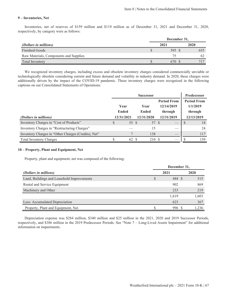# **9 – Inventories, Net**

Inventories, net of reserves of \$159 million and \$119 million as of December 31, 2021 and December 31, 2020, respectively, by category were as follows:

|                                        | December 31, |        |      |  |  |  |  |  |
|----------------------------------------|--------------|--------|------|--|--|--|--|--|
| (Dollars in millions)                  |              | 2021   | 2020 |  |  |  |  |  |
| <b>Finished Goods</b>                  |              | 595 \$ | 655  |  |  |  |  |  |
| Raw Materials, Components and Supplies |              | 75     | 62   |  |  |  |  |  |
| <b>Total Inventory</b>                 |              | 670    |      |  |  |  |  |  |

We recognized inventory charges, including excess and obsolete inventory charges considered commercially unviable or technologically obsolete considering current and future demand and volatility in industry demand. In 2020, these charges were additionally driven by the impact of the COVID-19 pandemic. These inventory charges were recognized in the following captions on our Consolidated Statements of Operations:

|                                                     | <b>Successor</b> |              |  |              |                                |  | Predecessor        |  |
|-----------------------------------------------------|------------------|--------------|--|--------------|--------------------------------|--|--------------------|--|
|                                                     |                  |              |  |              | <b>Period From</b>             |  | <b>Period From</b> |  |
|                                                     |                  | Year         |  | Year         | 12/14/2019                     |  | 1/1/2019           |  |
|                                                     |                  | <b>Ended</b> |  | <b>Ended</b> | through                        |  | through            |  |
| (Dollars in millions)                               |                  | 12/31/2021   |  | 12/31/2020   | 12/31/2019                     |  | 12/13/2019         |  |
| Inventory Charges in "Cost of Products"             | S                | 55 \$        |  | 57 \$        | $\overbrace{\phantom{123321}}$ |  | 18                 |  |
| Inventory Charges in "Restructuring Charges"        |                  |              |  | 15           |                                |  | 24                 |  |
| Inventory Charges in "Other Charges (Credits), Net" |                  |              |  | 138          |                                |  | 117                |  |
| <b>Total Inventory Charges</b>                      |                  | 62 \$        |  | 210 \$       |                                |  | 159                |  |

## **10 – Property, Plant and Equipment, Net**

Property, plant and equipment, net was composed of the following:

|                                            | December 31, |       |  |  |  |  |
|--------------------------------------------|--------------|-------|--|--|--|--|
| <i>(Dollars in millions)</i>               | 2021         | 2020  |  |  |  |  |
| Land, Buildings and Leasehold Improvements | 484 S        | 515   |  |  |  |  |
| Rental and Service Equipment               | 902          | 869   |  |  |  |  |
| Machinery and Other                        | 233          | 219   |  |  |  |  |
|                                            | 1,619        | 1,603 |  |  |  |  |
| Less: Accumulated Depreciation             | 623          | 367   |  |  |  |  |
| Property, Plant and Equipment, Net         | 996          | 1.236 |  |  |  |  |

Depreciation expense was \$284 million, \$340 million and \$25 million in the 2021, 2020 and 2019 Successor Periods, respectively, and \$386 million in the 2019 Predecessor Periods. See "Note 7 – Long-Lived Assets Impairment" for additional information on impairments.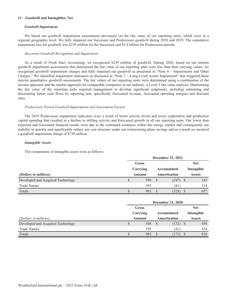## **11 – Goodwill and Intangibles, Net**

## *Goodwill Impairment*

We based our goodwill impairment assessments previously on the fair value of our reporting units, which were at a regional geographic level. We fully impaired our Successor and Predecessor goodwill during 2020 and 2019. The cumulative impairment loss for goodwill was \$239 million for the Successor and \$3.4 billion for Predecessor periods.

## *Successor Goodwill Recognition and Impairment*

As a result of Fresh Start Accounting, we recognized \$239 million of goodwill. During 2020, based on our interim goodwill impairment assessments that determined the fair value of our reporting units were less than their carrying values, we recognized goodwill impairment charges and fully impaired our goodwill as presented in "Note 4 – Impairments and Other Charges." We identified impairment indicators as discussed in "Note  $7 - Long$ -Lived Assets Impairment" that triggered these interim quantitative goodwill assessments. The fair values of our reporting units were determined using a combination of the income approach and the market approach for comparable companies in our industry, a Level 3 fair value analysis. Determining the fair value of the reporting units required management to develop significant judgments, including estimating and discounting future cash flows by reporting unit, specifically forecasted revenue, forecasted operating margins and discount rates.

## *Predecessor Period Goodwill Impairments and Assessment Factors*

The 2019 Predecessor impairment indicators were a result of lower activity levels and lower exploration and production capital spending that resulted in a decline in drilling activity and forecasted growth in all our reporting units. Our lower than expected and forecasted financial results were due to the continued weakness within the energy market and consequently our inability to quickly and significantly reduce our cost structure under our restructuring plans savings and as a result we incurred a goodwill impairment charge of \$730 million.

## *Intangible Assets*

The components of intangible assets were as follows:

|                                   |          | December 31, 2021 |              |             |  |               |  |  |  |
|-----------------------------------|----------|-------------------|--------------|-------------|--|---------------|--|--|--|
|                                   |          | <b>Gross</b>      |              |             |  | <b>Net</b>    |  |  |  |
|                                   | Carrying |                   |              | Accumulated |  | Intangible    |  |  |  |
| <i>(Dollars in millions)</i>      |          | Amount            | Amortization |             |  | <b>Assets</b> |  |  |  |
| Developed and Acquired Technology | S        | 590               | - \$         | $(247)$ \$  |  | 343           |  |  |  |
| <b>Trade Names</b>                |          | 395               |              | (81)        |  | 314           |  |  |  |
| Totals                            |          | 985               | S            | (328)       |  | 657           |  |  |  |

|                                   | <b>December 31, 2020</b>                |        |              |       |      |               |  |
|-----------------------------------|-----------------------------------------|--------|--------------|-------|------|---------------|--|
|                                   | <b>Gross</b><br>Carrying<br>Accumulated |        |              |       |      | <b>Net</b>    |  |
|                                   |                                         |        |              |       |      | Intangible    |  |
| (Dollars in millions)             |                                         | Amount | Amortization |       |      | <b>Assets</b> |  |
| Developed and Acquired Technology |                                         | 588    | <sup>S</sup> | (132) | - \$ | 456           |  |
| <b>Trade Names</b>                |                                         | 395    |              | (41)  |      | 354           |  |
| Totals                            |                                         | 983    | S            | (173) | S    | 810           |  |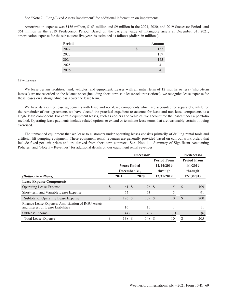See "Note 7 – Long-Lived Assets Impairment" for additional information on impairments.

Amortization expense was \$156 million, \$163 million and \$9 million in the 2021, 2020, and 2019 Successor Periods and \$61 million in the 2019 Predecessor Period. Based on the carrying value of intangible assets at December 31, 2021, amortization expense for the subsequent five years is estimated as follows (dollars in millions):

| <b>Period</b> |   | Amount |
|---------------|---|--------|
| 2022          | S | 157    |
| 2023          |   | 157    |
| 2024          |   | 145    |
| 2025          |   | 4 I    |
| 2026          |   |        |

## **12 – Leases**

We lease certain facilities, land, vehicles, and equipment. Leases with an initial term of 12 months or less ("short-term leases") are not recorded on the balance sheet (including short-term sale leaseback transactions); we recognize lease expense for these leases on a straight-line basis over the lease term.

We have data center lease agreements with lease and non-lease components which are accounted for separately, while for the remainder of our agreements we have elected the practical expedient to account for lease and non-lease components as a single lease component. For certain equipment leases, such as copiers and vehicles, we account for the leases under a portfolio method. Operating lease payments include related options to extend or terminate lease terms that are reasonably certain of being exercised.

The unmanned equipment that we lease to customers under operating leases consists primarily of drilling rental tools and artificial lift pumping equipment. These equipment rental revenues are generally provided based on call-out work orders that include fixed per unit prices and are derived from short-term contracts. See "Note 1 – Summary of Significant Accounting Policies" and "Note 5 – Revenues" for additional details on our equipment rental revenues.

|                                                                                        | <b>Successor</b> |                         |  |            |                                  |            | Predecessor                    |     |
|----------------------------------------------------------------------------------------|------------------|-------------------------|--|------------|----------------------------------|------------|--------------------------------|-----|
|                                                                                        |                  | <b>Years Ended</b>      |  |            | <b>Period From</b><br>12/14/2019 |            | <b>Period From</b><br>1/1/2019 |     |
|                                                                                        |                  | December 31,<br>through |  |            | through                          |            |                                |     |
| (Dollars in millions)                                                                  |                  | 2021<br>2020            |  | 12/31/2019 |                                  | 12/13/2019 |                                |     |
| <b>Lease Expense Components:</b>                                                       |                  |                         |  |            |                                  |            |                                |     |
| <b>Operating Lease Expense</b>                                                         | \$               | 61 \$                   |  | 76 \$      |                                  | 5          | S                              | 109 |
| Short-term and Variable Lease Expense                                                  |                  | 65                      |  | 63         |                                  | 5          |                                | 91  |
| Subtotal of Operating Lease Expense                                                    | $\mathbb{S}$     | 126S                    |  | 139 \$     |                                  | 10         | $\mathcal{S}$                  | 200 |
| Finance Lease Expense: Amortization of ROU Assets<br>and Interest on Lease Liabilities |                  | 16                      |  | 15         |                                  |            |                                | 11  |
| Sublease Income                                                                        |                  | (4)                     |  | (6)        |                                  | (1)        |                                | (6) |
| <b>Total Lease Expense</b>                                                             | \$               | 138 \$                  |  | 148 \$     |                                  | 10         |                                | 205 |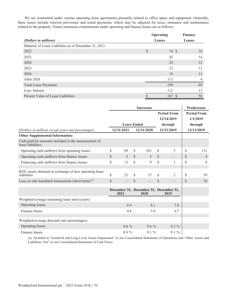We are committed under various operating lease agreements primarily related to office space and equipment. Generally, these leases include renewal provisions and rental payments, which may be adjusted for taxes, insurance and maintenance related to the property. Future minimum commitments under operating and finance leases are as follows:

|                                                        |   | Operating     | <b>Finance</b> |  |  |
|--------------------------------------------------------|---|---------------|----------------|--|--|
| (Dollars in millions)                                  |   | <b>Leases</b> | <b>Leases</b>  |  |  |
| Maturity of Lease Liabilities as of December 31, 2021: |   |               |                |  |  |
| 2022                                                   | S | 74 \$         | 16             |  |  |
| 2023                                                   |   | 42            | 14             |  |  |
| 2024                                                   |   | 29            | 12             |  |  |
| 2025                                                   |   | 23            | 12             |  |  |
| 2026                                                   |   | 18            | 11             |  |  |
| <b>After 2026</b>                                      |   | 113           | 4              |  |  |
| <b>Total Lease Payments</b>                            |   | 299           | 69             |  |  |
| Less: Interest                                         |   | 112           | 13             |  |  |
| Present Value of Lease Liabilities                     |   | 187 \$        | 56             |  |  |

|                                                                            | <b>Successor</b> |                    |               |                                                |              |                    | Predecessor   |                    |  |
|----------------------------------------------------------------------------|------------------|--------------------|---------------|------------------------------------------------|--------------|--------------------|---------------|--------------------|--|
|                                                                            |                  |                    |               |                                                |              | <b>Period From</b> |               | <b>Period From</b> |  |
|                                                                            |                  |                    |               |                                                |              | 12/14/2019         |               | 1/1/2019           |  |
|                                                                            |                  | <b>Years Ended</b> |               |                                                |              | through            |               | through            |  |
| (Dollars in millions except years and percentages)                         |                  | 12/31/2021         |               | 12/31/2020                                     |              | 12/31/2019         |               | 12/13/2019         |  |
| <b>Other Supplemental Information:</b>                                     |                  |                    |               |                                                |              |                    |               |                    |  |
| Cash paid for amounts included in the measurement of<br>lease liabilities: |                  |                    |               |                                                |              |                    |               |                    |  |
| Operating cash outflows from operating leases                              | \$               | 89                 | $\mathcal{S}$ | 101                                            | \$           | 5                  | $\mathcal{S}$ | 131                |  |
| Operating cash outflows from finance leases                                | \$               | 5                  | $\mathcal{S}$ | 5                                              | $\mathbb{S}$ |                    | $\mathcal{S}$ | $\overline{4}$     |  |
| Financing cash outflows from finance leases                                | \$               | 13                 | $\mathbb{S}$  | 9                                              | \$           | 1                  | \$            | 8                  |  |
|                                                                            |                  |                    |               |                                                |              |                    |               |                    |  |
| ROU assets obtained in exchange of new operating lease<br>liabilities      | $\mathbb{S}$     | 23                 | $\mathcal{S}$ | 37                                             | \$           | $\overline{2}$     | $\mathcal{S}$ | 59                 |  |
| Loss on sale leaseback transactions (short-term) <sup>(a)</sup>            | $\mathcal{S}$    |                    | \$            |                                                | \$           |                    | $\mathcal{S}$ | 34                 |  |
|                                                                            |                  | 2021               |               | December 31, December 31, December 31,<br>2020 |              | 2019               |               |                    |  |
| Weighted-average remaining lease term (years)                              |                  |                    |               |                                                |              |                    |               |                    |  |
| Operating leases                                                           |                  | 8.9                |               | 8.1                                            |              | 7.8                |               |                    |  |
| Finance leases                                                             |                  | 4.8                |               | 5.9                                            |              | 6.7                |               |                    |  |
| Weighted-average discount rate (percentages)                               |                  |                    |               |                                                |              |                    |               |                    |  |
| Operating leases                                                           |                  | $9.6\%$            |               | $9.6\%$                                        |              | $9.2\%$            |               |                    |  |
| Finance leases                                                             |                  | $8.9\%$            |               | $9.1\%$                                        |              | 9.1 %              |               |                    |  |

(a) Included in "Goodwill and Long-Lived Assets Impairment" in our Consolidated Statements of Operations and "Other Assets and Liabilities, Net" in our Consolidated Statements of Cash Flows.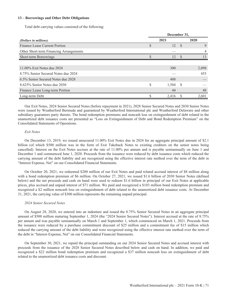### **13 – Borrowings and Other Debt Obligations**

Total debt carrying values consisted of the following:

|                                         | December 31, |       |              |       |  |  |  |
|-----------------------------------------|--------------|-------|--------------|-------|--|--|--|
| <i>(Dollars in millions)</i>            |              | 2021  | 2020         |       |  |  |  |
| Finance Lease Current Portion           | S            | 12    | <sup>S</sup> | 9     |  |  |  |
| Other Short-term Financing Arrangements |              |       |              | 4     |  |  |  |
| Short-term Borrowings                   |              | 12    |              | 13    |  |  |  |
|                                         |              |       |              |       |  |  |  |
| $11.00\%$ Exit Notes due 2024           |              | 300   |              | 2,098 |  |  |  |
| 8.75% Senior Secured Notes due 2024     |              |       |              | 455   |  |  |  |
| 6.5% Senior Secured Notes due 2028      |              | 488   |              |       |  |  |  |
| 8.625% Senior Notes due 2030            | S            | 1,584 | <sup>S</sup> |       |  |  |  |
| Finance Lease Long-term Portion         |              | 44    |              | 48    |  |  |  |
| Long-term Debt                          |              | 2,416 |              | 2,601 |  |  |  |

Our Exit Notes, 2024 Senior Secured Notes (before repayment in 2021), 2028 Senior Secured Notes and 2030 Senior Notes were issued by Weatherford Bermuda and guaranteed by Weatherford International plc and Weatherford Delaware and other subsidiary guarantors party thereto. The bond redemption premiums and noncash loss on extinguishment of debt related to the unamortized debt issuance costs are presented as "Loss on Extinguishment of Debt and Bond Redemption Premium" on the Consolidated Statements of Operations.

### *Exit Notes*

On December 13, 2019, we issued unsecured 11.00% Exit Notes due in 2024 for an aggregate principal amount of \$2.1 billion (of which \$500 million was in the form of Exit Takeback Notes to existing creditors on the senior notes being cancelled). Interest on the Exit Notes accrues at the rate of 11.00% per annum and is payable semiannually on June 1 and December 1 and commenced June 1, 2020. Proceeds from the issuance were reduced by debt issuance costs which reduced the carrying amount of the debt liability and are recognized using the effective interest rate method over the term of the debt in "Interest Expense, Net" on our Consolidated Financial Statements.

On October 20, 2021, we redeemed \$200 million of our Exit Notes and paid related accrued interest of \$8 million along with a bond redemption premium of \$6 million. On October 27, 2021, we issued \$1.6 billion of 2030 Senior Notes (defined below) and the net proceeds and cash on hand were used to redeem \$1.6 billion in principal of our Exit Notes at applicable prices, plus accrued and unpaid interest of \$71 million. We paid and recognized a \$103 million bond redemption premium and recognized a \$2 million noncash loss on extinguishment of debt related to the unamortized debt issuance costs. At December 31, 2021, the carrying value of \$300 million represents the remaining unpaid principal.

### *2024 Senior Secured Notes*

On August 28, 2020, we entered into an indenture and issued the 8.75% Senior Secured Notes in an aggregate principal amount of \$500 million maturing September 1, 2024 (the "2024 Senior Secured Notes"). Interest accrued at the rate of 8.75% per annum and was payable semiannually on March 1 and September 1, which commenced on March 1, 2021. Proceeds from the issuance were reduced by a purchase commitment discount of \$25 million and a commitment fee of \$15 million which reduced the carrying amount of the debt liability and were recognized using the effective interest rate method over the term of the debt in "Interest Expense, Net" on our Consolidated Financial Statements.

On September 30, 2021, we repaid the principal outstanding on our 2024 Senior Secured Notes and accrued interest with proceeds from the issuance of the 2028 Senior Secured Notes described below and cash on hand. In addition, we paid and recognized a \$22 million bond redemption premium and recognized a \$37 million noncash loss on extinguishment of debt related to the unamortized debt issuance costs and discount.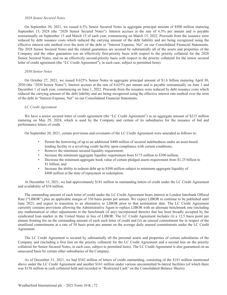## *2028 Senior Secured Notes*

On September 30, 2021, we issued 6.5% Senior Secured Notes in aggregate principal amount of \$500 million maturing September 15, 2028 (the "2028 Senior Secured Notes"). Interest accrues at the rate of 6.5% per annum and is payable semiannually on September 15 and March 15 of each year, commencing on March 15, 2022. Proceeds from the issuance were reduced by debt issuance costs which reduced the carrying amount of the debt liability and are being recognized using the effective interest rate method over the term of the debt in "Interest Expense, Net" on our Consolidated Financial Statements. The 2028 Senior Secured Notes and the related guarantees are secured by substantially all of the assets and properties of the Company and the other guarantors (on an effectively first-priority basis with respect to the priority collateral for the 2028 Senior Secured Notes, and on an effectively second-priority basis with respect to the priority collateral for the senior secured letter of credit agreement (the "LC Credit Agreement"), in each case, subject to permitted liens).

### *2030 Senior Notes*

On October 27, 2021, we issued 8.625% Senior Notes in aggregate principal amount of \$1.6 billion maturing April 30, 2030 (the "2030 Senior Notes"). Interest accrues at the rate of 8.625% per annum and is payable semiannually on June 1 and December 1 of each year, commencing on June 1, 2022. Proceeds from the issuance were reduced by debt issuance costs which reduced the carrying amount of the debt liability and are being recognized using the effective interest rate method over the term of the debt in "Interest Expense, Net" on our Consolidated Financial Statements.

### *LC Credit Agreement*

We have a senior secured letter of credit agreement (the "LC Credit Agreement") in an aggregate amount of \$215 million maturing on May 29, 2024, which is used by the Company and certain of its subsidiaries for the issuance of bid and performance letters of credit.

On September 20, 2021, certain provisions and covenants of the LC Credit Agreement were amended as follows to:

- Permit the borrowing of up to an additional \$400 million of secured indebtedness under an asset-based lending facility or a revolving credit facility upon compliance with certain conditions;
- Remove the minimum secured liquidity requirement;
- Increase the minimum aggregate liquidity requirement from \$175 million to \$300 million;
- Decrease the minimum aggregate book value of certain pledged assets requirement from \$1.25 billion to \$1 billion; and
- Increase the ability to redeem debt up to \$500 million subject to minimum aggregate liquidity of \$400 million at the time of repayment or redemption.

At December 31, 2021, we had approximately \$181 million in outstanding letters of credit under the LC Credit Agreement and availability of \$34 million.

The outstanding amount of each letter of credit under the LC Credit Agreement bears interest at London Interbank Offered Rate ("LIBOR") plus an applicable margin of 350 basis points per annum. We expect LIBOR to continue to be published until June 2023, and expect to transition to an alternative to LIBOR prior to that termination date. The LC Credit Agreement currently contains provisions allowing the Administrative Agent to replace LIBOR with an alternate benchmark rate (including any mathematical or other adjustments to the benchmark (if any) incorporated therein) that has been broadly accepted by the syndicated loan market in the United States in lieu of LIBOR. The LC Credit Agreement includes (i) a 12.5 basis point per annum fronting fee on the outstanding amount of each such letter of credit and (ii) an unused commitment fee in respect of the unutilized commitments at a rate of 50 basis point per annum on the average daily unused commitments under the LC Credit Agreement.

The LC Credit Agreement is secured by substantially all the personal assets and properties of certain subsidiaries of the Company and (including a first lien on the priority collateral for the LC Credit Agreement and a second lien on the priority collateral for Senior Secured Notes, in each case, subject to permitted liens). The LC Credit Agreement is also guaranteed on an unsecured basis by certain other subsidiaries of the Company.

As of December 31, 2021, we had \$342 million of letters of credit outstanding, consisting of the \$181 million mentioned above under the LC Credit Agreement and another \$161 million under various uncommitted bi-lateral facilities (of which there was \$158 million in cash collateral held and recorded in "Restricted Cash" on the Consolidated Balance Sheets).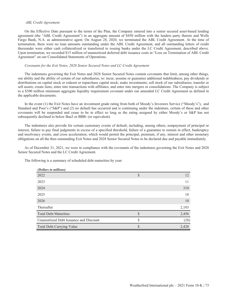### *ABL Credit Agreement*

On the Effective Date pursuant to the terms of the Plan, the Company entered into a senior secured asset-based lending agreement (the "ABL Credit Agreement") in an aggregate amount of \$450 million with the lenders party thereto and Wells Fargo Bank, N.A. as administrative agent. On August 28, 2020, we terminated the ABL Credit Agreement. At the time of termination, there were no loan amounts outstanding under the ABL Credit Agreement, and all outstanding letters of credit thereunder were either cash collateralized or transferred to issuing banks under the LC Credit Agreement, described above. Upon termination, we recorded \$15 million of unamortized deferred debt issuance costs in "Loss on Termination of ABL Credit Agreement" on our Consolidated Statements of Operations.

### *Covenants for the Exit Notes, 2028 Senior Secured Notes and LC Credit Agreement*

The indentures governing the Exit Notes and 2028 Senior Secured Notes contain covenants that limit, among other things, our ability and the ability of certain of our subsidiaries, to: incur, assume or guarantee additional indebtedness; pay dividends or distributions on capital stock or redeem or repurchase capital stock; make investments; sell stock of our subsidiaries; transfer or sell assets; create liens; enter into transactions with affiliates; and enter into mergers or consolidations. The Company is subject to a \$300 million minimum aggregate liquidity requirement covenant under our amended LC Credit Agreement as defined in the applicable documents.

In the event (1) the Exit Notes have an investment grade rating from both of Moody's Investors Service ("Moody's"), and Standard and Poor's ("S&P') and (2) no default has occurred and is continuing under the indenture, certain of these and other covenants will be suspended and cease to be in effect so long as the rating assigned by either Moody's or S&P has not subsequently declined to below Baa3 or BBB- (or equivalent).

The indentures also provide for certain customary events of default, including, among others, nonpayment of principal or interest, failure to pay final judgments in excess of a specified threshold, failure of a guarantee to remain in effect, bankruptcy and insolvency events, and cross acceleration, which would permit the principal, premium, if any, interest and other monetary obligations on all the then outstanding Exit Notes and 2028 Senior Secured Notes to be declared due and payable immediately.

As of December 31, 2021, we were in compliance with the covenants of the indentures governing the Exit Notes and 2028 Senior Secured Notes and the LC Credit Agreement.

The following is a summary of scheduled debt maturities by year:

| (Dollars in millions)                  |               |       |
|----------------------------------------|---------------|-------|
| 2022                                   | \$            | 12    |
| 2023                                   |               | 11    |
| 2024                                   |               | 310   |
| 2025                                   |               | 10    |
| 2026                                   |               | 10    |
| Thereafter                             |               | 2,103 |
| <b>Total Debt Maturities</b>           | $\mathcal{S}$ | 2,456 |
| Unamortized Debt Issuance and Discount | ה.            | (28)  |
| <b>Total Debt Carrying Value</b>       | S             | 2,428 |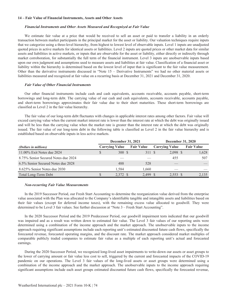### **14 – Fair Value of Financial Instruments, Assets and Other Assets**

### *Financial Instruments and Other Assets Measured and Recognized at Fair Value*

We estimate fair value at a price that would be received to sell an asset or paid to transfer a liability in an orderly transaction between market participants in the principal market for the asset or liability. Our valuation techniques require inputs that we categorize using a three-level hierarchy, from highest to lowest level of observable inputs. Level 1 inputs are unadjusted quoted prices in active markets for identical assets or liabilities. Level 2 inputs are quoted prices or other market data for similar assets and liabilities in active markets, or inputs that are observable for the asset or liability, either directly or indirectly through market corroboration, for substantially the full term of the financial instrument. Level 3 inputs are unobservable inputs based upon our own judgment and assumptions used to measure assets and liabilities at fair value. Classification of a financial asset or liability within the hierarchy is determined based on the lowest level of input that is significant to the fair value measurement. Other than the derivative instruments discussed in "Note 15 – Derivative Instruments" we had no other material assets or liabilities measured and recognized at fair value on a recurring basis at December 31, 2021 and December 31, 2020.

### *Fair Value of Other Financial Instruments*

Our other financial instruments include cash and cash equivalents, accounts receivable, accounts payable, short-term borrowings and long-term debt. The carrying value of our cash and cash equivalents, accounts receivable, accounts payable, and short-term borrowings approximates their fair value due to their short maturities. These short-term borrowings are classified as Level 2 in the fair value hierarchy.

The fair value of our long-term debt fluctuates with changes in applicable interest rates among other factors. Fair value will exceed carrying value when the current market interest rate is lower than the interest rate at which the debt was originally issued and will be less than the carrying value when the market rate is greater than the interest rate at which the debt was originally issued. The fair value of our long-term debt in the following table is classified as Level 2 in the fair value hierarchy and is established based on observable inputs in less active markets.

|                                     | <b>December 31, 2021</b> |          |  | <b>December 31, 2020</b> |                       |          |  |                   |
|-------------------------------------|--------------------------|----------|--|--------------------------|-----------------------|----------|--|-------------------|
| <i>(Dollars in millions)</i>        | <b>Carrying Value</b>    |          |  | <b>Fair Value</b>        | <b>Carrying Value</b> |          |  | <b>Fair Value</b> |
| $11.00\%$ Exit Notes due 2024       |                          | 300 S    |  | 311 \$                   |                       | 2,098 \$ |  | 1,628             |
| 8.75% Senior Secured Notes due 2024 |                          |          |  |                          |                       | 455      |  | 507               |
| 6.5% Senior Secured Notes due 2028  |                          | 488      |  | 528                      |                       |          |  |                   |
| 8.625% Senior Notes due 2030        |                          | l.584    |  | 1.660                    |                       |          |  |                   |
| Total Long-Term Debt                |                          | 2.372 \$ |  | 2,499 \$                 |                       | 2,553    |  | 2,135             |

### *Non-recurring Fair Value Measurements*

In the 2019 Successor Period, our Fresh Start Accounting to determine the reorganization value derived from the enterprise value associated with the Plan was allocated to the Company's identifiable tangible and intangible assets and liabilities based on their fair values (except for deferred income taxes), with the remaining excess value allocated to goodwill. They were determined to be Level 3 fair values. See further discussion at "Note 3 – Fresh Start Accounting".

In the 2020 Successor Period and the 2019 Predecessor Period, our goodwill impairment tests indicated that our goodwill was impaired and as a result was written down to estimated fair value. The Level 3 fair values of our reporting units were determined using a combination of the income approach and the market approach. The unobservable inputs to the income approach requiring significant assumptions include each reporting unit's estimated discounted future cash flows, specifically the forecasted revenue, forecasted operating margins, and the discount rate. The market approach considered market multiples of comparable publicly traded companies to estimate fair value as a multiple of each reporting unit's actual and forecasted earnings.

During the 2020 Successor Period, we recognized long-lived asset impairments to write-down our assets or asset groups to the lower of carrying amount or fair value less cost to sell, triggered by the current and forecasted impacts of the COVID-19 pandemic on our operations. The Level 3 fair values of the long-lived assets or asset groups were determined using a combination of the income approach and the market approach. The unobservable inputs to the income approach requiring significant assumptions include each asset groups estimated discounted future cash flows, specifically the forecasted revenue,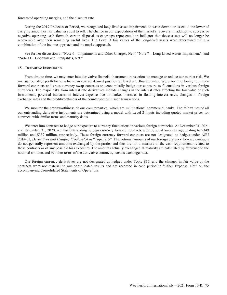forecasted operating margins, and the discount rate.

During the 2019 Predecessor Period, we recognized long-lived asset impairments to write-down our assets to the lower of carrying amount or fair value less cost to sell. The change in our expectations of the market's recovery, in addition to successive negative operating cash flows in certain disposal asset groups represented an indicator that those assets will no longer be recoverable over their remaining useful lives. The Level 3 fair values of the long-lived assets were determined using a combination of the income approach and the market approach.

See further discussion at "Note 6 – Impairments and Other Charges, Net," "Note 7 – Long-Lived Assets Impairment", and "Note 11 – Goodwill and Intangibles, Net."

#### **15 – Derivative Instruments**

From time to time, we may enter into derivative financial instrument transactions to manage or reduce our market risk. We manage our debt portfolio to achieve an overall desired position of fixed and floating rates. We enter into foreign currency forward contracts and cross-currency swap contracts to economically hedge our exposure to fluctuations in various foreign currencies. The major risks from interest rate derivatives include changes in the interest rates affecting the fair value of such instruments, potential increases in interest expense due to market increases in floating interest rates, changes in foreign exchange rates and the creditworthiness of the counterparties in such transactions.

We monitor the creditworthiness of our counterparties, which are multinational commercial banks. The fair values of all our outstanding derivative instruments are determined using a model with Level 2 inputs including quoted market prices for contracts with similar terms and maturity dates.

We enter into contracts to hedge our exposure to currency fluctuations in various foreign currencies. At December 31, 2021 and December 31, 2020, we had outstanding foreign currency forward contracts with notional amounts aggregating to \$349 million and \$337 million, respectively. These foreign currency forward contracts are not designated as hedges under ASU 2014-03*, Derivatives and Hedging (Topic 815)* or "Topic 815". The notional amounts of our foreign currency forward contracts do not generally represent amounts exchanged by the parties and thus are not a measure of the cash requirements related to these contracts or of any possible loss exposure. The amounts actually exchanged at maturity are calculated by reference to the notional amounts and by other terms of the derivative contracts, such as exchange rates.

Our foreign currency derivatives are not designated as hedges under Topic 815, and the changes in fair value of the contracts were not material to our consolidated results and are recorded in each period in "Other Expense, Net" on the accompanying Consolidated Statements of Operations.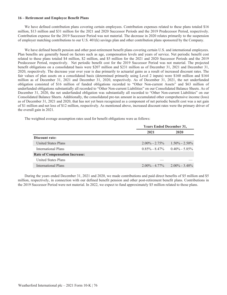### **16 – Retirement and Employee Benefit Plans**

We have defined contribution plans covering certain employees. Contribution expenses related to these plans totaled \$16 million, \$13 million and \$31 million for the 2021 and 2020 Successor Periods and the 2019 Predecessor Period, respectively. Contribution expense for the 2019 Successor Period was not material. The decrease in 2020 relates primarily to the suspension of employer matching contributions to our U.S. 401(k) savings plan and other contribution plans sponsored by the Company.

We have defined benefit pension and other post-retirement benefit plans covering certain U.S. and international employees. Plan benefits are generally based on factors such as age, compensation levels and years of service. Net periodic benefit cost related to these plans totaled \$4 million, \$2 million, and \$5 million for the 2021 and 2020 Successor Periods and the 2019 Predecessor Period, respectively. Net periodic benefit cost for the 2019 Successor Period was not material. The projected benefit obligations on a consolidated basis were \$207 million and \$231 million as of December 31, 2021 and December 31, 2020, respectively. The decrease year over year is due primarily to actuarial gains as a result of increased discount rates. The fair values of plan assets on a consolidated basis (determined primarily using Level 2 inputs) were \$160 million and \$164 million as of December 31, 2021 and December 31, 2020, respectively. As of December 31, 2021, the net underfunded obligation consisted of \$16 million of funded obligations recorded to "Other Non-current Assets" and \$63 million of underfunded obligations substantially all recorded to "Other Non-current Liabilities" on our Consolidated Balance Sheets. As of December 31, 2020, the net underfunded obligation was substantially all recorded to "Other Non-current Liabilities" on our Consolidated Balance Sheets. Additionally, the consolidated pre-tax amount in accumulated other comprehensive income (loss) as of December 31, 2021 and 2020, that has not yet been recognized as a component of net periodic benefit cost was a net gain of \$1 million and net loss of \$12 million, respectively. As mentioned above, increased discount rates were the primary driver of the overall gain in 2021.

The weighted average assumption rates used for benefit obligations were as follows:

|                                       | <b>Years Ended December 31,</b> |                                     |
|---------------------------------------|---------------------------------|-------------------------------------|
|                                       | 2021                            | 2020                                |
| Discount rate:                        |                                 |                                     |
| <b>United States Plans</b>            | $2.00\% - 2.75\%$               | $1.50\% - 2.50\%$                   |
| International Plans                   | $0.85\% - 8.47\%$               | $0.40\% - 5.85\%$                   |
| <b>Rate of Compensation Increase:</b> |                                 |                                     |
| <b>United States Plans</b>            |                                 |                                     |
| International Plans                   |                                 | $2.00\% - 4.77\% = 2.00\% - 3.48\%$ |

During the years ended December 31, 2021 and 2020, we made contributions and paid direct benefits of \$5 million and \$5 million, respectively, in connection with our defined benefit pension and other post-retirement benefit plans. Contributions in the 2019 Successor Period were not material. In 2022, we expect to fund approximately \$5 million related to those plans.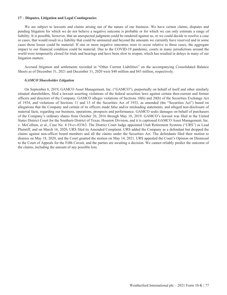### **17 – Disputes, Litigation and Legal Contingencies**

We are subject to lawsuits and claims arising out of the nature of our business. We have certain claims, disputes and pending litigation for which we do not believe a negative outcome is probable or for which we can only estimate a range of liability. It is possible, however, that an unexpected judgment could be rendered against us, or we could decide to resolve a case or cases, that would result in a liability that could be uninsured and beyond the amounts we currently have reserved and in some cases those losses could be material. If one or more negative outcomes were to occur relative to these cases, the aggregate impact to our financial condition could be material. Due to the COVID-19 pandemic, courts in many jurisdictions around the world were temporarily closed for trials and hearings and have been slow to reopen, which has resulted in delays in many of our litigation matters.

Accrued litigation and settlements recorded in "Other Current Liabilities" on the accompanying Consolidated Balance Sheets as of December 31, 2021 and December 31, 2020 were \$40 million and \$43 million, respectively.

#### *GAMCO Shareholder Litigation*

On September 6, 2019, GAMCO Asset Management, Inc. ("GAMCO"), purportedly on behalf of itself and other similarly situated shareholders, filed a lawsuit asserting violations of the federal securities laws against certain then-current and former officers and directors of the Company. GAMCO alleges violations of Sections 10(b) and 20(b) of the Securities Exchange Act of 1934, and violations of Sections 11 and 15 of the Securities Act of 1933, as amended (the "Securities Act") based on allegations that the Company and certain of its officers made false and/or misleading statements, and alleged non-disclosure of material facts, regarding our business, operations, prospects and performance. GAMCO seeks damages on behalf of purchasers of the Company's ordinary shares from October 26, 2016 through May 10, 2019. GAMCO's lawsuit was filed in the United States District Court for the Southern District of Texas, Houston Division, and it is captioned GAMCO Asset Management, Inc. v. McCollum, et al., Case No. 4:19-cv-03363. The District Court Judge appointed Utah Retirement Systems ("URS") as Lead Plaintiff, and on March 16, 2020, URS filed its Amended Complaint. URS added the Company as a defendant but dropped the claims against non-officer board members and all the claims under the Securities Act. The defendants filed their motion to dismiss on May 18, 2020, and the Court granted the motion on May 14, 2021. URS appealed the Court's Opinion on Dismissal to the Court of Appeals for the Fifth Circuit, and the parties are awaiting a decision. We cannot reliably predict the outcome of the claims, including the amount of any possible loss.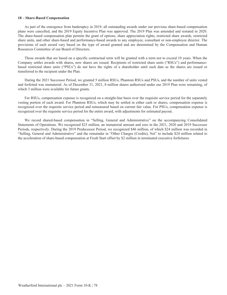### **18 – Share-Based Compensation**

As part of the emergence from bankruptcy in 2019, all outstanding awards under our previous share-based compensation plans were cancelled, and the 2019 Equity Incentive Plan was approved. The 2019 Plan was amended and restated in 2020. The share-based compensation plan permits the grant of options, share appreciation rights, restricted share awards, restricted share units, and other share-based and performance-based awards to any employee, consultant or non-employee director. The provisions of each award vary based on the type of award granted and are determined by the Compensation and Human Resources Committee of our Board of Directors.

Those awards that are based on a specific contractual term will be granted with a term not to exceed 10 years. When the Company settles awards with shares, new shares are issued. Recipients of restricted share units ("RSUs") and performancebased restricted share units ("PSUs") do not have the rights of a shareholder until such date as the shares are issued or transferred to the recipient under the Plan.

During the 2021 Successor Period, we granted 5 million RSUs, Phantom RSUs and PSUs, and the number of units vested and forfeited was immaterial. As of December 31, 2021, 8 million shares authorized under our 2019 Plan were remaining, of which 3 million were available for future grants.

For RSUs, compensation expense is recognized on a straight-line basis over the requisite service period for the separately vesting portion of each award. For Phantom RSUs, which may be settled in either cash or shares, compensation expense is recognized over the requisite service period and remeasured based on current fair value. For PSUs, compensation expense is recognized over the requisite service period for the entire award, with adjustments for estimated payout.

We record shared-based compensation in "Selling, General and Administrative" on the accompanying Consolidated Statements of Operations. We recognized \$25 million, an immaterial amount and zero in the 2021, 2020 and 2019 Successor Periods, respectively. During the 2019 Predecessor Period, we recognized \$46 million, of which \$24 million was recorded in "Selling, General and Administrative" and the remainder in "Other Charges (Credits), Net" to include \$24 million related to the acceleration of share-based compensation at Fresh Start offset by \$2 million in terminated executive forfeitures.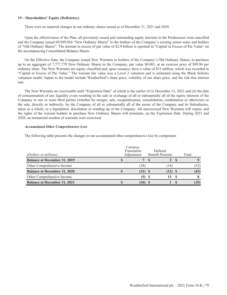## **19 – Shareholders' Equity (Deficiency)**

There were no material changes in our ordinary shares issued as of December 31, 2021 and 2020.

Upon the effectiveness of the Plan, all previously issued and outstanding equity interests in the Predecessor were cancelled and the Company issued 69,999,954 "New Ordinary Shares" to the holders of the Company's existing senior notes and holders of "Old Ordinary Shares". The amount in excess of par value of \$2.9 billion is reported in "Capital in Excess of Par Value" on the accompanying Consolidated Balance Sheets.

On the Effective Date, the Company issued New Warrants to holders of the Company's Old Ordinary Shares, to purchase up to an aggregate of 7,777,779 New Ordinary Shares in the Company, par value \$0.001, at an exercise price of \$99.96 per ordinary share. The New Warrants are equity classified and, upon issuance, have a value of \$31 million, which was recorded in "Capital in Excess of Par Value." The warrant fair value was a Level 2 valuation and is estimated using the Black Scholes valuation model. Inputs to the model include Weatherford's share price, volatility of our share price, and the risk-free interest rate.

The New Warrants are exercisable until "Expiration Date" of which is the earlier of (i) December 13, 2023 and (ii) the date of consummation of any liquidity event resulting in the sale or exchange of all or substantially all of the equity interests of the Company to one or more third parties (whether by merger, sale, recapitalization, consolidation, combination or otherwise) or the sale, directly or indirectly, by the Company of all or substantially all of the assets of the Company and its Subsidiaries, taken as a whole; or a liquidation, dissolution or winding up of the Company. All unexercised New Warrants will expire, and the rights of the warrant holders to purchase New Ordinary Shares will terminate, on the Expiration Date. During 2021 and 2020, an immaterial number of warrants were exercised.

#### *Accumulated Other Comprehensive Loss*

The following table presents the changes in our accumulated other comprehensive loss by component:

| (Dollars in millions)               | Currency<br>Translation<br>Adjustment |        | Defined<br><b>Benefit Pension</b> |       | Total |
|-------------------------------------|---------------------------------------|--------|-----------------------------------|-------|-------|
| <b>Balance at December 31, 2019</b> |                                       |        |                                   |       |       |
| Other Comprehensive Income          |                                       | 38)    |                                   | (14)  | (52)  |
| <b>Balance at December 31, 2020</b> | $\mathbf{u}$                          | (31) S |                                   | $-12$ | (43)  |
| Other Comprehensive Income          |                                       | (5)    |                                   | 13    |       |
| <b>Balance at December 31, 2021</b> |                                       | 36)    |                                   |       | (35)  |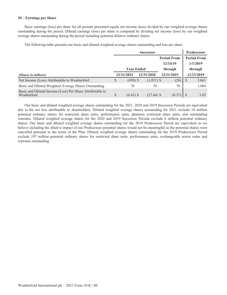## **20 – Earnings per Share**

Basic earnings (loss) per share for all periods presented equals net income (loss) divided by our weighted average shares outstanding during the period. Diluted earnings (loss) per share is computed by dividing net income (loss) by our weighted average shares outstanding during the period including potential dilutive ordinary shares.

The following table presents our basic and diluted weighted average shares outstanding and loss per share:

|                                                                          | <b>Successor</b>  |             |              |                    |              | <b>Predecessor</b> |  |
|--------------------------------------------------------------------------|-------------------|-------------|--------------|--------------------|--------------|--------------------|--|
|                                                                          |                   |             |              | <b>Period From</b> |              | <b>Period From</b> |  |
|                                                                          |                   |             |              | 12/14/19           | 1/1/2019     |                    |  |
|                                                                          | <b>Year Ended</b> |             |              | through            | through      |                    |  |
| (Shares in millions)                                                     |                   | 12/31/2021  | 12/31/2020   | 12/31/2019         |              | 12/13/2019         |  |
| Net Income (Loss) Attributable to Weatherford                            | S                 | $(450)$ \$  | $(1,921)$ \$ | (26)               | <sup>S</sup> | 3,661              |  |
| Basic and Diluted Weighted Average Shares Outstanding                    |                   | 70          | 70           | 70                 |              | 1,004              |  |
| Basic and Diluted Income (Loss) Per Share Attributable to<br>Weatherford | S                 | $(6.43)$ \$ | $(27.44)$ \$ | (0.37)             |              | 3.65               |  |

Our basic and diluted weighted average shares outstanding for the 2021, 2020 and 2019 Successor Periods are equivalent due to the net loss attributable to shareholders. Diluted weighted average shares outstanding for 2021 exclude 10 million potential ordinary shares for restricted share units, performance units, phantom restricted share units, and outstanding warrants. Diluted weighted average shares for the 2020 and 2019 Successor Periods exclude 8 million potential ordinary shares. Our basic and diluted weighted average shares outstanding for the 2019 Predecessor Period are equivalent as we believe including the dilutive impact of our Predecessor potential shares would not be meaningful as the potential shares were cancelled pursuant to the terms of the Plan. Diluted weighted average shares outstanding for the 2019 Predecessor Period exclude 197 million potential ordinary shares for restricted share units, performance units, exchangeable senior notes and warrants outstanding.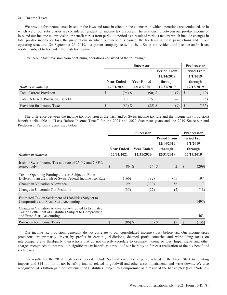# **21 – Income Taxes**

We provide for income taxes based on the laws and rates in effect in the countries in which operations are conducted, or in which we or our subsidiaries are considered resident for income tax purposes. The relationship between our pre-tax income or loss and our income tax provision or benefit varies from period to period as a result of various factors which include changes in total pre-tax income or loss, the jurisdictions in which our income is earned, the tax laws in those jurisdictions and in our operating structure. On September 26, 2019, our parent company ceased to be a Swiss tax resident and became an Irish tax resident subject to tax under the Irish tax regime.

Our income tax provision from continuing operations consisted of the following:

|                                    |                   |            | Predecessor                                                      |            |   |            |                                           |  |  |
|------------------------------------|-------------------|------------|------------------------------------------------------------------|------------|---|------------|-------------------------------------------|--|--|
|                                    | <b>Year Ended</b> |            | <b>Period From</b><br>12/14/2019<br><b>Year Ended</b><br>through |            |   |            | <b>Period From</b><br>1/1/2019<br>through |  |  |
| <i>(Dollars in millions)</i>       |                   | 12/31/2021 | 12/31/2020                                                       | 12/31/2019 |   | 12/13/2019 |                                           |  |  |
| <b>Total Current Provision</b>     | \$                | $(96)$ \$  | $(90)$ \$                                                        | (9)        | S | (110)      |                                           |  |  |
| Total Deferred (Provision) Benefit |                   | 10         |                                                                  |            |   | (25)       |                                           |  |  |
| Provision for Income Taxes         |                   | $(86)$ \$  | $(85)$ \$                                                        | (9)        | S | (135)      |                                           |  |  |

The difference between the income tax provision at the Irish and/or Swiss income tax rate and the income tax (provision) benefit attributable to "Loss Before Income Taxes" for the 2021 and 2020 Successor years and the 2019 Successor and Predecessor Periods are analyzed below:

|                                                                                                                                               |                           | <b>Predecessor</b> |                    |                        |
|-----------------------------------------------------------------------------------------------------------------------------------------------|---------------------------|--------------------|--------------------|------------------------|
|                                                                                                                                               |                           |                    | <b>Period From</b> | <b>Period From</b>     |
|                                                                                                                                               |                           |                    | 12/14/2019         | 1/1/2019               |
|                                                                                                                                               | <b>Year Ended</b>         | <b>Year Ended</b>  | through            | through                |
| <i>(Dollars in millions)</i>                                                                                                                  | 12/31/2021                | 12/31/2020         | 12/31/2019         | 12/13/2019             |
| Irish or Swiss Income Tax at a rate of $25.0\%$ and $7.83\%$ .<br>respectively                                                                | \$<br>86 S                | 454 \$             | $\overline{2}$     | $\mathcal{S}$<br>(299) |
| Tax on Operating Earnings/Losses Subject to Rates<br>Different than the Irish or Swiss Federal Income Tax Rate                                | (166)                     | (182)              | (65)               | 197                    |
| Change in Valuation Allowance                                                                                                                 | 29                        | (330)              | 56                 | 17                     |
| Change in Uncertain Tax Positions                                                                                                             | (35)                      | (27)               | (2)                | (18)                   |
| Estimated Tax on Settlement of Liabilities Subject to<br>Compromise and Fresh Start Accounting                                                |                           |                    |                    | (495)                  |
| Change in Valuation Allowance Attributed to Estimated<br>Tax on Settlement of Liabilities Subject to Compromise<br>and Fresh Start Accounting |                           |                    |                    | 463                    |
| Provision for Income Taxes                                                                                                                    | $\mathbb{S}$<br>$(86)$ \$ | $(85)$ \$          | (9)                | (135)                  |

Our income tax provisions generally do not correlate to our consolidated income (loss) before tax. Our income taxes provisions are primarily driven by profits in certain jurisdictions, deemed profit countries and withholding taxes on intercompany and third-party transactions that do not directly correlate to ordinary income or loss. Impairments and other charges recognized do not result in significant tax benefit as a result of our inability to forecast realization of the tax benefit of such losses.

Our results for the 2019 Predecessor period include \$32 million of tax expense related to the Fresh Start Accounting impacts and \$14 million of tax benefit primarily related to goodwill and other asset impairments and write downs. We also recognized \$4.3 billion gain on Settlement of Liabilities Subject to Compromise as a result of the bankruptcy (See "Note 2 –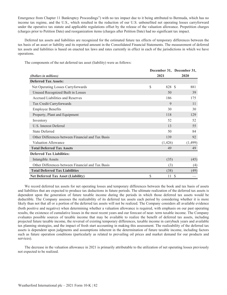Emergence from Chapter 11 Bankruptcy Proceedings") with no tax impact due to it being attributed to Bermuda, which has no income tax regime, and the U.S., which resulted in the reduction of our U.S. unbenefited net operating losses carryforward under the operative tax statute and applicable regulations offset by the release of the valuation allowance. Prepetition charges (charges prior to Petition Date) and reorganization items (charges after Petition Date) had no significant tax impact.

Deferred tax assets and liabilities are recognized for the estimated future tax effects of temporary differences between the tax basis of an asset or liability and its reported amount in the Consolidated Financial Statements. The measurement of deferred tax assets and liabilities is based on enacted tax laws and rates currently in effect in each of the jurisdictions in which we have operations.

The components of the net deferred tax asset (liability) were as follows:

|                                                   |              | December 31, December 31, |
|---------------------------------------------------|--------------|---------------------------|
| (Dollars in millions)                             | 2021         | 2020                      |
| <b>Deferred Tax Assets:</b>                       |              |                           |
| Net Operating Losses Carryforwards                | \$<br>828 \$ | 881                       |
| Unused Recognized Built in Losses                 | 50           | 39                        |
| <b>Accrued Liabilities and Reserves</b>           | 186          | 175                       |
| Tax Credit Carryforwards                          | $\mathbf Q$  | 11                        |
| <b>Employee Benefits</b>                          | 30           | 30                        |
| Property, Plant and Equipment                     | 118          | 129                       |
| Inventory                                         | 52           | 52                        |
| U.S. Interest Deferral                            | 13           | 55                        |
| <b>State Deferred</b>                             | 50           | 84                        |
| Other Differences between Financial and Tax Basis | 139          | 92                        |
| <b>Valuation Allowance</b>                        | (1, 426)     | (1, 499)                  |
| <b>Total Deferred Tax Assets</b>                  | 49           | 49                        |
| <b>Deferred Tax Liabilities:</b>                  |              |                           |
| Intangible Assets                                 | (35)         | (45)                      |
| Other Differences between Financial and Tax Basis | (3)          | (4)                       |
| <b>Total Deferred Tax Liabilities</b>             | (38)         | (49)                      |
| <b>Net Deferred Tax Asset (Liability)</b>         | \$<br>11S    |                           |

We record deferred tax assets for net operating losses and temporary differences between the book and tax basis of assets and liabilities that are expected to produce tax deductions in future periods. The ultimate realization of the deferred tax assets is dependent upon the generation of future taxable income during the periods in which those deferred tax assets would be deductible. The Company assesses the realizability of its deferred tax assets each period by considering whether it is more likely than not that all or a portion of the deferred tax assets will not be realized. The Company considers all available evidence (both positive and negative) when determining whether a valuation allowance is required, with emphasis on our past operating results, the existence of cumulative losses in the most recent years and our forecast of near- term taxable income. The Company evaluates possible sources of taxable income that may be available to realize the benefit of deferred tax assets, including projected future taxable income, the reversal of existing temporary differences, taxable income in carryback years and available tax planning strategies, and the impact of fresh start accounting in making this assessment. The realizability of the deferred tax assets is dependent upon judgments and assumptions inherent in the determination of future taxable income, including factors such as future operation conditions (particularly as related to prevailing oil prices and market demand for our products and services).

The decrease in the valuation allowance in 2021 is primarily attributable to the utilization of net operating losses previously not expected to be realized.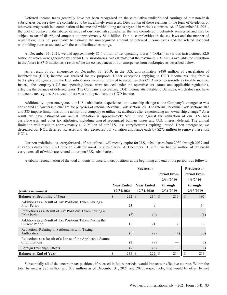Deferred income taxes generally have not been recognized on the cumulative undistributed earnings of our non-Irish subsidiaries because they are considered to be indefinitely reinvested. Distribution of these earnings in the form of dividends or otherwise may result in a combination of income and withholding taxes payable in various countries. As of December 31, 2021, the pool of positive undistributed earnings of our non-Irish subsidiaries that are considered indefinitely reinvested and may be subject to tax if distributed amounts to approximately \$1.4 billion. Due to complexities in the tax laws and the manner of repatriation, it is not practicable to estimate the unrecognized amount of deferred income taxes and the related dividend withholding taxes associated with these undistributed earnings.

At December 31, 2021, we had approximately \$5.4 billion of net operating losses ("NOLs") in various jurisdictions, \$2.0 billion of which were generated by certain U.S. subsidiaries. We estimate that the maximum U.S. NOLs available for utilization in the future is \$713 million as a result of the tax consequences of our emergence from bankruptcy as described below.

As a result of our emergence on December 13, 2019, in the U.S. approximately \$480 million of cancellation of indebtedness (COD) income was realized for tax purposes. Under exceptions applying to COD income resulting from a bankruptcy reorganization, the U.S. subsidiaries were not required to recognize this COD income currently as taxable income. Instead, the company's US net operating losses were reduced under the operative tax statute and applicable regulations, affecting the balance of deferred taxes. The Company also realized COD income attributable to Bermuda, which does not have an income tax regime. As a result, there was no impact from the COD income.

Additionally, upon emergence our U.S. subsidiaries experienced an ownership change as the Company's emergence was considered an "ownership change" for purposes of Internal Revenue Code section 382. The Internal Revenue Code sections 382 and 383 impose limitations on the ability of a company to utilize tax attributes after experiencing an "ownership change." As a result, we have estimated our annual limitation is approximately \$23 million against the utilization of our U.S. loss carryforwards and other tax attributes, including unused recognized built-in losses and U.S. interest deferral. The annual limitation will result in approximately \$1.2 billion of our U.S. loss carryforwards expiring unused. Upon emergence, we decreased our NOL deferred tax asset and also decreased our valuation allowance each by \$273 million to remove these lost NOLs.

Our non-indefinite loss carryforwards, if not utilized, will mostly expire for U.S. subsidiaries from 2030 through 2037 and at various dates from 2021 through 2040 for non-U.S. subsidiaries. At December 31, 2021, we had \$9 million of tax credit carryovers, all of which are related to our non-U.S. subsidiaries.

A tabular reconciliation of the total amounts of uncertain tax positions at the beginning and end of the period is as follows:

|                                                                               |                        |                   | <b>Predecessor</b> |                    |
|-------------------------------------------------------------------------------|------------------------|-------------------|--------------------|--------------------|
|                                                                               |                        |                   | <b>Period From</b> | <b>Period From</b> |
|                                                                               |                        |                   | 12/14/2019         | 1/1/2019           |
|                                                                               | <b>Year Ended</b>      | <b>Year Ended</b> | through            | through            |
| (Dollars in millions)                                                         | 12/31/2021             | 12/31/2020        | 12/31/2019         | 12/13/2019         |
| <b>Balance at Beginning of Year</b>                                           | $\mathbb{S}$<br>222 \$ | 214 \$            | 213                | S.<br>195          |
| Additions as a Result of Tax Positions Taken During a<br>Prior Period         | 23                     | 9                 |                    | 34                 |
| Reductions as a Result of Tax Positions Taken During a<br>Prior Period        | (8)                    | (4)               |                    | (1)                |
| Additions as a Result of Tax Positions Taken During the<br>Current Period     | 12                     | 21                | $\overline{2}$     | 17                 |
| Reductions Relating to Settlements with Taxing<br>Authorities                 | (5)                    | (2)               | (1)                | (20)               |
| Reductions as a Result of a Lapse of the Applicable Statute<br>of Limitations | (2)                    | (7)               |                    | (5)                |
| Foreign Exchange Effects                                                      | (7)                    | (9)               |                    | (7)                |
| <b>Balance at End of Year</b>                                                 | \$<br>235 \$           | 222 \$            | 214                | 213<br>S           |

Substantially all of the uncertain tax positions, if released in future periods, would impact our effective tax rate. Within the total balance is \$76 million and \$77 million as of December 31, 2021 and 2020, respectively, that would be offset by net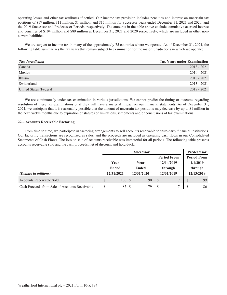operating losses and other tax attributes if settled. Our income tax provision includes penalties and interest on uncertain tax positions of \$17 million, \$11 million, \$1 million, and \$15 million for Successor years ended December 31, 2021 and 2020, and the 2019 Successor and Predecessor Periods, respectively. The amounts in the table above exclude cumulative accrued interest and penalties of \$104 million and \$89 million at December 31, 2021 and 2020 respectively, which are included in other noncurrent liabilities.

We are subject to income tax in many of the approximately 75 countries where we operate. As of December 31, 2021, the following table summarizes the tax years that remain subject to examination for the major jurisdictions in which we operate:

| <b>Tax Jurisdiction</b> | <b>Tax Years under Examination</b> |
|-------------------------|------------------------------------|
| Canada                  | $2013 - 2021$                      |
| Mexico                  | $2010 - 2021$                      |
| Russia                  | $2018 - 2021$                      |
| Switzerland             | $2013 - 2021$                      |
| United States (Federal) | $2018 - 2021$                      |

We are continuously under tax examination in various jurisdictions. We cannot predict the timing or outcome regarding resolution of these tax examinations or if they will have a material impact on our financial statements. As of December 31, 2021, we anticipate that it is reasonably possible that the amount of uncertain tax positions may decrease by up to \$1 million in the next twelve months due to expiration of statutes of limitations, settlements and/or conclusions of tax examinations.

# **22 – Accounts Receivable Factoring**

From time to time, we participate in factoring arrangements to sell accounts receivable to third-party financial institutions. Our factoring transactions are recognized as sales, and the proceeds are included as operating cash flows in our Consolidated Statements of Cash Flows. The loss on sale of accounts receivable was immaterial for all periods. The following table presents accounts receivable sold and the cash proceeds, net of discount and hold-back.

|                                                |            | <b>Successor</b>     |                      |                                             |  |                                           | Predecessor |
|------------------------------------------------|------------|----------------------|----------------------|---------------------------------------------|--|-------------------------------------------|-------------|
|                                                |            | Year<br><b>Ended</b> | Year<br><b>Ended</b> | <b>Period From</b><br>12/14/2019<br>through |  | <b>Period From</b><br>1/1/2019<br>through |             |
| (Dollars in millions)                          | 12/31/2021 |                      | 12/31/2020           | 12/31/2019                                  |  |                                           | 12/13/2019  |
| Accounts Receivable Sold                       |            | 100S                 | 90                   |                                             |  | S                                         | 199         |
| Cash Proceeds from Sale of Accounts Receivable |            | 85 S                 | 79                   |                                             |  |                                           | 186         |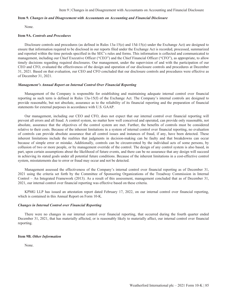### **Item 9.** *Changes in and Disagreement with Accountants on Accounting and Financial Disclosure*

None.

## **Item 9A.** *Controls and Procedures*

Disclosure controls and procedures (as defined in Rules 13a-15(e) and 15d-15(e) under the Exchange Act) are designed to ensure that information required to be disclosed in our reports filed under the Exchange Act is recorded, processed, summarized and reported within the time periods specified in the SEC's rules and forms. This information is collected and communicated to management, including our Chief Executive Officer ("CEO") and the Chief Financial Officer ("CFO"), as appropriate, to allow timely decisions regarding required disclosures. Our management, under the supervision of and with the participation of our CEO and CFO, evaluated the effectiveness of the design and operation of our disclosure controls and procedures at December 31, 2021. Based on that evaluation, our CEO and CFO concluded that our disclosure controls and procedures were effective as of December 31, 2021.

#### *Management's Annual Report on Internal Control Over Financial Reporting*

Management of the Company is responsible for establishing and maintaining adequate internal control over financial reporting as such term is defined in Rules 13a-15(f) of the Exchange Act. The Company's internal controls are designed to provide reasonable, but not absolute, assurance as to the reliability of its financial reporting and the preparation of financial statements for external purposes in accordance with U.S. GAAP.

Our management, including our CEO and CFO, does not expect that our internal control over financial reporting will prevent all errors and all fraud. A control system, no matter how well conceived and operated, can provide only reasonable, not absolute, assurance that the objectives of the control system are met. Further, the benefits of controls must be considered relative to their costs. Because of the inherent limitations in a system of internal control over financial reporting, no evaluation of controls can provide absolute assurance that all control issues and instances of fraud, if any, have been detected. These inherent limitations include the realities that judgments in decision-making can be faulty and that breakdowns can occur because of simple error or mistake. Additionally, controls can be circumvented by the individual acts of some persons, by collusion of two or more people, or by management override of the control. The design of any control system is also based, in part, upon certain assumptions about the likelihood of future events, and there can be no assurance that any design will succeed in achieving its stated goals under all potential future conditions. Because of the inherent limitations in a cost-effective control system, misstatements due to error or fraud may occur and not be detected.

Management assessed the effectiveness of the Company's internal control over financial reporting as of December 31, 2021 using the criteria set forth by the Committee of Sponsoring Organizations of the Treadway Commission in Internal Control – An Integrated Framework (2013). As a result of this assessment, management concluded that as of December 31, 2021, our internal control over financial reporting was effective based on these criteria.

KPMG LLP has issued an attestation report dated February 17, 2022, on our internal control over financial reporting, which is contained in this Annual Report on Form 10-K.

#### *Changes in Internal Control over Financial Reporting*

There were no changes in our internal control over financial reporting, that occurred during the fourth quarter ended December 31, 2021, that has materially affected, or is reasonably likely to materially affect, our internal control over financial reporting.

### **Item 9B.** *Other Information*

None.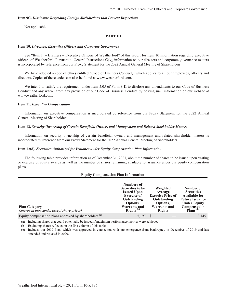### **Item 9C.** *Disclosure Regarding Foreign Jurisdictions that Prevent Inspections*

Not applicable.

### **PART III**

### **Item 10.** *Directors, Executive Officers and Corporate Governance*

See "Item 1. – Business – Executive Officers of Weatherford" of this report for Item 10 information regarding executive officers of Weatherford. Pursuant to General Instructions G(3), information on our directors and corporate governance matters is incorporated by reference from our Proxy Statement for the 2022 Annual General Meeting of Shareholders.

We have adopted a code of ethics entitled "Code of Business Conduct," which applies to all our employees, officers and directors. Copies of these codes can also be found at www.weatherford.com.

We intend to satisfy the requirement under Item 5.05 of Form 8-K to disclose any amendments to our Code of Business Conduct and any waiver from any provision of our Code of Business Conduct by posting such information on our website at www.weatherford.com.

### **Item 11.** *Executive Compensation*

Information on executive compensation is incorporated by reference from our Proxy Statement for the 2022 Annual General Meeting of Shareholders.

### **Item 12.** *Security Ownership of Certain Beneficial Owners and Management and Related Stockholder Matters*

Information on security ownership of certain beneficial owners and management and related shareholder matters is incorporated by reference from our Proxy Statement for the 2022 Annual General Meeting of Shareholders.

#### **Item 12(d).** *Securities Authorized for Issuance under Equity Compensation Plan Information*

The following table provides information as of December 31, 2021, about the number of shares to be issued upon vesting or exercise of equity awards as well as the number of shares remaining available for issuance under our equity compensation plans.

#### **Equity Compensation Plan Information**

| <b>Plan Category</b><br>(Shares in thousands, except share prices) | <b>Numbers of</b><br><b>Securities to be</b><br><b>Issued Upon</b><br><b>Exercise of</b><br>Outstanding<br>Options,<br><b>Warrants and</b><br>Rights <sup>(a)</sup> | Weighted<br>Average<br><b>Exercise Price of</b><br>Outstanding<br>Options,<br><b>Warrants and</b><br><b>Rights</b> | Number of<br><b>Securities</b><br><b>Available for</b><br><b>Future Issuance</b><br><b>Under Equity</b><br><b>Compensation</b><br>$P_{\rm}$ Plans <sup>(b)</sup> |
|--------------------------------------------------------------------|---------------------------------------------------------------------------------------------------------------------------------------------------------------------|--------------------------------------------------------------------------------------------------------------------|------------------------------------------------------------------------------------------------------------------------------------------------------------------|
| Equity compensation plans approved by shareholders <sup>(c)</sup>  | 5.197                                                                                                                                                               |                                                                                                                    | 3,145                                                                                                                                                            |

(a) Including shares that could potentially be issued if maximum performance metrics were achieved.

(b) Excluding shares reflected in the first column of this table.

(c) Includes our 2019 Plan, which was approved in connection with our emergence from bankruptcy in December of 2019 and last amended and restated in 2020.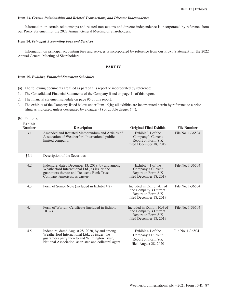# **Item 13.** *Certain Relationships and Related Transactions, and Director Independence*

Information on certain relationships and related transactions and director independence is incorporated by reference from our Proxy Statement for the 2022 Annual General Meeting of Shareholders.

### **Item 14.** *Principal Accounting Fees and Services*

Information on principal accounting fees and services is incorporated by reference from our Proxy Statement for the 2022 Annual General Meeting of Shareholders.

### **PART IV**

### **Item 15.** *Exhibits, Financial Statement Schedules*

- **(a)** The following documents are filed as part of this report or incorporated by reference:
- 1. The Consolidated Financial Statements of the Company listed on page 41 of this report.
- 2. The financial statement schedule on page 95 of this report.
- 3. The exhibits of the Company listed below under Item 15(b); all exhibits are incorporated herein by reference to a prior filing as indicated, unless designated by a dagger  $(\dagger)$  or double dagger  $(\dagger\dagger)$ .
- **(b)** Exhibits: **Exhibit**

| Exhibit<br><b>Number</b> | <b>Description</b>                                                                                                                                                                                           | <b>Original Filed Exhibit</b>                                                                         | <b>File Number</b> |
|--------------------------|--------------------------------------------------------------------------------------------------------------------------------------------------------------------------------------------------------------|-------------------------------------------------------------------------------------------------------|--------------------|
| 3.1                      | Amended and Restated Memorandum and Articles of<br>Association of Weatherford International public<br>limited company.                                                                                       | Exhibit 3.1 of the<br>Company's Current<br>Report on Form 8-K<br>filed December 18, 2019              | File No. 1-36504   |
| $\dagger 4.1$            | Description of the Securities.                                                                                                                                                                               |                                                                                                       |                    |
| 4.2                      | Indenture, dated December 13, 2019, by and among<br>Weatherford International Ltd., as issuer, the<br>guarantors thereto and Deutsche Bank Trust<br>Company Americas, as trustee.                            | Exhibit 4.1 of the<br>Company's Current<br>Report on Form 8-K<br>filed December 18, 2019              | File No. 1-36504   |
| 4.3                      | Form of Senior Note (included in Exhibit 4.2).                                                                                                                                                               | Included in Exhibit 4.1 of<br>the Company's Current<br>Report on Form 8-K<br>filed December 18, 2019  | File No. 1-36504   |
| 4.4                      | Form of Warrant Certificate (included in Exhibit<br>$10.32$ ).                                                                                                                                               | Included in Exhibit 10.4 of<br>the Company's Current<br>Report on Form 8-K<br>filed December 18, 2019 | File No. 1-36504   |
| 4.5                      | Indenture, dated August 28, 2020, by and among<br>Weatherford International Ltd., as issuer, the<br>guarantors party thereto and Wilmington Trust,<br>National Association, as trustee and collateral agent. | Exhibit 4.1 of the<br>Company's Current<br>Report on Form 8-K<br>filed August 28, 2020                | File No. 1-36504   |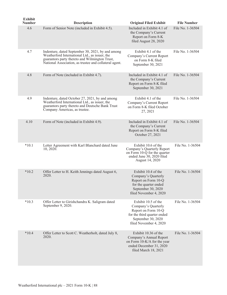| <b>Exhibit</b><br><b>Number</b> | <b>Description</b>                                                                                                                                                                                              | <b>Original Filed Exhibit</b>                                                                                                                    | <b>File Number</b> |
|---------------------------------|-----------------------------------------------------------------------------------------------------------------------------------------------------------------------------------------------------------------|--------------------------------------------------------------------------------------------------------------------------------------------------|--------------------|
| 4.6                             | Form of Senior Note (included in Exhibit 4.5).                                                                                                                                                                  | Included in Exhibit 4.1 of<br>the Company's Current<br>Report on Form 8-K<br>filed August 28, 2020                                               | File No. 1-36504   |
| 4.7                             | Indenture, dated September 30, 2021, by and among<br>Weatherford International Ltd., as issuer, the<br>guarantors party thereto and Wilmington Trust,<br>National Association, as trustee and collateral agent. | Exhibit 4.1 of the<br>Company's Current Report<br>on Form 8-K filed<br>September 30, 2021                                                        | File No. 1-36504   |
| 4.8                             | Form of Note (included in Exhibit 4.7).                                                                                                                                                                         | Included in Exhibit 4.1 of<br>the Company's Current<br>Report on Form 8-K filed<br>September 30, 2021                                            | File No. 1-36504   |
| 4.9                             | Indenture, dated October 27, 2021, by and among<br>Weatherford International Ltd., as issuer, the<br>guarantors party thereto and Deutsche Bank Trust<br>Company Americas, as trustee.                          | Exhibit 4.1 of the<br>Company's Current Report<br>on Form 8-K filed October<br>27, 2021                                                          | File No. 1-36504   |
| 4.10                            | Form of Note (included in Exhibit 4.9).                                                                                                                                                                         | Included in Exhibit 4.1 of<br>the Company's Current<br>Report on Form 8-K filed<br>October 27, 2021                                              | File No. 1-36504   |
| $*10.1$                         | Letter Agreement with Karl Blanchard dated June<br>10, 2020.                                                                                                                                                    | Exhibit 10.6 of the<br>Company's Quarterly Report<br>on Form 10-Q for the quarter<br>ended June 30, 2020 filed<br>August 14, 2020                | File No. 1-36504   |
| $*10.2$                         | Offer Letter to H. Keith Jennings dated August 6,<br>2020.                                                                                                                                                      | Exhibit 10.4 of the<br>Company's Quarterly<br>Report on Form 10-Q<br>for the quarter ended<br>September 30, 2020<br>filed November 4, 2020       | File No. 1-36504   |
| $*10.3$                         | Offer Letter to Girishchandra K. Saligram dated<br>September 9, 2020.                                                                                                                                           | Exhibit 10.5 of the<br>Company's Quarterly<br>Report on Form 10-Q<br>for the third quarter ended<br>September 30, 2020<br>filed November 4, 2020 | File No. 1-36504   |
| $*10.4$                         | Offer Letter to Scott C. Weatherholt, dated July 8,<br>2020.                                                                                                                                                    | Exhibit 10.36 of the<br>Company's Annual Report<br>on Form 10-K/A for the year<br>ended December 31, 2020<br>filed March 18, 2021                | File No. 1-36504   |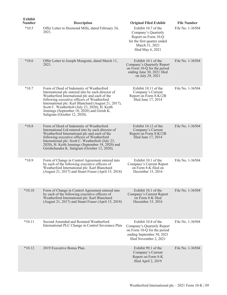| <b>Exhibit</b><br>Number | <b>Description</b>                                                                                                                                                                                                                                                                                                                                                                      | <b>Original Filed Exhibit</b>                                                                                                           | <b>File Number</b> |
|--------------------------|-----------------------------------------------------------------------------------------------------------------------------------------------------------------------------------------------------------------------------------------------------------------------------------------------------------------------------------------------------------------------------------------|-----------------------------------------------------------------------------------------------------------------------------------------|--------------------|
| $*10.5$                  | Offer Letter to Desmond Mills, dated February 24,<br>2021.                                                                                                                                                                                                                                                                                                                              | Exhibit 10.7 of the<br>Company's Quarterly<br>Report on Form 10-Q<br>for the first quarter ended<br>March 31, 2021<br>filed May 6, 2021 | File No. 1-36504   |
| $*10.6$                  | Offer Letter to Joseph Mongrain, dated March 11,<br>2021.                                                                                                                                                                                                                                                                                                                               | Exhibit 10.1 of the<br>Company's Quarterly Report<br>on Form 10-Q for the period<br>ending June 30, 2021 filed<br>on July 29, 2021      | File No. 1-36504   |
| $*10.7$                  | Form of Deed of Indemnity of Weatherford<br>International plc entered into by each director of<br>Weatherford International plc and each of the<br>following executive officers of Weatherford<br>International plc: Karl Blanchard (August 21, 2017),<br>Scott C. Weatherholt (July 23, 2020), H. Keith<br>Jennings (September 18, 2020) and Girish K.<br>Saligram (October 12, 2020). | Exhibit 10.11 of the<br>Company's Current<br>Report on Form 8-K12B<br>filed June 17, 2014                                               | File No. 1-36504   |
| $*10.8$                  | Form of Deed of Indemnity of Weatherford<br>International Ltd entered into by each director of<br>Weatherford International plc and each of the<br>following executive officers of Weatherford<br>International plc: Scott C. Weatherholt (July 23,<br>2020), H. Keith Jennings (September 18, 2020) and<br>Girishchandra K. Saligram (October 12, 2020).                               | Exhibit 10.12 of the<br>Company's Current<br>Report on Form 8-K12B<br>filed June 17, 2014                                               | File No. 1-36504   |
| $*10.9$                  | Form of Change in Control Agreement entered into<br>by each of the following executive officers of<br>Weatherford International plc: Karl Blanchard<br>(August 21, 2017) and Stuart Fraser (April 15, 2018)                                                                                                                                                                             | Exhibit 10.1 of the<br>Company's Current Report<br>on Form 8-K filed on<br>December 15, 2016                                            | File No. 1-36504   |
| $*10.10$                 | Form of Change in Control Agreement entered into<br>by each of the following executive officers of<br>Weatherford International plc: Karl Blanchard<br>(August 21, 2017) and Stuart Fraser (April 15, 2018)                                                                                                                                                                             | Exhibit 10.1 of the<br>Company's Current Report<br>on Form 8-K filed<br>December 15, 2016                                               | File No. 1-36504   |
| $*10.11$                 | Second Amended and Restated Weatherford<br>International PLC Change in Control Severance Plan                                                                                                                                                                                                                                                                                           | Exhibit 10.4 of the<br>Company's Quarterly Report<br>on Form 10-Q for the period<br>ending September 30, 2021<br>filed November 2, 2021 | File No. 1-36504   |
| $*10.12$                 | 2019 Executive Bonus Plan.                                                                                                                                                                                                                                                                                                                                                              | Exhibit 99.1 of the<br>Company's Current<br>Report on Form 8-K<br>filed April 2, 2019                                                   | File No. 1-36504   |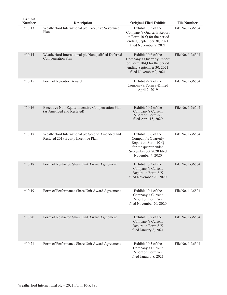| <b>Exhibit</b><br><b>Number</b><br>$*10.13$ | <b>Description</b><br>Weatherford International plc Executive Severance<br>Plan          | <b>Original Filed Exhibit</b><br>Exhibit 10.5 of the<br>Company's Quarterly Report<br>on Form 10-Q for the period<br>ending September 30, 2021<br>filed November 2, 2021 | <b>File Number</b><br>File No. 1-36504 |
|---------------------------------------------|------------------------------------------------------------------------------------------|--------------------------------------------------------------------------------------------------------------------------------------------------------------------------|----------------------------------------|
| $*10.14$                                    | Weatherford International plc Nonqualified Deferred<br>Compensation Plan                 | Exhibit 10.6 of the<br>Company's Quarterly Report<br>on Form 10-Q for the period<br>ending September 30, 2021<br>filed November 2, 2021                                  | File No. 1-36504                       |
| $*10.15$                                    | Form of Retention Award.                                                                 | Exhibit 99.2 of the<br>Company's Form 8-K filed<br>April 2, 2019                                                                                                         | File No. 1-36504                       |
| $*10.16$                                    | Executive Non-Equity Incentive Compensation Plan<br>(as Amended and Restated)            | Exhibit 10.2 of the<br>Company's Current<br>Report on Form 8-K<br>filed April 15, 2020                                                                                   | File No. 1-36504                       |
| $*10.17$                                    | Weatherford International plc Second Amended and<br>Restated 2019 Equity Incentive Plan. | Exhibit 10.6 of the<br>Company's Quarterly<br>Report on Form 10-Q<br>for the quarter ended<br>September 30, 2020 filed<br>November 4, 2020                               | File No. 1-36504                       |
| $*10.18$                                    | Form of Restricted Share Unit Award Agreement.                                           | Exhibit 10.3 of the<br>Company's Current<br>Report on Form 8-K<br>filed November 20, 2020                                                                                | File No. 1-36504                       |
| $*10.19$                                    | Form of Performance Share Unit Award Agreement.                                          | Exhibit 10.4 of the<br>Company's Current<br>Report on Form 8-K<br>filed November 20, 2020                                                                                | File No. 1-36504                       |
| $*10.20$                                    | Form of Restricted Share Unit Award Agreement.                                           | Exhibit 10.2 of the<br>Company's Current<br>Report on Form 8-K<br>filed January 8, 2021                                                                                  | File No. 1-36504                       |
| $*10.21$                                    | Form of Performance Share Unit Award Agreement.                                          | Exhibit 10.3 of the<br>Company's Current<br>Report on Form 8-K<br>filed January 8, 2021                                                                                  | File No. 1-36504                       |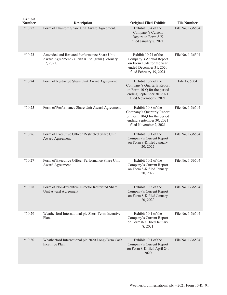| <b>Exhibit</b><br><b>Number</b> | <b>Description</b>                                                                                        | <b>Original Filed Exhibit</b>                                                                                                           | <b>File Number</b> |
|---------------------------------|-----------------------------------------------------------------------------------------------------------|-----------------------------------------------------------------------------------------------------------------------------------------|--------------------|
| $*10.22$                        | Form of Phantom Share Unit Award Agreement.                                                               | Exhibit 10.4 of the<br>Company's Current<br>Report on Form 8-K<br>filed January 8, 2021                                                 | File No. 1-36504   |
| $*10.23$                        | Amended and Restated Performance Share Unit<br>Award Agreement - Girish K. Saligram (February<br>17, 2021 | Exhibit 10.24 of the<br>Company's Annual Report<br>on Form 10-K for the year<br>ended December 31, 2020<br>filed February 19, 2021      | File No. 1-36504   |
| $*10.24$                        | Form of Restricted Share Unit Award Agreement                                                             | Exhibit 10.7 of the<br>Company's Quarterly Report<br>on Form 10-Q for the period<br>ending September 30. 2021<br>filed November 2, 2021 | File 1-36504       |
| $*10.25$                        | Form of Performance Share Unit Award Agreement                                                            | Exhibit 10.8 of the<br>Company's Quarterly Report<br>on Form 10-Q for the period<br>ending September 30. 2021<br>filed November 2, 2021 | File No. 1-36504   |
| $*10.26$                        | Form of Executive Officer Restricted Share Unit<br>Award Agreement                                        | Exhibit 10.1 of the<br>Company's Current Report<br>on Form 8-K filed January<br>20, 2022                                                | File No. 1-36504   |
| $*10.27$                        | Form of Executive Officer Performance Share Unit<br>Award Agreement                                       | Exhibit 10.2 of the<br>Company's Current Report<br>on Form 8-K filed January<br>20, 2022                                                | File No. 1-36504   |
| $*10.28$                        | Form of Non-Executive Director Restricted Share<br>Unit Award Agreement                                   | Exhibit 10.3 of the<br>Company's Current Report<br>on Form 8-K filed January<br>20, 2022                                                | File No. 1-36504   |
| $*10.29$                        | Weatherford International plc Short-Term Incentive<br>Plan.                                               | Exhibit 10.1 of the<br>Company's Current Report<br>on Form 8-K filed January<br>8, 2021                                                 | File No. 1-36504   |
| $*10.30$                        | Weatherford International plc 2020 Long-Term Cash<br><b>Incentive Plan</b>                                | Exhibit 10.1 of the<br>Company's Current Report<br>on Form 8-K filed April 24,<br>2020                                                  | File No. 1-36504   |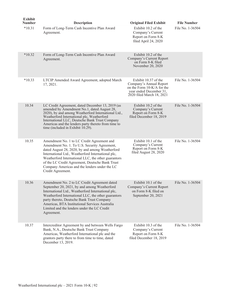| <b>Exhibit</b><br><b>Number</b><br>$*10.31$ | <b>Description</b><br>Form of Long-Term Cash Incentive Plan Award<br>Agreement.                                                                                                                                                                                                                                                                                                     | <b>Original Filed Exhibit</b><br>Exhibit 10.2 of the<br>Company's Current<br>Report on Form 8-K<br>filed April 24, 2020               | <b>File Number</b><br>File No. 1-36504 |
|---------------------------------------------|-------------------------------------------------------------------------------------------------------------------------------------------------------------------------------------------------------------------------------------------------------------------------------------------------------------------------------------------------------------------------------------|---------------------------------------------------------------------------------------------------------------------------------------|----------------------------------------|
| $*10.32$                                    | Form of Long-Term Cash Incentive Plan Award<br>Agreement.                                                                                                                                                                                                                                                                                                                           | Exhibit 10.2 of the<br>Company's Current Report<br>on Form 8-K filed<br>November 20, 2020                                             |                                        |
| $*10.33$                                    | LTCIP Amended Award Agreement, adopted March<br>17, 2021.                                                                                                                                                                                                                                                                                                                           | Exhibit 10.37 of the<br>Company's Annual Report<br>on the Form 10-K/A for the<br>year ended December 31,<br>2020 filed March 18, 2021 | File No. 1-36504                       |
| 10.34                                       | LC Credit Agreement, dated December 13, 2019 (as<br>amended by Amendment No.1, dated August 28,<br>2020), by and among Weatherford International Ltd.,<br>Weatherford International plc, Weatherford<br>International LLC, Deutsche Bank Trust Company<br>Americas and the lenders party thereto from time to<br>time (included in Exhibit $10.29$ ).                               | Exhibit 10.2 of the<br>Company's Current<br>Report on Form 8-K<br>filed December 18, 2019                                             | File No. 1-36504                       |
| 10.35                                       | Amendment No. 1 to LC Credit Agreement and<br>Amendment No. 1. To U.S. Security Agreement,<br>dated August 28, 2020, by and among Weatherford<br>International Ltd., Weatherford International plc,<br>Weatherford International LLC, the other guarantors<br>of the LC Credit Agreement, Deutsche Bank Trust<br>Company Americas and the lenders under the LC<br>Credit Agreement. | Exhibit 10.1 of the<br>Company's Current<br>Report on Form 8-K<br>filed August 28, 2020                                               | File No. 1-36504                       |
| 10.36                                       | Amendment No. 2 to LC Credit Agreement dated<br>September 20, 2021, by and among Weatherford<br>International Ltd., Weatherford International plc,<br>Weatherford International LLC, the other guarantors<br>party thereto, Deutsche Bank Trust Company<br>Americas, BTA Institutional Services Australia<br>Limited and the lenders under the LC Credit<br>Agreement.              | Exhibit 10.1 of the<br>Company's Current Report<br>on Form 8-K filed on<br>September 20, 2021                                         | File No. 1-36504                       |
| 10.37                                       | Intercreditor Agreement by and between Wells Fargo<br>Bank, N.A., Deutsche Bank Trust Company<br>Americas, Weatherford International plc and the<br>grantors party there to from time to time, dated<br>December 13, 2019.                                                                                                                                                          | Exhibit 10.3 of the<br>Company's Current<br>Report on Form 8-K<br>filed December 18, 2019                                             | File No. 1-36504                       |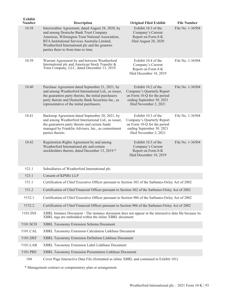| <b>Exhibit</b><br><b>Number</b> | <b>Description</b>                                                                                                                                                                                                                                                                        | <b>Original Filed Exhibit</b>                                                                                                           | <b>File Number</b> |  |  |
|---------------------------------|-------------------------------------------------------------------------------------------------------------------------------------------------------------------------------------------------------------------------------------------------------------------------------------------|-----------------------------------------------------------------------------------------------------------------------------------------|--------------------|--|--|
| 10.38                           | Intercreditor Agreement, dated August 28, 2020, by<br>and among Deutsche Bank Trust Company<br>Americas, Wilmington Trust National Association,<br>BTA Institutional Services Australia Limited,<br>Weatherford International plc and the grantors<br>parties there to from time to time. | Exhibit 10.3 of the<br>Company's Current<br>Report on Form 8-K<br>filed August 28, 2020                                                 | File No. 1-36504   |  |  |
| 10.39                           | Warrant Agreement by and between Weatherford<br>International plc and American Stock Transfer &<br>Trust Company, LLC, dated December 13, 2019.                                                                                                                                           | Exhibit 10.4 of the<br>Company's Current<br>Report on Form 8-K<br>filed December 18, 2019                                               | File No. 1-36504   |  |  |
| 10.40                           | Purchase Agreement dated September 21, 2021, by<br>and among Weatherford International Ltd., as issuer,<br>the guarantors party thereto, the initial purchasers<br>party thereto and Deutsche Bank Securities Inc., as<br>representative of the initial purchasers.                       | Exhibit 10.2 of the<br>Company's Quarterly Report<br>on Form 10-Q for the period<br>ending September 30. 2021<br>filed November 2, 2021 | File No. 1-36504   |  |  |
| 10.41                           | Backstop Agreement dated September 20, 2021, by<br>and among Weatherford International Ltd., as issuer,<br>the guarantors party thereto and certain funds<br>managed by Franklin Advisers, Inc., as commitment<br>parties thereto.                                                        | Exhibit 10.3 of the<br>Company's Quarterly Report<br>on Form 10-Q for the period<br>ending September 30. 2021<br>filed November 2, 2021 | File No. 1-36504   |  |  |
| 10.42                           | Registration Rights Agreement by and among<br>Weatherford International plc and certain<br>stockholders thereto, dated December 13, 2019.*                                                                                                                                                | Exhibit 10.5 of the<br>Company's Current<br>Report on Form 8-K<br>filed December 18, 2019                                               | File No. 1-36504   |  |  |
| †21.1                           | Subsidiaries of Weatherford International plc                                                                                                                                                                                                                                             |                                                                                                                                         |                    |  |  |
| †23.1                           | Consent of KPMG LLP                                                                                                                                                                                                                                                                       |                                                                                                                                         |                    |  |  |
| †31.1                           | Certification of Chief Executive Officer pursuant to Section 302 of the Sarbanes-Oxley Act of 2002                                                                                                                                                                                        |                                                                                                                                         |                    |  |  |
| †31.2                           | Certification of Chief Financial Officer pursuant to Section 302 of the Sarbanes-Oxley Act of 2002                                                                                                                                                                                        |                                                                                                                                         |                    |  |  |
| ††32.1                          | Certification of Chief Executive Officer pursuant to Section 906 of the Sarbanes-Oxley Act of 2002                                                                                                                                                                                        |                                                                                                                                         |                    |  |  |
| <b>††32.2</b>                   | Certification of Chief Financial Officer pursuant to Section 906 of the Sarbanes-Oxley Act of 2002                                                                                                                                                                                        |                                                                                                                                         |                    |  |  |
| $\dagger$ 101.INS               | XBRL Instance Document - The instance document does not appear in the interactive data file because its<br>XBRL tags are embedded within the inline XBRL document                                                                                                                         |                                                                                                                                         |                    |  |  |
| $\dagger$ 101.SCH               | XBRL Taxonomy Extension Schema Document                                                                                                                                                                                                                                                   |                                                                                                                                         |                    |  |  |
| $\dagger$ 101.CAL               | XBRL Taxonomy Extension Calculation Linkbase Document                                                                                                                                                                                                                                     |                                                                                                                                         |                    |  |  |
| <b>†101.DEF</b>                 | XBRL Taxonomy Extension Definition Linkbase Document                                                                                                                                                                                                                                      |                                                                                                                                         |                    |  |  |
| $\dagger$ 101.LAB               | XBRL Taxonomy Extension Label Linkbase Document                                                                                                                                                                                                                                           |                                                                                                                                         |                    |  |  |
| <b>†101.PRE</b>                 | XBRL Taxonomy Extension Presentation Linkbase Document                                                                                                                                                                                                                                    |                                                                                                                                         |                    |  |  |
| 104                             | Cover Page Interactive Data File (formatted as inline XBRL and contained in Exhibit 101)                                                                                                                                                                                                  |                                                                                                                                         |                    |  |  |

\* Management contract or compensatory plan or arrangement.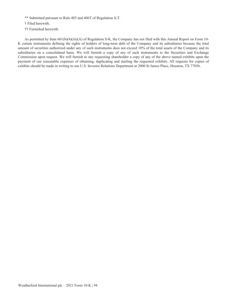- \*\* Submitted pursuant to Rule 405 and 406T of Regulation S-T.
- † Filed herewith.
- †† Furnished herewith.

As permitted by Item 601(b)(4)(iii)(A) of Regulation S-K, the Company has not filed with this Annual Report on Form 10-K certain instruments defining the rights of holders of long-term debt of the Company and its subsidiaries because the total amount of securities authorized under any of such instruments does not exceed 10% of the total assets of the Company and its subsidiaries on a consolidated basis. We will furnish a copy of any of such instruments to the Securities and Exchange Commission upon request. We will furnish to any requesting shareholder a copy of any of the above named exhibits upon the payment of our reasonable expenses of obtaining, duplicating and mailing the requested exhibits. All requests for copies of exhibits should be made in writing to our U.S. Investor Relations Department at 2000 St James Place, Houston, TX 77056.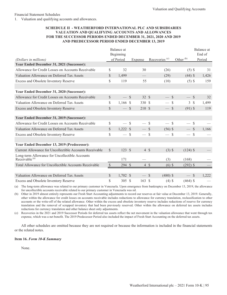Financial Statement Schedules

1. Valuation and qualifying accounts and allowances.

# **SCHEDULE II - WEATHERFORD INTERNATIONAL PLC AND SUBSIDIARIES VALUATION AND QUALIFYING ACCOUNTS AND ALLOWANCES FOR THE SUCCESSOR PERIODS ENDED DECEMBER 31, 2021, 2020 AND 2019 AND PREDECESSOR PERIOD ENDED DECEMBER 13, 2019**

|                                                                  |              | Balance at<br>Beginning |         |                          |                             |                      | Balance at<br>End of |
|------------------------------------------------------------------|--------------|-------------------------|---------|--------------------------|-----------------------------|----------------------|----------------------|
| (Dollars in millions)                                            |              | of Period               | Expense |                          | Recoveries <sup>(c)</sup>   | Other <sup>(b)</sup> | Period               |
| Year Ended December 31, 2021 (Successor):                        |              |                         |         |                          |                             |                      |                      |
| Allowance for Credit Losses on Accounts Receivable               | \$           | 32                      |         | 30                       | (26)                        | $(5)$ \$             | 31                   |
| Valuation Allowance on Deferred Tax Assets                       | \$           | 1,499                   |         |                          | (29)                        | $(44)$ \$            | 1,426                |
| Excess and Obsolete Inventory Reserve                            | \$           | 119                     |         | 55                       | (10)                        | $(5)$ \$             | 159                  |
| Year Ended December 31, 2020 (Successor):                        |              |                         |         |                          |                             |                      |                      |
| Allowance for Credit Losses on Accounts Receivable               | \$           | $-$ \$                  |         | 32 \$                    | $-$ \$                      | $-$ \$               | 32                   |
| Valuation Allowance on Deferred Tax Assets                       | \$           | $1,166$ \$              |         | 330 \$                   | $-$ \$                      | 3S                   | 1,499                |
| <b>Excess and Obsolete Inventory Reserve</b>                     | \$           | $-$ \$                  |         | 210 \$                   | $-$ \$                      | $(91)$ \$            | 119                  |
| Year Ended December 31, 2019 (Successor):                        |              |                         |         |                          |                             |                      |                      |
| Allowance for Credit Losses on Accounts Receivable               | \$           | $-$ \$                  |         | $\overline{\phantom{0}}$ | S<br>$-$ \$                 | $-$ \$               |                      |
| Valuation Allowance on Deferred Tax Assets                       | \$           | $1,222$ \$              |         | $-$ \$                   | $(56)$ \$                   | $-$ \$               | 1,166                |
| Excess and Obsolete Inventory Reserve                            | \$           |                         | -\$     | $\frac{1}{2}$            | S<br>$-$ \$                 | $-$ \$               |                      |
| Year Ended December 13, 2019 (Predecessor):                      |              |                         |         |                          |                             |                      |                      |
| Current Allowance for Uncollectible Accounts Receivable          | $\mathbb{S}$ | 123S                    |         | 4S                       | $(3)$ \$                    | $(124)$ \$           |                      |
| Long-term Allowance for Uncollectible Accounts<br>Receivable (a) |              | 171                     |         |                          | (3)                         | (168)                |                      |
| Total Allowance for Uncollectible Accounts Receivable            | $\mathbb{S}$ | 294 \$                  |         | 4S                       | $(6)$ \$                    | $(292)$ \$           |                      |
| Valuation Allowance on Deferred Tax Assets                       | $\mathbb{S}$ | $1,702$ \$              |         |                          | $\mathcal{S}$<br>$(480)$ \$ | $-$ \$               | 1,222                |
| Excess and Obsolete Inventory Reserve                            | \$           | 305 \$                  |         | $163 \text{ }$ \$        | $(4)$ \$                    | $(464)$ \$           |                      |

(a) The long-term allowance was related to our primary customer in Venezuela. Upon emergence from bankruptcy on December 13, 2019, the allowance for uncollectible accounts receivable related to our primary customer in Venezuela was nil.

(b) Other in 2019 almost entirely represents our Fresh Start Accounting adjustments to record our reserves at fair value at December 13, 2019. Generally, other within the allowance for credit losses on accounts receivable includes reductions to allowance for currency translation, reclassification to other accounts or the write-off of the related allowance. Other within the excess and obsolete inventory reserve includes reductions of reserve for currency translation and the removal of scrapped inventory that had been previously reserved. Other within the allowance on deferred tax assets includes reductions for currency translation and other balance sheet only adjustments.

(c) Recoveries in the 2021 and 2019 Successor Periods for deferred tax assets reflect the net movement in the valuation allowance that went through tax expense, which was a net benefit. The 2019 Predecessor Period also included the impact of Fresh Start Accounting on the deferred tax assets.

All other schedules are omitted because they are not required or because the information is included in the financial statements or the related notes.

# **Item 16.** *Form 10-K Summary*

None.